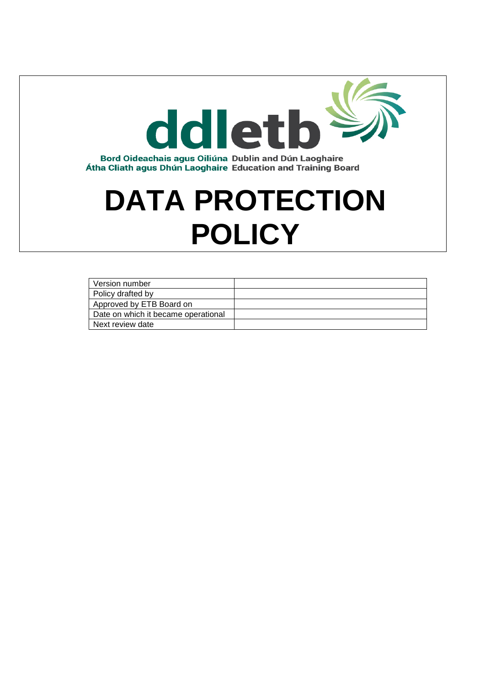

# **DATA PROTECTION POLICY**

| Version number                      |  |
|-------------------------------------|--|
| Policy drafted by                   |  |
| Approved by ETB Board on            |  |
| Date on which it became operational |  |
| Next review date                    |  |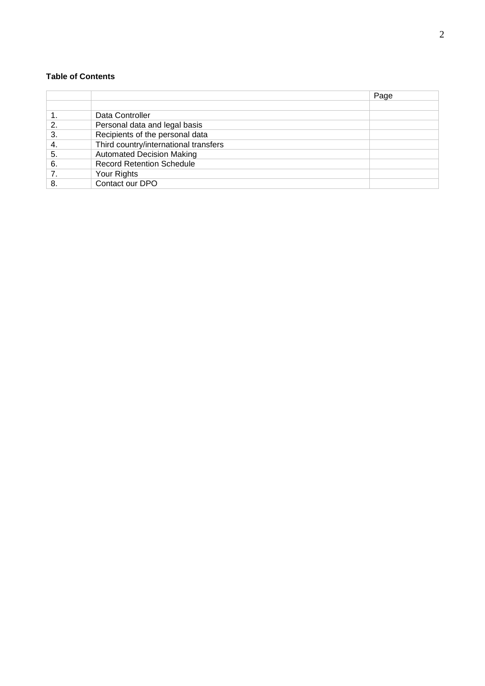# **Table of Contents**

|              |                                       | Page |
|--------------|---------------------------------------|------|
|              |                                       |      |
|              | Data Controller                       |      |
| $\mathbf{2}$ | Personal data and legal basis         |      |
| 3.           | Recipients of the personal data       |      |
| 4.           | Third country/international transfers |      |
| 5.           | <b>Automated Decision Making</b>      |      |
| 6.           | <b>Record Retention Schedule</b>      |      |
|              | Your Rights                           |      |
| 8.           | Contact our DPO                       |      |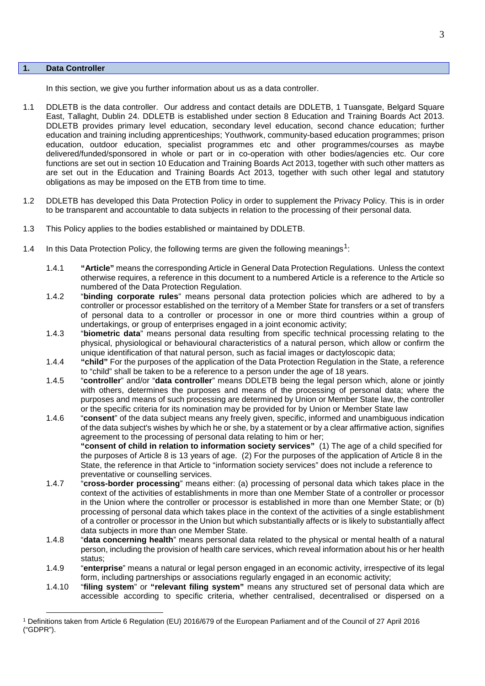#### **1. Data Controller**

-

In this section, we give you further information about us as a data controller.

- 1.1 DDLETB is the data controller. Our address and contact details are DDLETB, 1 Tuansgate, Belgard Square East, Tallaght, Dublin 24. DDLETB is established under section 8 Education and Training Boards Act 2013. DDLETB provides primary level education, secondary level education, second chance education; further education and training including apprenticeships; Youthwork, community-based education programmes; prison education, outdoor education, specialist programmes etc and other programmes/courses as maybe delivered/funded/sponsored in whole or part or in co-operation with other bodies/agencies etc. Our core functions are set out in section 10 Education and Training Boards Act 2013, together with such other matters as are set out in the Education and Training Boards Act 2013, together with such other legal and statutory obligations as may be imposed on the ETB from time to time.
- 1.2 DDLETB has developed this Data Protection Policy in order to supplement the Privacy Policy. This is in order to be transparent and accountable to data subjects in relation to the processing of their personal data.
- 1.3 This Policy applies to the bodies established or maintained by DDLETB.
- 1.4 In this Data Protection Policy, the following terms are given the following meanings<sup>1</sup>:
	- 1.4.1 **"Article"** means the corresponding Article in General Data Protection Regulations.Unless the context otherwise requires, a reference in this document to a numbered Article is a reference to the Article so numbered of the Data Protection Regulation.
	- 1.4.2 "**binding corporate rules**" means personal data protection policies which are adhered to by a controller or processor established on the territory of a Member State for transfers or a set of transfers of personal data to a controller or processor in one or more third countries within a group of undertakings, or group of enterprises engaged in a joint economic activity;
	- 1.4.3 "**biometric data**" means personal data resulting from specific technical processing relating to the physical, physiological or behavioural characteristics of a natural person, which allow or confirm the unique identification of that natural person, such as facial images or dactyloscopic data;
	- 1.4.4 **"child"** For the purposes of the application of the Data Protection Regulation in the State, a reference to "child" shall be taken to be a reference to a person under the age of 18 years.
	- 1.4.5 "**controller**" and/or "**data controller**" means DDLETB being the legal person which, alone or jointly with others, determines the purposes and means of the processing of personal data; where the purposes and means of such processing are determined by Union or Member State law, the controller or the specific criteria for its nomination may be provided for by Union or Member State law
	- 1.4.6 "**consent**" of the data subject means any freely given, specific, informed and unambiguous indication of the data subject's wishes by which he or she, by a statement or by a clear affirmative action, signifies agreement to the processing of personal data relating to him or her; **"consent of child in relation to information society services"** (1) The age of a child specified for the purposes of Article 8 is 13 years of age. (2) For the purposes of the application of Article 8 in the State, the reference in that Article to "information society services" does not include a reference to preventative or counselling services.
	- 1.4.7 "**cross-border processing**" means either: (a) processing of personal data which takes place in the context of the activities of establishments in more than one Member State of a controller or processor in the Union where the controller or processor is established in more than one Member State; or (b) processing of personal data which takes place in the context of the activities of a single establishment of a controller or processor in the Union but which substantially affects or is likely to substantially affect data subjects in more than one Member State.
	- 1.4.8 "**data concerning health**" means personal data related to the physical or mental health of a natural person, including the provision of health care services, which reveal information about his or her health status;
	- 1.4.9 "**enterprise**" means a natural or legal person engaged in an economic activity, irrespective of its legal form, including partnerships or associations regularly engaged in an economic activity;
	- 1.4.10 "**filing system**" or **"relevant filing system"** means any structured set of personal data which are accessible according to specific criteria, whether centralised, decentralised or dispersed on a

<span id="page-2-0"></span><sup>1</sup> Definitions taken from Article 6 Regulation (EU) 2016/679 of the European Parliament and of the Council of 27 April 2016 ("GDPR").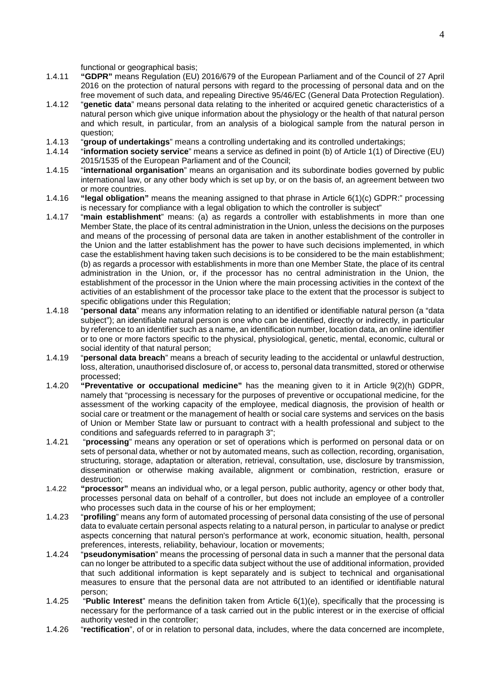functional or geographical basis;

- 1.4.11 **"GDPR"** means Regulation (EU) 2016/679 of the European Parliament and of the Council of 27 April 2016 on the protection of natural persons with regard to the processing of personal data and on the free movement of such data, and repealing Directive 95/46/EC (General Data Protection Regulation).
- 1.4.12 "**genetic data**" means personal data relating to the inherited or acquired genetic characteristics of a natural person which give unique information about the physiology or the health of that natural person and which result, in particular, from an analysis of a biological sample from the natural person in question;
- 1.4.13 "**group of undertakings**" means a controlling undertaking and its controlled undertakings;
- 1.4.14 "**information society service**" means a service as defined in point (b) of Article 1(1) of Directive (EU) 2015/1535 of the European Parliament and of the Council;
- 1.4.15 "**international organisation**" means an organisation and its subordinate bodies governed by public international law, or any other body which is set up by, or on the basis of, an agreement between two or more countries.
- 1.4.16 **"legal obligation"** means the meaning assigned to that phrase in Article 6(1)(c) GDPR:" processing is necessary for compliance with a legal obligation to which the controller is subject"
- 1.4.17 "**main establishment**" means: (a) as regards a controller with establishments in more than one Member State, the place of its central administration in the Union, unless the decisions on the purposes and means of the processing of personal data are taken in another establishment of the controller in the Union and the latter establishment has the power to have such decisions implemented, in which case the establishment having taken such decisions is to be considered to be the main establishment; (b) as regards a processor with establishments in more than one Member State, the place of its central administration in the Union, or, if the processor has no central administration in the Union, the establishment of the processor in the Union where the main processing activities in the context of the activities of an establishment of the processor take place to the extent that the processor is subject to specific obligations under this Regulation;
- 1.4.18 "**personal data**" means any information relating to an identified or identifiable natural person (a "data subject"); an identifiable natural person is one who can be identified, directly or indirectly, in particular by reference to an identifier such as a name, an identification number, location data, an online identifier or to one or more factors specific to the physical, physiological, genetic, mental, economic, cultural or social identity of that natural person;
- 1.4.19 "**personal data breach**" means a breach of security leading to the accidental or unlawful destruction, loss, alteration, unauthorised disclosure of, or access to, personal data transmitted, stored or otherwise processed;
- 1.4.20 **"Preventative or occupational medicine"** has the meaning given to it in Article 9(2)(h) GDPR, namely that "processing is necessary for the purposes of preventive or occupational medicine, for the assessment of the working capacity of the employee, medical diagnosis, the provision of health or social care or treatment or the management of health or social care systems and services on the basis of Union or Member State law or pursuant to contract with a health professional and subject to the conditions and safeguards referred to in paragraph 3";
- 1.4.21 "**processing**" means any operation or set of operations which is performed on personal data or on sets of personal data, whether or not by automated means, such as collection, recording, organisation, structuring, storage, adaptation or alteration, retrieval, consultation, use, disclosure by transmission, dissemination or otherwise making available, alignment or combination, restriction, erasure or destruction;
- 1.4.22 **"processor"** means an individual who, or a legal person, public authority, agency or other body that, processes personal data on behalf of a controller, but does not include an employee of a controller who processes such data in the course of his or her employment;
- 1.4.23 "**profiling**" means any form of automated processing of personal data consisting of the use of personal data to evaluate certain personal aspects relating to a natural person, in particular to analyse or predict aspects concerning that natural person's performance at work, economic situation, health, personal preferences, interests, reliability, behaviour, location or movements;
- 1.4.24 "**pseudonymisation**" means the processing of personal data in such a manner that the personal data can no longer be attributed to a specific data subject without the use of additional information, provided that such additional information is kept separately and is subject to technical and organisational measures to ensure that the personal data are not attributed to an identified or identifiable natural person;
- 1.4.25 "**Public Interest**" means the definition taken from Article 6(1)(e), specifically that the processing is necessary for the performance of a task carried out in the public interest or in the exercise of official authority vested in the controller;
- 1.4.26 "**rectification**", of or in relation to personal data, includes, where the data concerned are incomplete,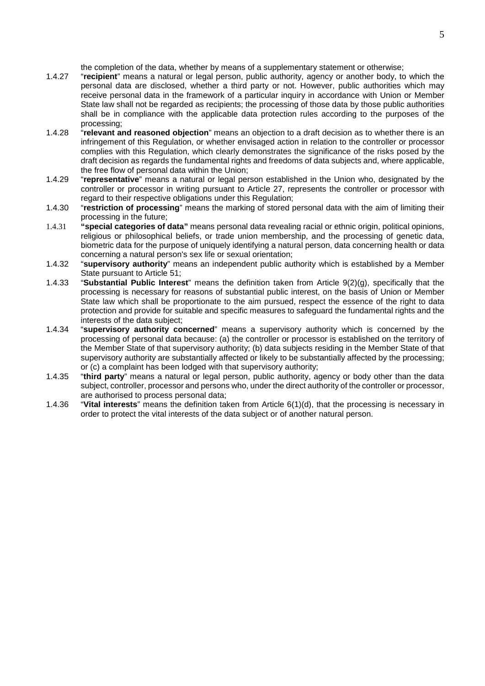the completion of the data, whether by means of a supplementary statement or otherwise;

- 1.4.27 "**recipient**" means a natural or legal person, public authority, agency or another body, to which the personal data are disclosed, whether a third party or not. However, public authorities which may receive personal data in the framework of a particular inquiry in accordance with Union or Member State law shall not be regarded as recipients; the processing of those data by those public authorities shall be in compliance with the applicable data protection rules according to the purposes of the processing;
- 1.4.28 "**relevant and reasoned objection**" means an objection to a draft decision as to whether there is an infringement of this Regulation, or whether envisaged action in relation to the controller or processor complies with this Regulation, which clearly demonstrates the significance of the risks posed by the draft decision as regards the fundamental rights and freedoms of data subjects and, where applicable, the free flow of personal data within the Union;
- 1.4.29 "**representative**" means a natural or legal person established in the Union who, designated by the controller or processor in writing pursuant to Article 27, represents the controller or processor with regard to their respective obligations under this Regulation;
- 1.4.30 "**restriction of processing**" means the marking of stored personal data with the aim of limiting their processing in the future;
- 1.4.31 **"special categories of data"** means personal data revealing racial or ethnic origin, political opinions, religious or philosophical beliefs, or trade union membership, and the processing of genetic data, biometric data for the purpose of uniquely identifying a natural person, data concerning health or data concerning a natural person's sex life or sexual orientation;
- 1.4.32 "**supervisory authority**" means an independent public authority which is established by a Member State pursuant to Article 51;
- 1.4.33 "**Substantial Public Interest**" means the definition taken from Article 9(2)(g), specifically that the processing is necessary for reasons of substantial public interest, on the basis of Union or Member State law which shall be proportionate to the aim pursued, respect the essence of the right to data protection and provide for suitable and specific measures to safeguard the fundamental rights and the interests of the data subject;
- 1.4.34 "**supervisory authority concerned**" means a supervisory authority which is concerned by the processing of personal data because: (a) the controller or processor is established on the territory of the Member State of that supervisory authority; (b) data subjects residing in the Member State of that supervisory authority are substantially affected or likely to be substantially affected by the processing; or (c) a complaint has been lodged with that supervisory authority;
- 1.4.35 "**third party**" means a natural or legal person, public authority, agency or body other than the data subject, controller, processor and persons who, under the direct authority of the controller or processor, are authorised to process personal data;
- 1.4.36 "**Vital interests**" means the definition taken from Article 6(1)(d), that the processing is necessary in order to protect the vital interests of the data subject or of another natural person.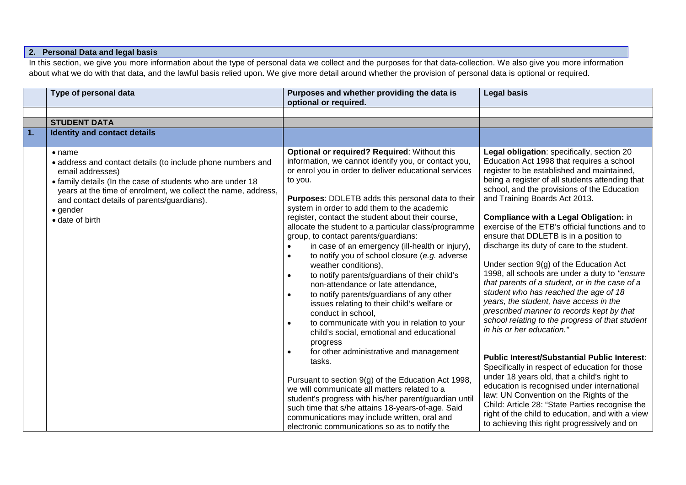# **2. Personal Data and legal basis**

In this section, we give you more information about the type of personal data we collect and the purposes for that data-collection. We also give you more information about what we do with that data, and the lawful basis relied upon. We give more detail around whether the provision of personal data is optional or required.

|    | Type of personal data                                                                                                                                                                                                                                                                                                 | Purposes and whether providing the data is                                                                                                                                                                                                                                                                                                                                                                                                                                                                                                                                                                                                                                                                                                                                                                                                                                                                                                                                                                                                                                                                                                                                                                                                                                                                                            | <b>Legal basis</b>                                                                                                                                                                                                                                                                                                                                                                                                                                                                                                                                                                                                                                                                                                                                                                                                                                                                                                                                                                                                                                                                                                                                                                                                                          |
|----|-----------------------------------------------------------------------------------------------------------------------------------------------------------------------------------------------------------------------------------------------------------------------------------------------------------------------|---------------------------------------------------------------------------------------------------------------------------------------------------------------------------------------------------------------------------------------------------------------------------------------------------------------------------------------------------------------------------------------------------------------------------------------------------------------------------------------------------------------------------------------------------------------------------------------------------------------------------------------------------------------------------------------------------------------------------------------------------------------------------------------------------------------------------------------------------------------------------------------------------------------------------------------------------------------------------------------------------------------------------------------------------------------------------------------------------------------------------------------------------------------------------------------------------------------------------------------------------------------------------------------------------------------------------------------|---------------------------------------------------------------------------------------------------------------------------------------------------------------------------------------------------------------------------------------------------------------------------------------------------------------------------------------------------------------------------------------------------------------------------------------------------------------------------------------------------------------------------------------------------------------------------------------------------------------------------------------------------------------------------------------------------------------------------------------------------------------------------------------------------------------------------------------------------------------------------------------------------------------------------------------------------------------------------------------------------------------------------------------------------------------------------------------------------------------------------------------------------------------------------------------------------------------------------------------------|
|    |                                                                                                                                                                                                                                                                                                                       | optional or required.                                                                                                                                                                                                                                                                                                                                                                                                                                                                                                                                                                                                                                                                                                                                                                                                                                                                                                                                                                                                                                                                                                                                                                                                                                                                                                                 |                                                                                                                                                                                                                                                                                                                                                                                                                                                                                                                                                                                                                                                                                                                                                                                                                                                                                                                                                                                                                                                                                                                                                                                                                                             |
|    |                                                                                                                                                                                                                                                                                                                       |                                                                                                                                                                                                                                                                                                                                                                                                                                                                                                                                                                                                                                                                                                                                                                                                                                                                                                                                                                                                                                                                                                                                                                                                                                                                                                                                       |                                                                                                                                                                                                                                                                                                                                                                                                                                                                                                                                                                                                                                                                                                                                                                                                                                                                                                                                                                                                                                                                                                                                                                                                                                             |
|    | <b>STUDENT DATA</b>                                                                                                                                                                                                                                                                                                   |                                                                                                                                                                                                                                                                                                                                                                                                                                                                                                                                                                                                                                                                                                                                                                                                                                                                                                                                                                                                                                                                                                                                                                                                                                                                                                                                       |                                                                                                                                                                                                                                                                                                                                                                                                                                                                                                                                                                                                                                                                                                                                                                                                                                                                                                                                                                                                                                                                                                                                                                                                                                             |
| 1. | <b>Identity and contact details</b>                                                                                                                                                                                                                                                                                   |                                                                                                                                                                                                                                                                                                                                                                                                                                                                                                                                                                                                                                                                                                                                                                                                                                                                                                                                                                                                                                                                                                                                                                                                                                                                                                                                       |                                                                                                                                                                                                                                                                                                                                                                                                                                                                                                                                                                                                                                                                                                                                                                                                                                                                                                                                                                                                                                                                                                                                                                                                                                             |
|    | $\bullet$ name<br>• address and contact details (to include phone numbers and<br>email addresses)<br>• family details (In the case of students who are under 18<br>years at the time of enrolment, we collect the name, address,<br>and contact details of parents/guardians).<br>$\bullet$ gender<br>· date of birth | Optional or required? Required: Without this<br>information, we cannot identify you, or contact you,<br>or enrol you in order to deliver educational services<br>to you.<br>Purposes: DDLETB adds this personal data to their<br>system in order to add them to the academic<br>register, contact the student about their course,<br>allocate the student to a particular class/programme<br>group, to contact parents/guardians:<br>in case of an emergency (ill-health or injury),<br>$\bullet$<br>to notify you of school closure (e.g. adverse<br>$\bullet$<br>weather conditions),<br>to notify parents/guardians of their child's<br>$\bullet$<br>non-attendance or late attendance,<br>to notify parents/guardians of any other<br>$\bullet$<br>issues relating to their child's welfare or<br>conduct in school,<br>to communicate with you in relation to your<br>$\bullet$<br>child's social, emotional and educational<br>progress<br>for other administrative and management<br>$\bullet$<br>tasks.<br>Pursuant to section 9(g) of the Education Act 1998,<br>we will communicate all matters related to a<br>student's progress with his/her parent/guardian until<br>such time that s/he attains 18-years-of-age. Said<br>communications may include written, oral and<br>electronic communications so as to notify the | Legal obligation: specifically, section 20<br>Education Act 1998 that requires a school<br>register to be established and maintained,<br>being a register of all students attending that<br>school, and the provisions of the Education<br>and Training Boards Act 2013.<br><b>Compliance with a Legal Obligation: in</b><br>exercise of the ETB's official functions and to<br>ensure that DDLETB is in a position to<br>discharge its duty of care to the student.<br>Under section 9(g) of the Education Act<br>1998, all schools are under a duty to "ensure<br>that parents of a student, or in the case of a<br>student who has reached the age of 18<br>years, the student, have access in the<br>prescribed manner to records kept by that<br>school relating to the progress of that student<br>in his or her education."<br><b>Public Interest/Substantial Public Interest:</b><br>Specifically in respect of education for those<br>under 18 years old, that a child's right to<br>education is recognised under international<br>law: UN Convention on the Rights of the<br>Child: Article 28: "State Parties recognise the<br>right of the child to education, and with a view<br>to achieving this right progressively and on |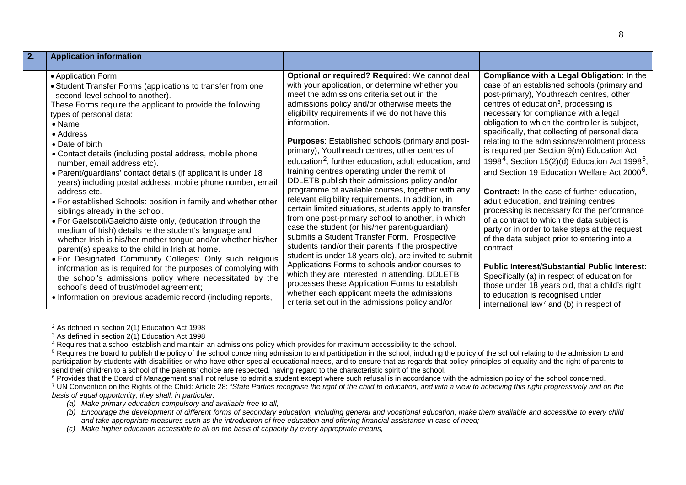<span id="page-7-5"></span><span id="page-7-4"></span><span id="page-7-3"></span><span id="page-7-2"></span><span id="page-7-1"></span><span id="page-7-0"></span>

| $\overline{2}$ . | <b>Application information</b>                                                                                                                                                                                                                                                                                                                                                                                                                                                                                                                                                                                                                                                                                                                                                                                                                                                                                                                                                                                                                                                                                                                                      |                                                                                                                                                                                                                                                                                                                                                                                                                                                                                                                                                                                                                                                                                                                                                                                                                                                                                                                                                                                                                                                                                                                                                                                                                                                    |                                                                                                                                                                                                                                                                                                                                                                                                                                                                                                                                                                                                                                                                                                                                                                                                                                                                                                                                                                                                                                                                                                                                              |
|------------------|---------------------------------------------------------------------------------------------------------------------------------------------------------------------------------------------------------------------------------------------------------------------------------------------------------------------------------------------------------------------------------------------------------------------------------------------------------------------------------------------------------------------------------------------------------------------------------------------------------------------------------------------------------------------------------------------------------------------------------------------------------------------------------------------------------------------------------------------------------------------------------------------------------------------------------------------------------------------------------------------------------------------------------------------------------------------------------------------------------------------------------------------------------------------|----------------------------------------------------------------------------------------------------------------------------------------------------------------------------------------------------------------------------------------------------------------------------------------------------------------------------------------------------------------------------------------------------------------------------------------------------------------------------------------------------------------------------------------------------------------------------------------------------------------------------------------------------------------------------------------------------------------------------------------------------------------------------------------------------------------------------------------------------------------------------------------------------------------------------------------------------------------------------------------------------------------------------------------------------------------------------------------------------------------------------------------------------------------------------------------------------------------------------------------------------|----------------------------------------------------------------------------------------------------------------------------------------------------------------------------------------------------------------------------------------------------------------------------------------------------------------------------------------------------------------------------------------------------------------------------------------------------------------------------------------------------------------------------------------------------------------------------------------------------------------------------------------------------------------------------------------------------------------------------------------------------------------------------------------------------------------------------------------------------------------------------------------------------------------------------------------------------------------------------------------------------------------------------------------------------------------------------------------------------------------------------------------------|
|                  | • Application Form<br>• Student Transfer Forms (applications to transfer from one<br>second-level school to another).<br>These Forms require the applicant to provide the following<br>types of personal data:<br>$\bullet$ Name<br>• Address<br>• Date of birth<br>• Contact details (including postal address, mobile phone<br>number, email address etc).<br>• Parent/guardians' contact details (if applicant is under 18<br>years) including postal address, mobile phone number, email<br>address etc.<br>• For established Schools: position in family and whether other<br>siblings already in the school.<br>• For Gaelscoil/Gaelcholáiste only, (education through the<br>medium of Irish) details re the student's language and<br>whether Irish is his/her mother tongue and/or whether his/her<br>parent(s) speaks to the child in Irish at home.<br>. For Designated Community Colleges: Only such religious<br>information as is required for the purposes of complying with<br>the school's admissions policy where necessitated by the<br>school's deed of trust/model agreement;<br>• Information on previous academic record (including reports, | Optional or required? Required: We cannot deal<br>with your application, or determine whether you<br>meet the admissions criteria set out in the<br>admissions policy and/or otherwise meets the<br>eligibility requirements if we do not have this<br>information.<br>Purposes: Established schools (primary and post-<br>primary), Youthreach centres, other centres of<br>education <sup>2</sup> , further education, adult education, and<br>training centres operating under the remit of<br>DDLETB publish their admissions policy and/or<br>programme of available courses, together with any<br>relevant eligibility requirements. In addition, in<br>certain limited situations, students apply to transfer<br>from one post-primary school to another, in which<br>case the student (or his/her parent/guardian)<br>submits a Student Transfer Form. Prospective<br>students (and/or their parents if the prospective<br>student is under 18 years old), are invited to submit<br>Applications Forms to schools and/or courses to<br>which they are interested in attending. DDLETB<br>processes these Application Forms to establish<br>whether each applicant meets the admissions<br>criteria set out in the admissions policy and/or | Compliance with a Legal Obligation: In the<br>case of an established schools (primary and<br>post-primary), Youthreach centres, other<br>centres of education <sup>3</sup> , processing is<br>necessary for compliance with a legal<br>obligation to which the controller is subject,<br>specifically, that collecting of personal data<br>relating to the admissions/enrolment process<br>is required per Section 9(m) Education Act<br>1998 <sup>4</sup> , Section 15(2)(d) Education Act 1998 <sup>5</sup> ,<br>and Section 19 Education Welfare Act 2000 <sup>6</sup> .<br><b>Contract:</b> In the case of further education,<br>adult education, and training centres,<br>processing is necessary for the performance<br>of a contract to which the data subject is<br>party or in order to take steps at the request<br>of the data subject prior to entering into a<br>contract.<br><b>Public Interest/Substantial Public Interest:</b><br>Specifically (a) in respect of education for<br>those under 18 years old, that a child's right<br>to education is recognised under<br>international law <sup>7</sup> and (b) in respect of |

 $\overline{a}$ <sup>2</sup> As defined in section 2(1) Education Act 1998

 $3$  As defined in section 2(1) Education Act 1998

<sup>&</sup>lt;sup>4</sup> Requires that a school establish and maintain an admissions policy which provides for maximum accessibility to the school.

<sup>5</sup> Requires the board to publish the policy of the school concerning admission to and participation in the school, including the policy of the school relating to the admission to and participation by students with disabilities or who have other special educational needs, and to ensure that as regards that policy principles of equality and the right of parents to send their children to a school of the p

<sup>&</sup>lt;sup>6</sup> Provides that the Board of Management shall not refuse to admit a student except where such refusal is in accordance with the admission policy of the school concerned.

<sup>&</sup>lt;sup>7</sup> UN Convention on the Rights of the Child: Article 28: "State Parties recognise the right of the child to education, and with a view to achieving this right progressively and on the *basis of equal opportunity, they shall, in particular:* 

*<sup>(</sup>a) Make primary education compulsory and available free to all,* 

*<sup>(</sup>b) Encourage the development of different forms of secondary education, including general and vocational education, make them available and accessible to every child and take appropriate measures such as the introduction of free education and offering financial assistance in case of need;* 

*<sup>(</sup>c) Make higher education accessible to all on the basis of capacity by every appropriate means,*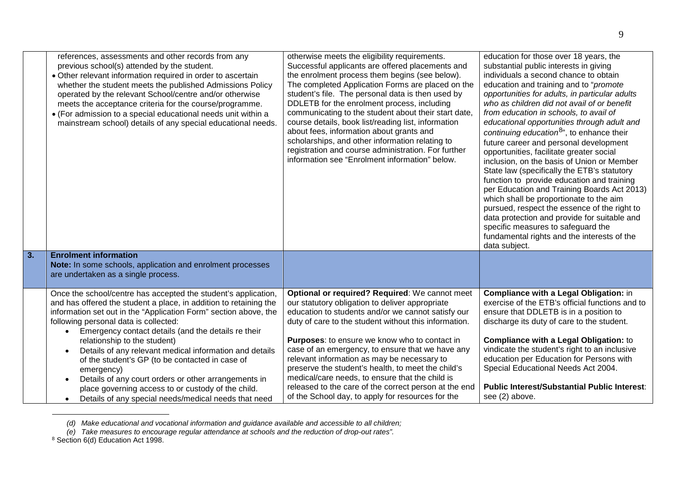<span id="page-8-0"></span>

|                  | references, assessments and other records from any<br>previous school(s) attended by the student.<br>• Other relevant information required in order to ascertain<br>whether the student meets the published Admissions Policy<br>operated by the relevant School/centre and/or otherwise<br>meets the acceptance criteria for the course/programme.<br>• (For admission to a special educational needs unit within a<br>mainstream school) details of any special educational needs.                                                     | otherwise meets the eligibility requirements.<br>Successful applicants are offered placements and<br>the enrolment process them begins (see below).<br>The completed Application Forms are placed on the<br>student's file. The personal data is then used by<br>DDLETB for the enrolment process, including<br>communicating to the student about their start date,<br>course details, book list/reading list, information<br>about fees, information about grants and<br>scholarships, and other information relating to<br>registration and course administration. For further<br>information see "Enrolment information" below. | education for those over 18 years, the<br>substantial public interests in giving<br>individuals a second chance to obtain<br>education and training and to "promote<br>opportunities for adults, in particular adults<br>who as children did not avail of or benefit<br>from education in schools, to avail of<br>educational opportunities through adult and<br>continuing education <sup>8</sup> ", to enhance their<br>future career and personal development<br>opportunities, facilitate greater social<br>inclusion, on the basis of Union or Member<br>State law (specifically the ETB's statutory<br>function to provide education and training<br>per Education and Training Boards Act 2013)<br>which shall be proportionate to the aim<br>pursued, respect the essence of the right to<br>data protection and provide for suitable and<br>specific measures to safeguard the<br>fundamental rights and the interests of the<br>data subject. |
|------------------|------------------------------------------------------------------------------------------------------------------------------------------------------------------------------------------------------------------------------------------------------------------------------------------------------------------------------------------------------------------------------------------------------------------------------------------------------------------------------------------------------------------------------------------|-------------------------------------------------------------------------------------------------------------------------------------------------------------------------------------------------------------------------------------------------------------------------------------------------------------------------------------------------------------------------------------------------------------------------------------------------------------------------------------------------------------------------------------------------------------------------------------------------------------------------------------|---------------------------------------------------------------------------------------------------------------------------------------------------------------------------------------------------------------------------------------------------------------------------------------------------------------------------------------------------------------------------------------------------------------------------------------------------------------------------------------------------------------------------------------------------------------------------------------------------------------------------------------------------------------------------------------------------------------------------------------------------------------------------------------------------------------------------------------------------------------------------------------------------------------------------------------------------------|
| $\overline{3}$ . | <b>Enrolment information</b><br>Note: In some schools, application and enrolment processes<br>are undertaken as a single process.                                                                                                                                                                                                                                                                                                                                                                                                        |                                                                                                                                                                                                                                                                                                                                                                                                                                                                                                                                                                                                                                     |                                                                                                                                                                                                                                                                                                                                                                                                                                                                                                                                                                                                                                                                                                                                                                                                                                                                                                                                                         |
|                  | Once the school/centre has accepted the student's application,<br>and has offered the student a place, in addition to retaining the<br>information set out in the "Application Form" section above, the<br>following personal data is collected:<br>Emergency contact details (and the details re their<br>$\bullet$<br>relationship to the student)<br>Details of any relevant medical information and details<br>of the student's GP (to be contacted in case of<br>emergency)<br>Details of any court orders or other arrangements in | Optional or required? Required: We cannot meet<br>our statutory obligation to deliver appropriate<br>education to students and/or we cannot satisfy our<br>duty of care to the student without this information.<br>Purposes: to ensure we know who to contact in<br>case of an emergency, to ensure that we have any<br>relevant information as may be necessary to<br>preserve the student's health, to meet the child's<br>medical/care needs, to ensure that the child is                                                                                                                                                       | <b>Compliance with a Legal Obligation: in</b><br>exercise of the ETB's official functions and to<br>ensure that DDLETB is in a position to<br>discharge its duty of care to the student.<br><b>Compliance with a Legal Obligation: to</b><br>vindicate the student's right to an inclusive<br>education per Education for Persons with<br>Special Educational Needs Act 2004.                                                                                                                                                                                                                                                                                                                                                                                                                                                                                                                                                                           |
|                  | place governing access to or custody of the child.<br>Details of any special needs/medical needs that need<br>$\bullet$                                                                                                                                                                                                                                                                                                                                                                                                                  | released to the care of the correct person at the end<br>of the School day, to apply for resources for the                                                                                                                                                                                                                                                                                                                                                                                                                                                                                                                          | <b>Public Interest/Substantial Public Interest:</b><br>see (2) above.                                                                                                                                                                                                                                                                                                                                                                                                                                                                                                                                                                                                                                                                                                                                                                                                                                                                                   |

*<sup>(</sup>d) Make educational and vocational information and guidance available and accessible to all children;* 

 $\overline{a}$ 

*<sup>(</sup>e) Take measures to encourage regular attendance at schools and the reduction of drop-out rates".* 

<sup>&</sup>lt;sup>8</sup> Section 6(d) Education Act 1998.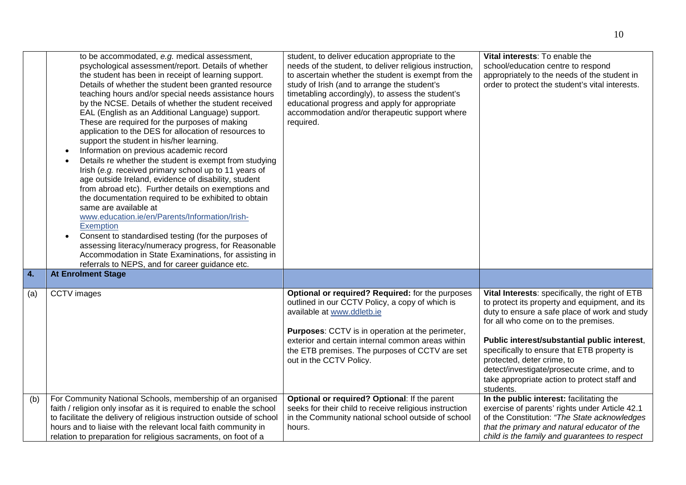| $\overline{4}$ . | to be accommodated, e.g. medical assessment,<br>psychological assessment/report. Details of whether<br>the student has been in receipt of learning support.<br>Details of whether the student been granted resource<br>teaching hours and/or special needs assistance hours<br>by the NCSE. Details of whether the student received<br>EAL (English as an Additional Language) support.<br>These are required for the purposes of making<br>application to the DES for allocation of resources to<br>support the student in his/her learning.<br>Information on previous academic record<br>Details re whether the student is exempt from studying<br>Irish (e.g. received primary school up to 11 years of<br>age outside Ireland, evidence of disability, student<br>from abroad etc). Further details on exemptions and<br>the documentation required to be exhibited to obtain<br>same are available at<br>www.education.ie/en/Parents/Information/Irish-<br>Exemption<br>Consent to standardised testing (for the purposes of<br>$\bullet$<br>assessing literacy/numeracy progress, for Reasonable<br>Accommodation in State Examinations, for assisting in<br>referrals to NEPS, and for career guidance etc.<br><b>At Enrolment Stage</b> | student, to deliver education appropriate to the<br>needs of the student, to deliver religious instruction,<br>to ascertain whether the student is exempt from the<br>study of Irish (and to arrange the student's<br>timetabling accordingly), to assess the student's<br>educational progress and apply for appropriate<br>accommodation and/or therapeutic support where<br>required. | Vital interests: To enable the<br>school/education centre to respond<br>appropriately to the needs of the student in<br>order to protect the student's vital interests.                                                                                                                                                                                                                                                                                                        |
|------------------|--------------------------------------------------------------------------------------------------------------------------------------------------------------------------------------------------------------------------------------------------------------------------------------------------------------------------------------------------------------------------------------------------------------------------------------------------------------------------------------------------------------------------------------------------------------------------------------------------------------------------------------------------------------------------------------------------------------------------------------------------------------------------------------------------------------------------------------------------------------------------------------------------------------------------------------------------------------------------------------------------------------------------------------------------------------------------------------------------------------------------------------------------------------------------------------------------------------------------------------------------|------------------------------------------------------------------------------------------------------------------------------------------------------------------------------------------------------------------------------------------------------------------------------------------------------------------------------------------------------------------------------------------|--------------------------------------------------------------------------------------------------------------------------------------------------------------------------------------------------------------------------------------------------------------------------------------------------------------------------------------------------------------------------------------------------------------------------------------------------------------------------------|
| (a)<br>(b)       | CCTV images<br>For Community National Schools, membership of an organised                                                                                                                                                                                                                                                                                                                                                                                                                                                                                                                                                                                                                                                                                                                                                                                                                                                                                                                                                                                                                                                                                                                                                                        | Optional or required? Required: for the purposes<br>outlined in our CCTV Policy, a copy of which is<br>available at www.ddletb.ie<br>Purposes: CCTV is in operation at the perimeter,<br>exterior and certain internal common areas within<br>the ETB premises. The purposes of CCTV are set<br>out in the CCTV Policy.<br>Optional or required? Optional: If the parent                 | Vital Interests: specifically, the right of ETB<br>to protect its property and equipment, and its<br>duty to ensure a safe place of work and study<br>for all who come on to the premises.<br>Public interest/substantial public interest,<br>specifically to ensure that ETB property is<br>protected, deter crime, to<br>detect/investigate/prosecute crime, and to<br>take appropriate action to protect staff and<br>students.<br>In the public interest: facilitating the |
|                  | faith / religion only insofar as it is required to enable the school<br>to facilitate the delivery of religious instruction outside of school<br>hours and to liaise with the relevant local faith community in<br>relation to preparation for religious sacraments, on foot of a                                                                                                                                                                                                                                                                                                                                                                                                                                                                                                                                                                                                                                                                                                                                                                                                                                                                                                                                                                | seeks for their child to receive religious instruction<br>in the Community national school outside of school<br>hours.                                                                                                                                                                                                                                                                   | exercise of parents' rights under Article 42.1<br>of the Constitution: "The State acknowledges<br>that the primary and natural educator of the<br>child is the family and guarantees to respect                                                                                                                                                                                                                                                                                |

10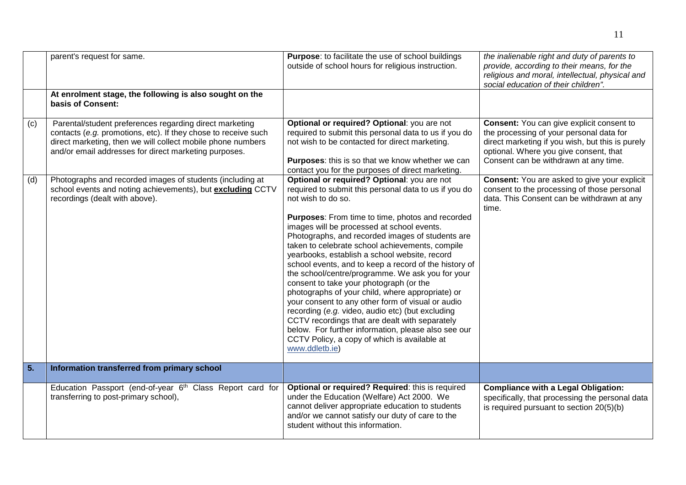|     | parent's request for same.<br>At enrolment stage, the following is also sought on the<br>basis of Consent:                                                                                                                                        | Purpose: to facilitate the use of school buildings<br>outside of school hours for religious instruction.                                                                                                                                                                                                                                                                                                                                                                                                                                                                                                                                                                                                                                                                                                                                                                             | the inalienable right and duty of parents to<br>provide, according to their means, for the<br>religious and moral, intellectual, physical and<br>social education of their children".                                               |
|-----|---------------------------------------------------------------------------------------------------------------------------------------------------------------------------------------------------------------------------------------------------|--------------------------------------------------------------------------------------------------------------------------------------------------------------------------------------------------------------------------------------------------------------------------------------------------------------------------------------------------------------------------------------------------------------------------------------------------------------------------------------------------------------------------------------------------------------------------------------------------------------------------------------------------------------------------------------------------------------------------------------------------------------------------------------------------------------------------------------------------------------------------------------|-------------------------------------------------------------------------------------------------------------------------------------------------------------------------------------------------------------------------------------|
| (c) | Parental/student preferences regarding direct marketing<br>contacts (e.g. promotions, etc). If they chose to receive such<br>direct marketing, then we will collect mobile phone numbers<br>and/or email addresses for direct marketing purposes. | Optional or required? Optional: you are not<br>required to submit this personal data to us if you do<br>not wish to be contacted for direct marketing.<br>Purposes: this is so that we know whether we can<br>contact you for the purposes of direct marketing.                                                                                                                                                                                                                                                                                                                                                                                                                                                                                                                                                                                                                      | <b>Consent:</b> You can give explicit consent to<br>the processing of your personal data for<br>direct marketing if you wish, but this is purely<br>optional. Where you give consent, that<br>Consent can be withdrawn at any time. |
| (d) | Photographs and recorded images of students (including at<br>school events and noting achievements), but excluding CCTV<br>recordings (dealt with above).                                                                                         | Optional or required? Optional: you are not<br>required to submit this personal data to us if you do<br>not wish to do so.<br>Purposes: From time to time, photos and recorded<br>images will be processed at school events.<br>Photographs, and recorded images of students are<br>taken to celebrate school achievements, compile<br>yearbooks, establish a school website, record<br>school events, and to keep a record of the history of<br>the school/centre/programme. We ask you for your<br>consent to take your photograph (or the<br>photographs of your child, where appropriate) or<br>your consent to any other form of visual or audio<br>recording (e.g. video, audio etc) (but excluding<br>CCTV recordings that are dealt with separately<br>below. For further information, please also see our<br>CCTV Policy, a copy of which is available at<br>www.ddletb.ie) | Consent: You are asked to give your explicit<br>consent to the processing of those personal<br>data. This Consent can be withdrawn at any<br>time.                                                                                  |
| 5.  | Information transferred from primary school                                                                                                                                                                                                       |                                                                                                                                                                                                                                                                                                                                                                                                                                                                                                                                                                                                                                                                                                                                                                                                                                                                                      |                                                                                                                                                                                                                                     |
|     | Education Passport (end-of-year 6 <sup>th</sup> Class Report card for<br>transferring to post-primary school),                                                                                                                                    | Optional or required? Required: this is required<br>under the Education (Welfare) Act 2000. We<br>cannot deliver appropriate education to students<br>and/or we cannot satisfy our duty of care to the<br>student without this information.                                                                                                                                                                                                                                                                                                                                                                                                                                                                                                                                                                                                                                          | <b>Compliance with a Legal Obligation:</b><br>specifically, that processing the personal data<br>is required pursuant to section 20(5)(b)                                                                                           |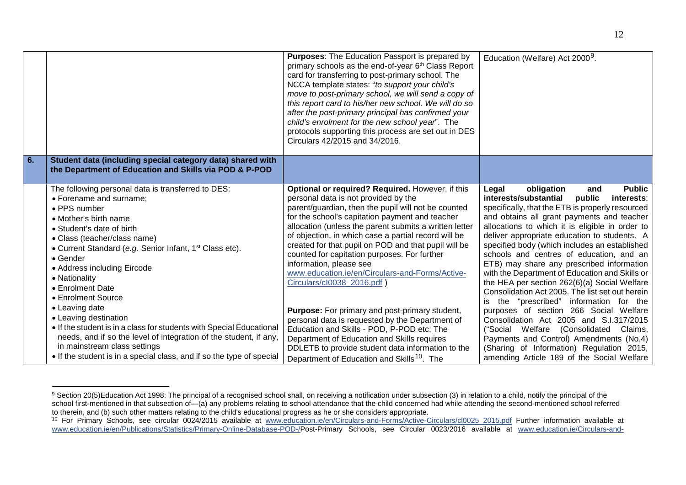<span id="page-11-1"></span><span id="page-11-0"></span>

|                                                                                                                                                                                                                                                                                                                                                                                                                                                                                                                                                                                                                                                                           | <b>Purposes:</b> The Education Passport is prepared by<br>primary schools as the end-of-year 6th Class Report<br>card for transferring to post-primary school. The<br>NCCA template states: "to support your child's<br>move to post-primary school, we will send a copy of<br>this report card to his/her new school. We will do so<br>after the post-primary principal has confirmed your<br>child's enrolment for the new school year". The<br>protocols supporting this process are set out in DES<br>Circulars 42/2015 and 34/2016.                                                                                                                                                                                                                                                                                                                        | Education (Welfare) Act 2000 <sup>9</sup> .                                                                                                                                                                                                                                                                                                                                                                                                                                                                                                                                                                                                                                                                                                                                                                                                                                                                         |
|---------------------------------------------------------------------------------------------------------------------------------------------------------------------------------------------------------------------------------------------------------------------------------------------------------------------------------------------------------------------------------------------------------------------------------------------------------------------------------------------------------------------------------------------------------------------------------------------------------------------------------------------------------------------------|-----------------------------------------------------------------------------------------------------------------------------------------------------------------------------------------------------------------------------------------------------------------------------------------------------------------------------------------------------------------------------------------------------------------------------------------------------------------------------------------------------------------------------------------------------------------------------------------------------------------------------------------------------------------------------------------------------------------------------------------------------------------------------------------------------------------------------------------------------------------|---------------------------------------------------------------------------------------------------------------------------------------------------------------------------------------------------------------------------------------------------------------------------------------------------------------------------------------------------------------------------------------------------------------------------------------------------------------------------------------------------------------------------------------------------------------------------------------------------------------------------------------------------------------------------------------------------------------------------------------------------------------------------------------------------------------------------------------------------------------------------------------------------------------------|
| 6.<br>Student data (including special category data) shared with<br>the Department of Education and Skills via POD & P-POD                                                                                                                                                                                                                                                                                                                                                                                                                                                                                                                                                |                                                                                                                                                                                                                                                                                                                                                                                                                                                                                                                                                                                                                                                                                                                                                                                                                                                                 |                                                                                                                                                                                                                                                                                                                                                                                                                                                                                                                                                                                                                                                                                                                                                                                                                                                                                                                     |
| The following personal data is transferred to DES:<br>• Forename and surname;<br>• PPS number<br>• Mother's birth name<br>• Student's date of birth<br>• Class (teacher/class name)<br>• Current Standard (e.g. Senior Infant, 1 <sup>st</sup> Class etc).<br>$\bullet$ Gender<br>• Address including Eircode<br>• Nationality<br>• Enrolment Date<br>• Enrolment Source<br>• Leaving date<br>• Leaving destination<br>• If the student is in a class for students with Special Educational<br>needs, and if so the level of integration of the student, if any,<br>in mainstream class settings<br>• If the student is in a special class, and if so the type of special | Optional or required? Required. However, if this<br>personal data is not provided by the<br>parent/guardian, then the pupil will not be counted<br>for the school's capitation payment and teacher<br>allocation (unless the parent submits a written letter<br>of objection, in which case a partial record will be<br>created for that pupil on POD and that pupil will be<br>counted for capitation purposes. For further<br>information, please see<br>www.education.ie/en/Circulars-and-Forms/Active-<br>Circulars/cl0038_2016.pdf<br><b>Purpose:</b> For primary and post-primary student,<br>personal data is requested by the Department of<br>Education and Skills - POD, P-POD etc: The<br>Department of Education and Skills requires<br>DDLETB to provide student data information to the<br>Department of Education and Skills <sup>10</sup> . The | <b>Public</b><br>obligation<br>Legal<br>and<br>interests/substantial<br>public<br>interests:<br>specifically, that the ETB is properly resourced<br>and obtains all grant payments and teacher<br>allocations to which it is eligible in order to<br>deliver appropriate education to students. A<br>specified body (which includes an established<br>schools and centres of education, and an<br>ETB) may share any prescribed information<br>with the Department of Education and Skills or<br>the HEA per section 262(6)(a) Social Welfare<br>Consolidation Act 2005. The list set out herein<br>the "prescribed" information for the<br>is<br>purposes of section 266 Social Welfare<br>Consolidation Act 2005 and S.I.317/2015<br>("Social Welfare (Consolidated Claims,<br>Payments and Control) Amendments (No.4)<br>(Sharing of Information) Regulation 2015,<br>amending Article 189 of the Social Welfare |

 $\overline{a}$ 

<sup>&</sup>lt;sup>9</sup> Section 20(5)Education Act 1998: The principal of a recognised school shall, on receiving a notification under subsection (3) in relation to a child, notify the principal of the school first-mentioned in that subsection of—(a) any problems relating to school attendance that the child concerned had while attending the second-mentioned school referred to therein, and (b) such other matters relating to the child's educational progress as he or she considers appropriate.

<sup>&</sup>lt;sup>10</sup> For Primary Schools, see circular 0024/2015 available at [www.education.ie/en/Circulars-and-Forms/Active-Circulars/cl0025\\_2015.pdf](http://www.education.ie/en/Circulars-and-Forms/Active-Circulars/cl0025_2015.pdf) Further information available at [www.education.ie/en/Publications/Statistics/Primary-Online-Database-POD-/P](http://www.education.ie/en/Publications/Statistics/Primary-Online-Database-POD-/)ost-Primary Schools, see Circular 0023/2016 available at [www.education.ie/Circulars-and-](http://www.education.ie/Circulars-and-Forms/Active-Circulars/cl0023_2016.pdf)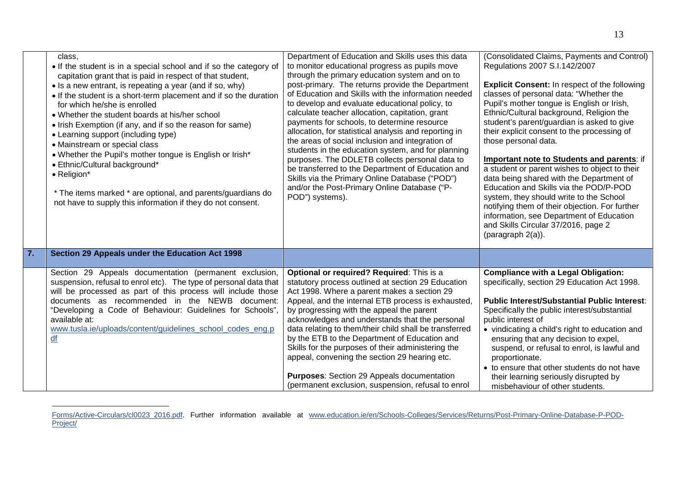|                  | class,<br>• If the student is in a special school and if so the category of<br>capitation grant that is paid in respect of that student,<br>• Is a new entrant, is repeating a year (and if so, why)<br>• If the student is a short-term placement and if so the duration<br>for which he/she is enrolled<br>• Whether the student boards at his/her school<br>• Irish Exemption (if any, and if so the reason for same)<br>• Learning support (including type)<br>• Mainstream or special class<br>• Whether the Pupil's mother tongue is English or Irish*<br>• Ethnic/Cultural background*<br>• Religion*<br>* The items marked * are optional, and parents/guardians do<br>not have to supply this information if they do not consent. | Department of Education and Skills uses this data<br>to monitor educational progress as pupils move<br>through the primary education system and on to<br>post-primary. The returns provide the Department<br>of Education and Skills with the information needed<br>to develop and evaluate educational policy, to<br>calculate teacher allocation, capitation, grant<br>payments for schools, to determine resource<br>allocation, for statistical analysis and reporting in<br>the areas of social inclusion and integration of<br>students in the education system, and for planning<br>purposes. The DDLETB collects personal data to<br>be transferred to the Department of Education and<br>Skills via the Primary Online Database ("POD")<br>and/or the Post-Primary Online Database ("P-<br>POD") systems). | (Consolidated Claims, Payments and Control)<br>Regulations 2007 S.I.142/2007<br>Explicit Consent: In respect of the following<br>classes of personal data: "Whether the<br>Pupil's mother tongue is English or Irish,<br>Ethnic/Cultural background, Religion the<br>student's parent/guardian is asked to give<br>their explicit consent to the processing of<br>those personal data.<br><b>Important note to Students and parents: if</b><br>a student or parent wishes to object to their<br>data being shared with the Department of<br>Education and Skills via the POD/P-POD<br>system, they should write to the School<br>notifying them of their objection. For further<br>information, see Department of Education<br>and Skills Circular 37/2016, page 2<br>(paragraph 2(a)). |
|------------------|--------------------------------------------------------------------------------------------------------------------------------------------------------------------------------------------------------------------------------------------------------------------------------------------------------------------------------------------------------------------------------------------------------------------------------------------------------------------------------------------------------------------------------------------------------------------------------------------------------------------------------------------------------------------------------------------------------------------------------------------|---------------------------------------------------------------------------------------------------------------------------------------------------------------------------------------------------------------------------------------------------------------------------------------------------------------------------------------------------------------------------------------------------------------------------------------------------------------------------------------------------------------------------------------------------------------------------------------------------------------------------------------------------------------------------------------------------------------------------------------------------------------------------------------------------------------------|-----------------------------------------------------------------------------------------------------------------------------------------------------------------------------------------------------------------------------------------------------------------------------------------------------------------------------------------------------------------------------------------------------------------------------------------------------------------------------------------------------------------------------------------------------------------------------------------------------------------------------------------------------------------------------------------------------------------------------------------------------------------------------------------|
| $\overline{7}$ . | Section 29 Appeals under the Education Act 1998                                                                                                                                                                                                                                                                                                                                                                                                                                                                                                                                                                                                                                                                                            |                                                                                                                                                                                                                                                                                                                                                                                                                                                                                                                                                                                                                                                                                                                                                                                                                     |                                                                                                                                                                                                                                                                                                                                                                                                                                                                                                                                                                                                                                                                                                                                                                                         |
|                  | Section 29 Appeals documentation (permanent exclusion,<br>suspension, refusal to enrol etc). The type of personal data that<br>will be processed as part of this process will include those<br>documents as recommended in the NEWB document:<br>"Developing a Code of Behaviour: Guidelines for Schools"<br>available at:<br>www.tusla.ie/uploads/content/guidelines_school_codes_eng.p<br><u>df</u>                                                                                                                                                                                                                                                                                                                                      | Optional or required? Required: This is a<br>statutory process outlined at section 29 Education<br>Act 1998. Where a parent makes a section 29<br>Appeal, and the internal ETB process is exhausted,<br>by progressing with the appeal the parent<br>acknowledges and understands that the personal<br>data relating to them/their child shall be transferred<br>by the ETB to the Department of Education and<br>Skills for the purposes of their administering the<br>appeal, convening the section 29 hearing etc.<br><b>Purposes:</b> Section 29 Appeals documentation<br>(permanent exclusion, suspension, refusal to enrol                                                                                                                                                                                    | <b>Compliance with a Legal Obligation:</b><br>specifically, section 29 Education Act 1998.<br><b>Public Interest/Substantial Public Interest:</b><br>Specifically the public interest/substantial<br>public interest of<br>• vindicating a child's right to education and<br>ensuring that any decision to expel,<br>suspend, or refusal to enrol, is lawful and<br>proportionate.<br>• to ensure that other students do not have<br>their learning seriously disrupted by<br>misbehaviour of other students.                                                                                                                                                                                                                                                                           |

[Forms/Active-Circulars/cl0023\\_2016.pdf.](http://www.education.ie/Circulars-and-Forms/Active-Circulars/cl0023_2016.pdf) Further information available at [www.education.ie/en/Schools-Colleges/Services/Returns/Post-Primary-Online-Database-P-POD-](http://www.education.ie/en/Schools-Colleges/Services/Returns/Post-Primary-Online-Database-P-POD-Project/)[Project/](http://www.education.ie/en/Schools-Colleges/Services/Returns/Post-Primary-Online-Database-P-POD-Project/)

 $\overline{a}$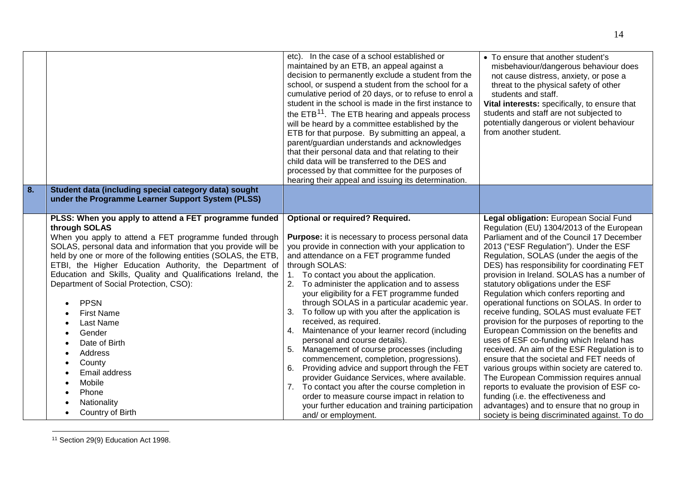<span id="page-13-0"></span>

|    |                                                                                                                                                                                                                                                                                                                                                                                                                                                                                                                                                                                                                                                                                     | etc). In the case of a school established or<br>maintained by an ETB, an appeal against a<br>decision to permanently exclude a student from the<br>school, or suspend a student from the school for a<br>cumulative period of 20 days, or to refuse to enrol a<br>student in the school is made in the first instance to<br>the $ETB11$ . The ETB hearing and appeals process<br>will be heard by a committee established by the<br>ETB for that purpose. By submitting an appeal, a<br>parent/guardian understands and acknowledges<br>that their personal data and that relating to their<br>child data will be transferred to the DES and<br>processed by that committee for the purposes of<br>hearing their appeal and issuing its determination.                                                                                                                                                                                                          | • To ensure that another student's<br>misbehaviour/dangerous behaviour does<br>not cause distress, anxiety, or pose a<br>threat to the physical safety of other<br>students and staff.<br>Vital interests: specifically, to ensure that<br>students and staff are not subjected to<br>potentially dangerous or violent behaviour<br>from another student.                                                                                                                                                                                                                                                                                                                                                                                                                                                                                                                                                                                                                                                                  |
|----|-------------------------------------------------------------------------------------------------------------------------------------------------------------------------------------------------------------------------------------------------------------------------------------------------------------------------------------------------------------------------------------------------------------------------------------------------------------------------------------------------------------------------------------------------------------------------------------------------------------------------------------------------------------------------------------|-----------------------------------------------------------------------------------------------------------------------------------------------------------------------------------------------------------------------------------------------------------------------------------------------------------------------------------------------------------------------------------------------------------------------------------------------------------------------------------------------------------------------------------------------------------------------------------------------------------------------------------------------------------------------------------------------------------------------------------------------------------------------------------------------------------------------------------------------------------------------------------------------------------------------------------------------------------------|----------------------------------------------------------------------------------------------------------------------------------------------------------------------------------------------------------------------------------------------------------------------------------------------------------------------------------------------------------------------------------------------------------------------------------------------------------------------------------------------------------------------------------------------------------------------------------------------------------------------------------------------------------------------------------------------------------------------------------------------------------------------------------------------------------------------------------------------------------------------------------------------------------------------------------------------------------------------------------------------------------------------------|
| 8. | Student data (including special category data) sought<br>under the Programme Learner Support System (PLSS)                                                                                                                                                                                                                                                                                                                                                                                                                                                                                                                                                                          |                                                                                                                                                                                                                                                                                                                                                                                                                                                                                                                                                                                                                                                                                                                                                                                                                                                                                                                                                                 |                                                                                                                                                                                                                                                                                                                                                                                                                                                                                                                                                                                                                                                                                                                                                                                                                                                                                                                                                                                                                            |
|    | PLSS: When you apply to attend a FET programme funded<br>through SOLAS<br>When you apply to attend a FET programme funded through<br>SOLAS, personal data and information that you provide will be<br>held by one or more of the following entities (SOLAS, the ETB,<br>ETBI, the Higher Education Authority, the Department of<br>Education and Skills, Quality and Qualifications Ireland, the<br>Department of Social Protection, CSO):<br><b>PPSN</b><br><b>First Name</b><br>Last Name<br>Gender<br>$\bullet$<br>Date of Birth<br>Address<br>$\bullet$<br>County<br>$\bullet$<br>Email address<br>Mobile<br>$\bullet$<br>Phone<br>$\bullet$<br>Nationality<br>Country of Birth | Optional or required? Required.<br>Purpose: it is necessary to process personal data<br>you provide in connection with your application to<br>and attendance on a FET programme funded<br>through SOLAS:<br>1. To contact you about the application.<br>2. To administer the application and to assess<br>your eligibility for a FET programme funded<br>through SOLAS in a particular academic year.<br>3. To follow up with you after the application is<br>received, as required.<br>4. Maintenance of your learner record (including<br>personal and course details).<br>5.<br>Management of course processes (including<br>commencement, completion, progressions).<br>Providing advice and support through the FET<br>6.<br>provider Guidance Services, where available.<br>7. To contact you after the course completion in<br>order to measure course impact in relation to<br>your further education and training participation<br>and/ or employment. | Legal obligation: European Social Fund<br>Regulation (EU) 1304/2013 of the European<br>Parliament and of the Council 17 December<br>2013 ("ESF Regulation"). Under the ESF<br>Regulation, SOLAS (under the aegis of the<br>DES) has responsibility for coordinating FET<br>provision in Ireland. SOLAS has a number of<br>statutory obligations under the ESF<br>Regulation which confers reporting and<br>operational functions on SOLAS. In order to<br>receive funding, SOLAS must evaluate FET<br>provision for the purposes of reporting to the<br>European Commission on the benefits and<br>uses of ESF co-funding which Ireland has<br>received. An aim of the ESF Regulation is to<br>ensure that the societal and FET needs of<br>various groups within society are catered to.<br>The European Commission requires annual<br>reports to evaluate the provision of ESF co-<br>funding (i.e. the effectiveness and<br>advantages) and to ensure that no group in<br>society is being discriminated against. To do |

 $\overline{a}$ <sup>11</sup> Section 29(9) Education Act 1998.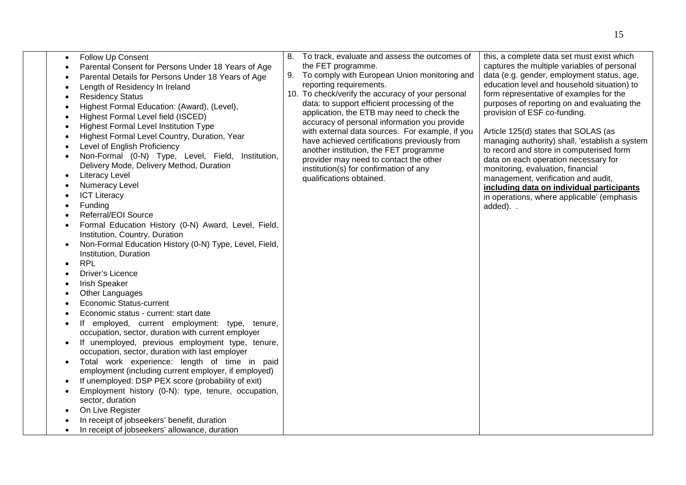| Follow Up Consent<br>$\bullet$<br>Parental Consent for Persons Under 18 Years of Age<br>$\bullet$<br>Parental Details for Persons Under 18 Years of Age<br>Length of Residency In Ireland<br>$\bullet$<br><b>Residency Status</b><br>Highest Formal Education: (Award), (Level),<br>Highest Formal Level field (ISCED)<br><b>Highest Formal Level Institution Type</b><br>Highest Formal Level Country, Duration, Year<br>$\bullet$<br>Level of English Proficiency<br>Non-Formal (0-N) Type, Level, Field, Institution,<br>$\bullet$<br>Delivery Mode, Delivery Method, Duration<br><b>Literacy Level</b><br>$\bullet$<br>Numeracy Level<br><b>ICT Literacy</b><br>Funding<br>Referral/EOI Source<br>Formal Education History (0-N) Award, Level, Field,<br>$\bullet$<br>Institution, Country, Duration<br>Non-Formal Education History (0-N) Type, Level, Field,<br>$\bullet$<br>Institution, Duration<br><b>RPL</b><br>$\bullet$<br>Driver's Licence<br><b>Irish Speaker</b><br>Other Languages<br>$\bullet$<br><b>Economic Status-current</b><br>Economic status - current: start date<br>If employed, current employment: type, tenure,<br>$\bullet$<br>occupation, sector, duration with current employer<br>If unemployed, previous employment type, tenure,<br>$\bullet$<br>occupation, sector, duration with last employer<br>Total work experience: length of time in paid<br>employment (including current employer, if employed)<br>If unemployed: DSP PEX score (probability of exit)<br>$\bullet$<br>Employment history (0-N): type, tenure, occupation,<br>$\bullet$<br>sector, duration<br>On Live Register<br>In receipt of jobseekers' benefit, duration<br>In receipt of jobseekers' allowance, duration | 8.<br>To track, evaluate and assess the outcomes of<br>the FET programme.<br>To comply with European Union monitoring and<br>9.<br>reporting requirements.<br>10. To check/verify the accuracy of your personal<br>data: to support efficient processing of the<br>application, the ETB may need to check the<br>accuracy of personal information you provide<br>with external data sources. For example, if you<br>have achieved certifications previously from<br>another institution, the FET programme<br>provider may need to contact the other<br>institution(s) for confirmation of any<br>qualifications obtained. | this, a complete data set must exist which<br>captures the multiple variables of personal<br>data (e.g. gender, employment status, age,<br>education level and household situation) to<br>form representative of examples for the<br>purposes of reporting on and evaluating the<br>provision of ESF co-funding.<br>Article 125(d) states that SOLAS (as<br>managing authority) shall, 'establish a system<br>to record and store in computerised form<br>data on each operation necessary for<br>monitoring, evaluation, financial<br>management, verification and audit,<br>including data on individual participants<br>in operations, where applicable' (emphasis<br>added) |
|-----------------------------------------------------------------------------------------------------------------------------------------------------------------------------------------------------------------------------------------------------------------------------------------------------------------------------------------------------------------------------------------------------------------------------------------------------------------------------------------------------------------------------------------------------------------------------------------------------------------------------------------------------------------------------------------------------------------------------------------------------------------------------------------------------------------------------------------------------------------------------------------------------------------------------------------------------------------------------------------------------------------------------------------------------------------------------------------------------------------------------------------------------------------------------------------------------------------------------------------------------------------------------------------------------------------------------------------------------------------------------------------------------------------------------------------------------------------------------------------------------------------------------------------------------------------------------------------------------------------------------------------------------------------------------------------------------------------------------|----------------------------------------------------------------------------------------------------------------------------------------------------------------------------------------------------------------------------------------------------------------------------------------------------------------------------------------------------------------------------------------------------------------------------------------------------------------------------------------------------------------------------------------------------------------------------------------------------------------------------|---------------------------------------------------------------------------------------------------------------------------------------------------------------------------------------------------------------------------------------------------------------------------------------------------------------------------------------------------------------------------------------------------------------------------------------------------------------------------------------------------------------------------------------------------------------------------------------------------------------------------------------------------------------------------------|
|-----------------------------------------------------------------------------------------------------------------------------------------------------------------------------------------------------------------------------------------------------------------------------------------------------------------------------------------------------------------------------------------------------------------------------------------------------------------------------------------------------------------------------------------------------------------------------------------------------------------------------------------------------------------------------------------------------------------------------------------------------------------------------------------------------------------------------------------------------------------------------------------------------------------------------------------------------------------------------------------------------------------------------------------------------------------------------------------------------------------------------------------------------------------------------------------------------------------------------------------------------------------------------------------------------------------------------------------------------------------------------------------------------------------------------------------------------------------------------------------------------------------------------------------------------------------------------------------------------------------------------------------------------------------------------------------------------------------------------|----------------------------------------------------------------------------------------------------------------------------------------------------------------------------------------------------------------------------------------------------------------------------------------------------------------------------------------------------------------------------------------------------------------------------------------------------------------------------------------------------------------------------------------------------------------------------------------------------------------------------|---------------------------------------------------------------------------------------------------------------------------------------------------------------------------------------------------------------------------------------------------------------------------------------------------------------------------------------------------------------------------------------------------------------------------------------------------------------------------------------------------------------------------------------------------------------------------------------------------------------------------------------------------------------------------------|

15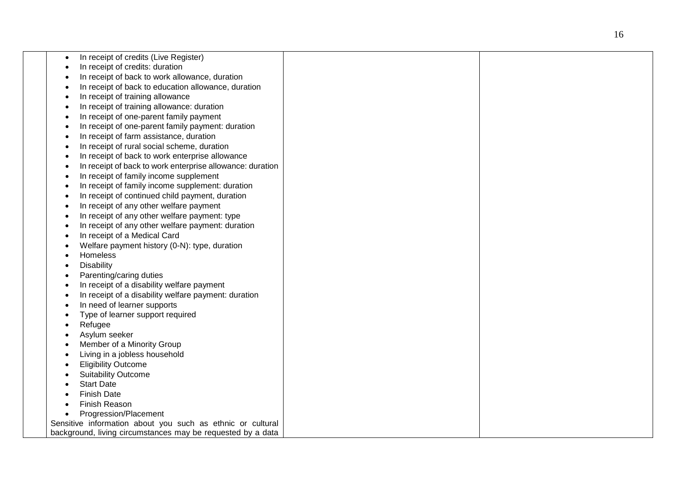|  | In receipt of credits (Live Register)                       |  |
|--|-------------------------------------------------------------|--|
|  | In receipt of credits: duration                             |  |
|  | In receipt of back to work allowance, duration              |  |
|  | In receipt of back to education allowance, duration         |  |
|  | In receipt of training allowance                            |  |
|  | In receipt of training allowance: duration                  |  |
|  | In receipt of one-parent family payment                     |  |
|  | In receipt of one-parent family payment: duration           |  |
|  | In receipt of farm assistance, duration                     |  |
|  | In receipt of rural social scheme, duration                 |  |
|  | In receipt of back to work enterprise allowance             |  |
|  | In receipt of back to work enterprise allowance: duration   |  |
|  | In receipt of family income supplement                      |  |
|  | In receipt of family income supplement: duration            |  |
|  | In receipt of continued child payment, duration             |  |
|  | In receipt of any other welfare payment                     |  |
|  | In receipt of any other welfare payment: type               |  |
|  | In receipt of any other welfare payment: duration           |  |
|  | In receipt of a Medical Card                                |  |
|  | Welfare payment history (0-N): type, duration               |  |
|  | Homeless                                                    |  |
|  | <b>Disability</b>                                           |  |
|  | Parenting/caring duties                                     |  |
|  | In receipt of a disability welfare payment                  |  |
|  | In receipt of a disability welfare payment: duration        |  |
|  | In need of learner supports                                 |  |
|  | Type of learner support required                            |  |
|  | Refugee                                                     |  |
|  | Asylum seeker                                               |  |
|  | Member of a Minority Group                                  |  |
|  | Living in a jobless household                               |  |
|  | <b>Eligibility Outcome</b>                                  |  |
|  | <b>Suitability Outcome</b>                                  |  |
|  | <b>Start Date</b>                                           |  |
|  | <b>Finish Date</b>                                          |  |
|  | Finish Reason                                               |  |
|  | Progression/Placement                                       |  |
|  | Sensitive information about you such as ethnic or cultural  |  |
|  | background, living circumstances may be requested by a data |  |

16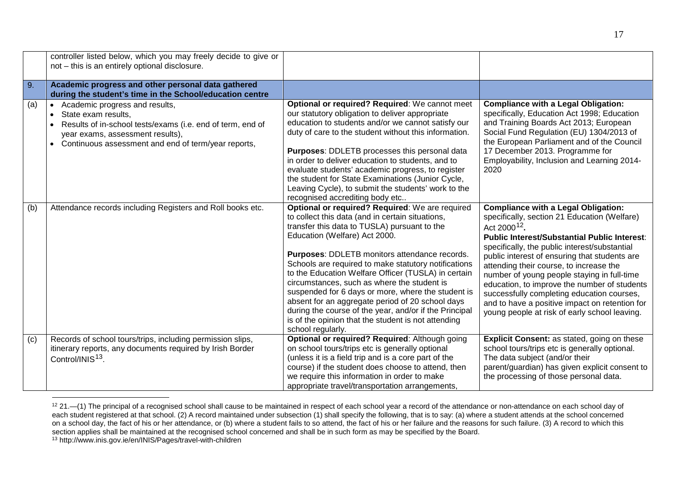<span id="page-16-1"></span><span id="page-16-0"></span>

|     | controller listed below, which you may freely decide to give or<br>not - this is an entirely optional disclosure.                                                                                              |                                                                                                                                                                                                                                                                                                                                                                                                                                                                                                                                                                                                                                                     |                                                                                                                                                                                                                                                                                                                                                                                                                                                                                                                                                                            |
|-----|----------------------------------------------------------------------------------------------------------------------------------------------------------------------------------------------------------------|-----------------------------------------------------------------------------------------------------------------------------------------------------------------------------------------------------------------------------------------------------------------------------------------------------------------------------------------------------------------------------------------------------------------------------------------------------------------------------------------------------------------------------------------------------------------------------------------------------------------------------------------------------|----------------------------------------------------------------------------------------------------------------------------------------------------------------------------------------------------------------------------------------------------------------------------------------------------------------------------------------------------------------------------------------------------------------------------------------------------------------------------------------------------------------------------------------------------------------------------|
| 9.  | Academic progress and other personal data gathered<br>during the student's time in the School/education centre                                                                                                 |                                                                                                                                                                                                                                                                                                                                                                                                                                                                                                                                                                                                                                                     |                                                                                                                                                                                                                                                                                                                                                                                                                                                                                                                                                                            |
| (a) | Academic progress and results,<br>State exam results,<br>Results of in-school tests/exams (i.e. end of term, end of<br>year exams, assessment results),<br>Continuous assessment and end of term/year reports, | Optional or required? Required: We cannot meet<br>our statutory obligation to deliver appropriate<br>education to students and/or we cannot satisfy our<br>duty of care to the student without this information.<br>Purposes: DDLETB processes this personal data<br>in order to deliver education to students, and to<br>evaluate students' academic progress, to register<br>the student for State Examinations (Junior Cycle,<br>Leaving Cycle), to submit the students' work to the<br>recognised accrediting body etc                                                                                                                          | <b>Compliance with a Legal Obligation:</b><br>specifically, Education Act 1998; Education<br>and Training Boards Act 2013; European<br>Social Fund Regulation (EU) 1304/2013 of<br>the European Parliament and of the Council<br>17 December 2013. Programme for<br>Employability, Inclusion and Learning 2014-<br>2020                                                                                                                                                                                                                                                    |
| (b) | Attendance records including Registers and Roll books etc.                                                                                                                                                     | Optional or required? Required: We are required<br>to collect this data (and in certain situations,<br>transfer this data to TUSLA) pursuant to the<br>Education (Welfare) Act 2000.<br>Purposes: DDLETB monitors attendance records.<br>Schools are required to make statutory notifications<br>to the Education Welfare Officer (TUSLA) in certain<br>circumstances, such as where the student is<br>suspended for 6 days or more, where the student is<br>absent for an aggregate period of 20 school days<br>during the course of the year, and/or if the Principal<br>is of the opinion that the student is not attending<br>school regularly. | <b>Compliance with a Legal Obligation:</b><br>specifically, section 21 Education (Welfare)<br>Act 2000 <sup>12</sup> .<br><b>Public Interest/Substantial Public Interest:</b><br>specifically, the public interest/substantial<br>public interest of ensuring that students are<br>attending their course, to increase the<br>number of young people staying in full-time<br>education, to improve the number of students<br>successfully completing education courses,<br>and to have a positive impact on retention for<br>young people at risk of early school leaving. |
| (c) | Records of school tours/trips, including permission slips,<br>itinerary reports, any documents required by Irish Border<br>Control/INIS <sup>13</sup> .                                                        | Optional or required? Required: Although going<br>on school tours/trips etc is generally optional<br>(unless it is a field trip and is a core part of the<br>course) if the student does choose to attend, then<br>we require this information in order to make<br>appropriate travel/transportation arrangements,                                                                                                                                                                                                                                                                                                                                  | Explicit Consent: as stated, going on these<br>school tours/trips etc is generally optional.<br>The data subject (and/or their<br>parent/guardian) has given explicit consent to<br>the processing of those personal data.                                                                                                                                                                                                                                                                                                                                                 |

 $\overline{a}$  $12$  21.—(1) The principal of a recognised school shall cause to be maintained in respect of each school year a record of the attendance or non-attendance on each school day of each student registered at that school. (2) A record maintained under subsection (1) shall specify the following, that is to say: (a) where a student attends at the school concerned on a school day, the fact of his or her attendance, or (b) where a student fails to so attend, the fact of his or her failure and the reasons for such failure. (3) A record to which this section applies shall be maintained at the recognised school concerned and shall be in such form as may be specified by the Board.

<sup>13</sup> http://www.inis.gov.ie/en/INIS/Pages/travel-with-children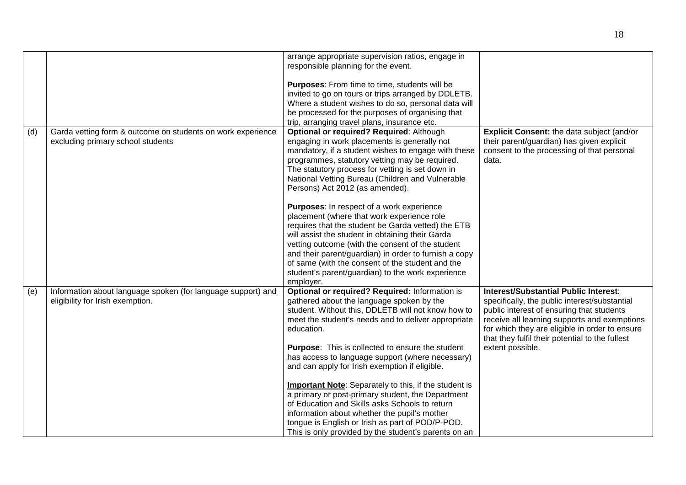|     |                                                              | arrange appropriate supervision ratios, engage in            |                                                 |
|-----|--------------------------------------------------------------|--------------------------------------------------------------|-------------------------------------------------|
|     |                                                              |                                                              |                                                 |
|     |                                                              | responsible planning for the event.                          |                                                 |
|     |                                                              |                                                              |                                                 |
|     |                                                              | Purposes: From time to time, students will be                |                                                 |
|     |                                                              | invited to go on tours or trips arranged by DDLETB.          |                                                 |
|     |                                                              | Where a student wishes to do so, personal data will          |                                                 |
|     |                                                              | be processed for the purposes of organising that             |                                                 |
|     |                                                              | trip, arranging travel plans, insurance etc.                 |                                                 |
| (d) | Garda vetting form & outcome on students on work experience  | Optional or required? Required: Although                     | Explicit Consent: the data subject (and/or      |
|     | excluding primary school students                            | engaging in work placements is generally not                 | their parent/guardian) has given explicit       |
|     |                                                              | mandatory, if a student wishes to engage with these          | consent to the processing of that personal      |
|     |                                                              | programmes, statutory vetting may be required.               | data.                                           |
|     |                                                              | The statutory process for vetting is set down in             |                                                 |
|     |                                                              | National Vetting Bureau (Children and Vulnerable             |                                                 |
|     |                                                              |                                                              |                                                 |
|     |                                                              | Persons) Act 2012 (as amended).                              |                                                 |
|     |                                                              |                                                              |                                                 |
|     |                                                              | Purposes: In respect of a work experience                    |                                                 |
|     |                                                              | placement (where that work experience role                   |                                                 |
|     |                                                              | requires that the student be Garda vetted) the ETB           |                                                 |
|     |                                                              | will assist the student in obtaining their Garda             |                                                 |
|     |                                                              | vetting outcome (with the consent of the student             |                                                 |
|     |                                                              | and their parent/guardian) in order to furnish a copy        |                                                 |
|     |                                                              | of same (with the consent of the student and the             |                                                 |
|     |                                                              | student's parent/guardian) to the work experience            |                                                 |
|     |                                                              | employer.                                                    |                                                 |
| (e) | Information about language spoken (for language support) and | Optional or required? Required: Information is               | <b>Interest/Substantial Public Interest:</b>    |
|     | eligibility for Irish exemption.                             | gathered about the language spoken by the                    | specifically, the public interest/substantial   |
|     |                                                              | student. Without this, DDLETB will not know how to           | public interest of ensuring that students       |
|     |                                                              | meet the student's needs and to deliver appropriate          | receive all learning supports and exemptions    |
|     |                                                              | education.                                                   | for which they are eligible in order to ensure  |
|     |                                                              |                                                              | that they fulfil their potential to the fullest |
|     |                                                              | <b>Purpose:</b> This is collected to ensure the student      | extent possible.                                |
|     |                                                              | has access to language support (where necessary)             |                                                 |
|     |                                                              |                                                              |                                                 |
|     |                                                              | and can apply for Irish exemption if eligible.               |                                                 |
|     |                                                              | <b>Important Note:</b> Separately to this, if the student is |                                                 |
|     |                                                              | a primary or post-primary student, the Department            |                                                 |
|     |                                                              | of Education and Skills asks Schools to return               |                                                 |
|     |                                                              |                                                              |                                                 |
|     |                                                              | information about whether the pupil's mother                 |                                                 |
|     |                                                              | tongue is English or Irish as part of POD/P-POD.             |                                                 |
|     |                                                              | This is only provided by the student's parents on an         |                                                 |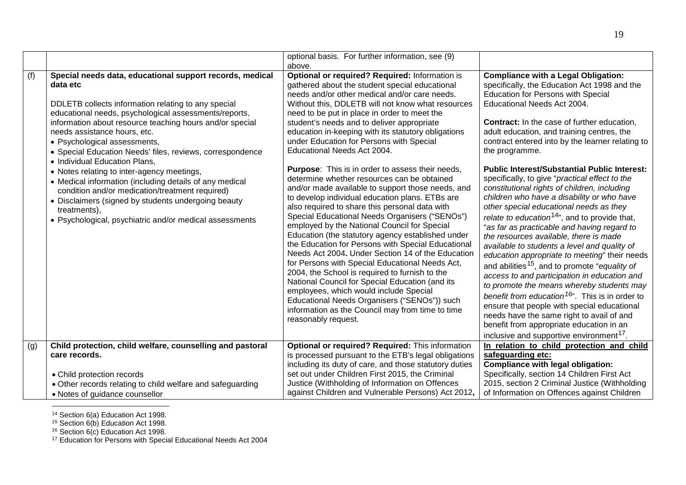<span id="page-18-3"></span><span id="page-18-2"></span><span id="page-18-1"></span><span id="page-18-0"></span>

|     |                                                                                                                                                                                                                                                                                                                                                                                                                                                                                                                                                                                                                                                                                                              | optional basis. For further information, see (9)<br>above.                                                                                                                                                                                                                                                                                                                                                                                                                                                                                                                                                                                                                                                                                                                                                                                                                                                                                                                                                                                                                                                                                                                                                                                                                                                |                                                                                                                                                                                                                                                                                                                                                                                                                                                                                                                                                                                                                                                                                                                                                                                                                                                                                                                                                                                                                                                                                                                                                                                                                                                                                    |
|-----|--------------------------------------------------------------------------------------------------------------------------------------------------------------------------------------------------------------------------------------------------------------------------------------------------------------------------------------------------------------------------------------------------------------------------------------------------------------------------------------------------------------------------------------------------------------------------------------------------------------------------------------------------------------------------------------------------------------|-----------------------------------------------------------------------------------------------------------------------------------------------------------------------------------------------------------------------------------------------------------------------------------------------------------------------------------------------------------------------------------------------------------------------------------------------------------------------------------------------------------------------------------------------------------------------------------------------------------------------------------------------------------------------------------------------------------------------------------------------------------------------------------------------------------------------------------------------------------------------------------------------------------------------------------------------------------------------------------------------------------------------------------------------------------------------------------------------------------------------------------------------------------------------------------------------------------------------------------------------------------------------------------------------------------|------------------------------------------------------------------------------------------------------------------------------------------------------------------------------------------------------------------------------------------------------------------------------------------------------------------------------------------------------------------------------------------------------------------------------------------------------------------------------------------------------------------------------------------------------------------------------------------------------------------------------------------------------------------------------------------------------------------------------------------------------------------------------------------------------------------------------------------------------------------------------------------------------------------------------------------------------------------------------------------------------------------------------------------------------------------------------------------------------------------------------------------------------------------------------------------------------------------------------------------------------------------------------------|
| (f) | Special needs data, educational support records, medical<br>data etc<br>DDLETB collects information relating to any special<br>educational needs, psychological assessments/reports,<br>information about resource teaching hours and/or special<br>needs assistance hours, etc.<br>• Psychological assessments,<br>• Special Education Needs' files, reviews, correspondence<br>• Individual Education Plans,<br>• Notes relating to inter-agency meetings,<br>• Medical information (including details of any medical<br>condition and/or medication/treatment required)<br>• Disclaimers (signed by students undergoing beauty<br>treatments),<br>• Psychological, psychiatric and/or medical assessments | Optional or required? Required: Information is<br>gathered about the student special educational<br>needs and/or other medical and/or care needs.<br>Without this, DDLETB will not know what resources<br>need to be put in place in order to meet the<br>student's needs and to deliver appropriate<br>education in-keeping with its statutory obligations<br>under Education for Persons with Special<br>Educational Needs Act 2004.<br><b>Purpose:</b> This is in order to assess their needs,<br>determine whether resources can be obtained<br>and/or made available to support those needs, and<br>to develop individual education plans. ETBs are<br>also required to share this personal data with<br>Special Educational Needs Organisers ("SENOs")<br>employed by the National Council for Special<br>Education (the statutory agency established under<br>the Education for Persons with Special Educational<br>Needs Act 2004. Under Section 14 of the Education<br>for Persons with Special Educational Needs Act,<br>2004, the School is required to furnish to the<br>National Council for Special Education (and its<br>employees, which would include Special<br>Educational Needs Organisers ("SENOs")) such<br>information as the Council may from time to time<br>reasonably request. | <b>Compliance with a Legal Obligation:</b><br>specifically, the Education Act 1998 and the<br><b>Education for Persons with Special</b><br>Educational Needs Act 2004.<br><b>Contract:</b> In the case of further education,<br>adult education, and training centres, the<br>contract entered into by the learner relating to<br>the programme.<br><b>Public Interest/Substantial Public Interest:</b><br>specifically, to give "practical effect to the<br>constitutional rights of children, including<br>children who have a disability or who have<br>other special educational needs as they<br>relate to education <sup>14</sup> ", and to provide that,<br>"as far as practicable and having regard to<br>the resources available, there is made<br>available to students a level and quality of<br>education appropriate to meeting" their needs<br>and abilities <sup>15</sup> , and to promote "equality of<br>access to and participation in education and<br>to promote the means whereby students may<br>benefit from education <sup>16</sup> ". This is in order to<br>ensure that people with special educational<br>needs have the same right to avail of and<br>benefit from appropriate education in an<br>inclusive and supportive environment <sup>17</sup> . |
| (g) | Child protection, child welfare, counselling and pastoral<br>care records.                                                                                                                                                                                                                                                                                                                                                                                                                                                                                                                                                                                                                                   | Optional or required? Required: This information<br>is processed pursuant to the ETB's legal obligations<br>including its duty of care, and those statutory duties                                                                                                                                                                                                                                                                                                                                                                                                                                                                                                                                                                                                                                                                                                                                                                                                                                                                                                                                                                                                                                                                                                                                        | In relation to child protection and child<br>safeguarding etc:<br><b>Compliance with legal obligation:</b>                                                                                                                                                                                                                                                                                                                                                                                                                                                                                                                                                                                                                                                                                                                                                                                                                                                                                                                                                                                                                                                                                                                                                                         |
|     | • Child protection records                                                                                                                                                                                                                                                                                                                                                                                                                                                                                                                                                                                                                                                                                   | set out under Children First 2015, the Criminal                                                                                                                                                                                                                                                                                                                                                                                                                                                                                                                                                                                                                                                                                                                                                                                                                                                                                                                                                                                                                                                                                                                                                                                                                                                           | Specifically, section 14 Children First Act                                                                                                                                                                                                                                                                                                                                                                                                                                                                                                                                                                                                                                                                                                                                                                                                                                                                                                                                                                                                                                                                                                                                                                                                                                        |
|     | • Other records relating to child welfare and safeguarding                                                                                                                                                                                                                                                                                                                                                                                                                                                                                                                                                                                                                                                   | Justice (Withholding of Information on Offences                                                                                                                                                                                                                                                                                                                                                                                                                                                                                                                                                                                                                                                                                                                                                                                                                                                                                                                                                                                                                                                                                                                                                                                                                                                           | 2015, section 2 Criminal Justice (Withholding                                                                                                                                                                                                                                                                                                                                                                                                                                                                                                                                                                                                                                                                                                                                                                                                                                                                                                                                                                                                                                                                                                                                                                                                                                      |
|     | • Notes of guidance counsellor                                                                                                                                                                                                                                                                                                                                                                                                                                                                                                                                                                                                                                                                               | against Children and Vulnerable Persons) Act 2012,                                                                                                                                                                                                                                                                                                                                                                                                                                                                                                                                                                                                                                                                                                                                                                                                                                                                                                                                                                                                                                                                                                                                                                                                                                                        | of Information on Offences against Children                                                                                                                                                                                                                                                                                                                                                                                                                                                                                                                                                                                                                                                                                                                                                                                                                                                                                                                                                                                                                                                                                                                                                                                                                                        |
|     |                                                                                                                                                                                                                                                                                                                                                                                                                                                                                                                                                                                                                                                                                                              |                                                                                                                                                                                                                                                                                                                                                                                                                                                                                                                                                                                                                                                                                                                                                                                                                                                                                                                                                                                                                                                                                                                                                                                                                                                                                                           |                                                                                                                                                                                                                                                                                                                                                                                                                                                                                                                                                                                                                                                                                                                                                                                                                                                                                                                                                                                                                                                                                                                                                                                                                                                                                    |

<sup>14</sup> Section 6(a) Education Act 1998.<br><sup>15</sup> Section 6(b) Education Act 1998.<br><sup>16</sup> Section 6(c) Education Act 1998.<br><sup>17</sup> Education for Persons with Special Educational Needs Act 2004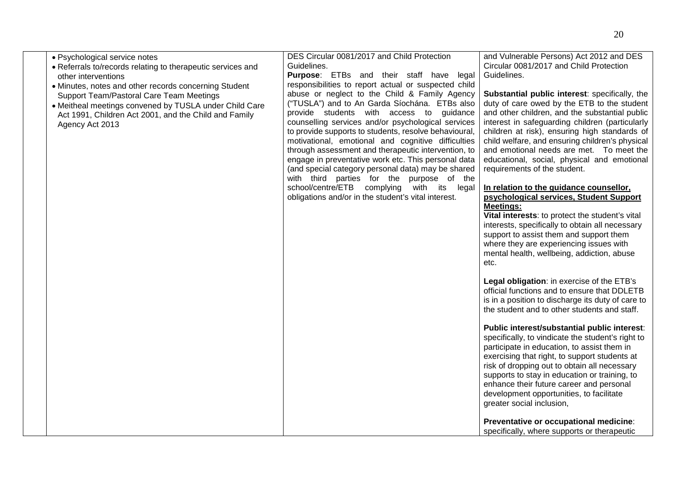| • Psychological service notes<br>• Referrals to/records relating to therapeutic services and<br>other interventions<br>• Minutes, notes and other records concerning Student<br>Support Team/Pastoral Care Team Meetings<br>• Meitheal meetings convened by TUSLA under Child Care<br>Act 1991, Children Act 2001, and the Child and Family<br>Agency Act 2013 | DES Circular 0081/2017 and Child Protection<br>Guidelines.<br><b>Purpose:</b> ETBs and their staff have legal<br>responsibilities to report actual or suspected child<br>abuse or neglect to the Child & Family Agency<br>("TUSLA") and to An Garda Síochána. ETBs also<br>provide students with access to guidance<br>counselling services and/or psychological services<br>to provide supports to students, resolve behavioural,<br>motivational, emotional and cognitive difficulties<br>through assessment and therapeutic intervention, to<br>engage in preventative work etc. This personal data<br>(and special category personal data) may be shared<br>with third parties for the purpose of the<br>school/centre/ETB complying with its legal<br>obligations and/or in the student's vital interest. | and Vulnerable Persons) Act 2012 and DES<br>Circular 0081/2017 and Child Protection<br>Guidelines.<br>Substantial public interest: specifically, the<br>duty of care owed by the ETB to the student<br>and other children, and the substantial public<br>interest in safeguarding children (particularly<br>children at risk), ensuring high standards of<br>child welfare, and ensuring children's physical<br>and emotional needs are met. To meet the<br>educational, social, physical and emotional<br>requirements of the student.<br>In relation to the guidance counsellor,<br>psychological services, Student Support<br><b>Meetings:</b><br>Vital interests: to protect the student's vital<br>interests, specifically to obtain all necessary<br>support to assist them and support them<br>where they are experiencing issues with<br>mental health, wellbeing, addiction, abuse<br>etc. |
|----------------------------------------------------------------------------------------------------------------------------------------------------------------------------------------------------------------------------------------------------------------------------------------------------------------------------------------------------------------|----------------------------------------------------------------------------------------------------------------------------------------------------------------------------------------------------------------------------------------------------------------------------------------------------------------------------------------------------------------------------------------------------------------------------------------------------------------------------------------------------------------------------------------------------------------------------------------------------------------------------------------------------------------------------------------------------------------------------------------------------------------------------------------------------------------|-----------------------------------------------------------------------------------------------------------------------------------------------------------------------------------------------------------------------------------------------------------------------------------------------------------------------------------------------------------------------------------------------------------------------------------------------------------------------------------------------------------------------------------------------------------------------------------------------------------------------------------------------------------------------------------------------------------------------------------------------------------------------------------------------------------------------------------------------------------------------------------------------------|
|                                                                                                                                                                                                                                                                                                                                                                |                                                                                                                                                                                                                                                                                                                                                                                                                                                                                                                                                                                                                                                                                                                                                                                                                | Legal obligation: in exercise of the ETB's<br>official functions and to ensure that DDLETB<br>is in a position to discharge its duty of care to<br>the student and to other students and staff.<br>Public interest/substantial public interest:<br>specifically, to vindicate the student's right to<br>participate in education, to assist them in<br>exercising that right, to support students at<br>risk of dropping out to obtain all necessary<br>supports to stay in education or training, to<br>enhance their future career and personal<br>development opportunities, to facilitate<br>greater social inclusion,                                                                                                                                                                                                                                                                          |
|                                                                                                                                                                                                                                                                                                                                                                |                                                                                                                                                                                                                                                                                                                                                                                                                                                                                                                                                                                                                                                                                                                                                                                                                | Preventative or occupational medicine:<br>specifically, where supports or therapeutic                                                                                                                                                                                                                                                                                                                                                                                                                                                                                                                                                                                                                                                                                                                                                                                                               |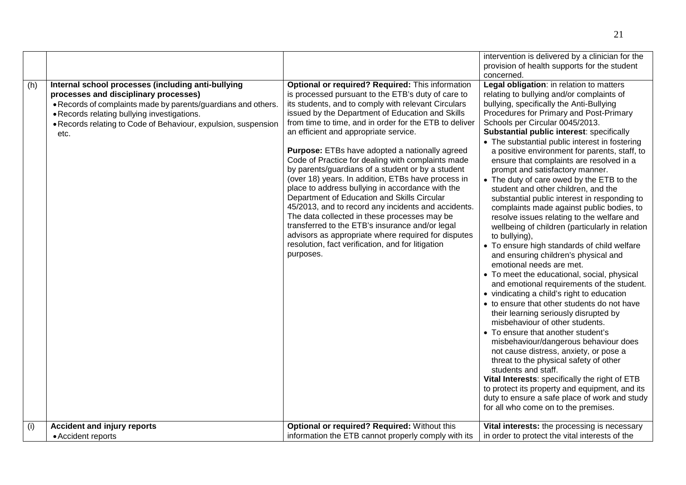|     |                                                                                                                                                                                                                                                                                       |                                                                                                                                                                                                                                                                                                                                                                                                                                                                                                                                                                                                                                                                                                                                                                                                                                                                                                                                     | intervention is delivered by a clinician for the                                                                                                                                                                                                                                                                                                                                                                                                                                                                                                                                                                                                                                                                                                                                                                                                                                                                                                                                                                                                                                                                                                                                                                                                                                                                                                                                                                                                                                                                                  |
|-----|---------------------------------------------------------------------------------------------------------------------------------------------------------------------------------------------------------------------------------------------------------------------------------------|-------------------------------------------------------------------------------------------------------------------------------------------------------------------------------------------------------------------------------------------------------------------------------------------------------------------------------------------------------------------------------------------------------------------------------------------------------------------------------------------------------------------------------------------------------------------------------------------------------------------------------------------------------------------------------------------------------------------------------------------------------------------------------------------------------------------------------------------------------------------------------------------------------------------------------------|-----------------------------------------------------------------------------------------------------------------------------------------------------------------------------------------------------------------------------------------------------------------------------------------------------------------------------------------------------------------------------------------------------------------------------------------------------------------------------------------------------------------------------------------------------------------------------------------------------------------------------------------------------------------------------------------------------------------------------------------------------------------------------------------------------------------------------------------------------------------------------------------------------------------------------------------------------------------------------------------------------------------------------------------------------------------------------------------------------------------------------------------------------------------------------------------------------------------------------------------------------------------------------------------------------------------------------------------------------------------------------------------------------------------------------------------------------------------------------------------------------------------------------------|
|     |                                                                                                                                                                                                                                                                                       |                                                                                                                                                                                                                                                                                                                                                                                                                                                                                                                                                                                                                                                                                                                                                                                                                                                                                                                                     | provision of health supports for the student                                                                                                                                                                                                                                                                                                                                                                                                                                                                                                                                                                                                                                                                                                                                                                                                                                                                                                                                                                                                                                                                                                                                                                                                                                                                                                                                                                                                                                                                                      |
|     |                                                                                                                                                                                                                                                                                       |                                                                                                                                                                                                                                                                                                                                                                                                                                                                                                                                                                                                                                                                                                                                                                                                                                                                                                                                     | concerned.                                                                                                                                                                                                                                                                                                                                                                                                                                                                                                                                                                                                                                                                                                                                                                                                                                                                                                                                                                                                                                                                                                                                                                                                                                                                                                                                                                                                                                                                                                                        |
| (h) | Internal school processes (including anti-bullying<br>processes and disciplinary processes)<br>• Records of complaints made by parents/guardians and others.<br>• Records relating bullying investigations.<br>• Records relating to Code of Behaviour, expulsion, suspension<br>etc. | Optional or required? Required: This information<br>is processed pursuant to the ETB's duty of care to<br>its students, and to comply with relevant Circulars<br>issued by the Department of Education and Skills<br>from time to time, and in order for the ETB to deliver<br>an efficient and appropriate service.<br><b>Purpose:</b> ETBs have adopted a nationally agreed<br>Code of Practice for dealing with complaints made<br>by parents/guardians of a student or by a student<br>(over 18) years. In addition, ETBs have process in<br>place to address bullying in accordance with the<br>Department of Education and Skills Circular<br>45/2013, and to record any incidents and accidents.<br>The data collected in these processes may be<br>transferred to the ETB's insurance and/or legal<br>advisors as appropriate where required for disputes<br>resolution, fact verification, and for litigation<br>purposes. | Legal obligation: in relation to matters<br>relating to bullying and/or complaints of<br>bullying, specifically the Anti-Bullying<br>Procedures for Primary and Post-Primary<br>Schools per Circular 0045/2013.<br>Substantial public interest: specifically<br>• The substantial public interest in fostering<br>a positive environment for parents, staff, to<br>ensure that complaints are resolved in a<br>prompt and satisfactory manner.<br>• The duty of care owed by the ETB to the<br>student and other children, and the<br>substantial public interest in responding to<br>complaints made against public bodies, to<br>resolve issues relating to the welfare and<br>wellbeing of children (particularly in relation<br>to bullying),<br>• To ensure high standards of child welfare<br>and ensuring children's physical and<br>emotional needs are met.<br>• To meet the educational, social, physical<br>and emotional requirements of the student.<br>• vindicating a child's right to education<br>• to ensure that other students do not have<br>their learning seriously disrupted by<br>misbehaviour of other students.<br>• To ensure that another student's<br>misbehaviour/dangerous behaviour does<br>not cause distress, anxiety, or pose a<br>threat to the physical safety of other<br>students and staff.<br>Vital Interests: specifically the right of ETB<br>to protect its property and equipment, and its<br>duty to ensure a safe place of work and study<br>for all who come on to the premises. |
|     |                                                                                                                                                                                                                                                                                       |                                                                                                                                                                                                                                                                                                                                                                                                                                                                                                                                                                                                                                                                                                                                                                                                                                                                                                                                     |                                                                                                                                                                                                                                                                                                                                                                                                                                                                                                                                                                                                                                                                                                                                                                                                                                                                                                                                                                                                                                                                                                                                                                                                                                                                                                                                                                                                                                                                                                                                   |
| (i) | <b>Accident and injury reports</b>                                                                                                                                                                                                                                                    | Optional or required? Required: Without this                                                                                                                                                                                                                                                                                                                                                                                                                                                                                                                                                                                                                                                                                                                                                                                                                                                                                        | Vital interests: the processing is necessary                                                                                                                                                                                                                                                                                                                                                                                                                                                                                                                                                                                                                                                                                                                                                                                                                                                                                                                                                                                                                                                                                                                                                                                                                                                                                                                                                                                                                                                                                      |
|     | • Accident reports                                                                                                                                                                                                                                                                    | information the ETB cannot properly comply with its                                                                                                                                                                                                                                                                                                                                                                                                                                                                                                                                                                                                                                                                                                                                                                                                                                                                                 | in order to protect the vital interests of the                                                                                                                                                                                                                                                                                                                                                                                                                                                                                                                                                                                                                                                                                                                                                                                                                                                                                                                                                                                                                                                                                                                                                                                                                                                                                                                                                                                                                                                                                    |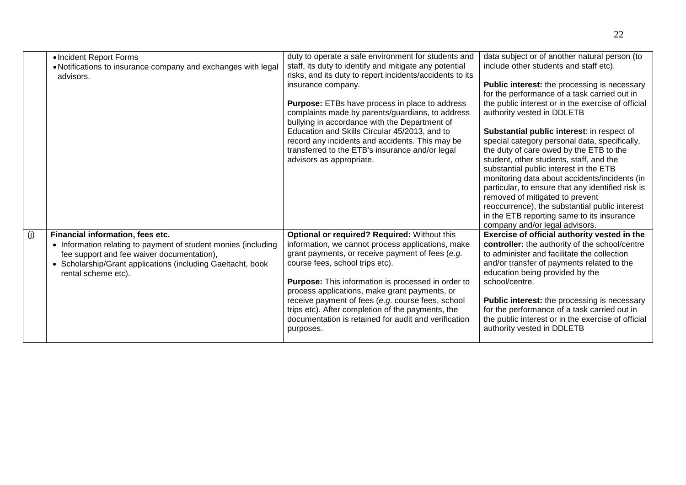|     | • Incident Report Forms<br>• Notifications to insurance company and exchanges with legal<br>advisors.                                                                                                                                  | duty to operate a safe environment for students and<br>staff, its duty to identify and mitigate any potential<br>risks, and its duty to report incidents/accidents to its<br>insurance company.<br>Purpose: ETBs have process in place to address<br>complaints made by parents/guardians, to address<br>bullying in accordance with the Department of<br>Education and Skills Circular 45/2013, and to<br>record any incidents and accidents. This may be<br>transferred to the ETB's insurance and/or legal<br>advisors as appropriate. | data subject or of another natural person (to<br>include other students and staff etc).<br><b>Public interest:</b> the processing is necessary<br>for the performance of a task carried out in<br>the public interest or in the exercise of official<br>authority vested in DDLETB<br>Substantial public interest: in respect of<br>special category personal data, specifically,<br>the duty of care owed by the ETB to the<br>student, other students, staff, and the<br>substantial public interest in the ETB<br>monitoring data about accidents/incidents (in<br>particular, to ensure that any identified risk is<br>removed of mitigated to prevent<br>reoccurrence), the substantial public interest<br>in the ETB reporting same to its insurance |
|-----|----------------------------------------------------------------------------------------------------------------------------------------------------------------------------------------------------------------------------------------|-------------------------------------------------------------------------------------------------------------------------------------------------------------------------------------------------------------------------------------------------------------------------------------------------------------------------------------------------------------------------------------------------------------------------------------------------------------------------------------------------------------------------------------------|------------------------------------------------------------------------------------------------------------------------------------------------------------------------------------------------------------------------------------------------------------------------------------------------------------------------------------------------------------------------------------------------------------------------------------------------------------------------------------------------------------------------------------------------------------------------------------------------------------------------------------------------------------------------------------------------------------------------------------------------------------|
|     |                                                                                                                                                                                                                                        |                                                                                                                                                                                                                                                                                                                                                                                                                                                                                                                                           | company and/or legal advisors.                                                                                                                                                                                                                                                                                                                                                                                                                                                                                                                                                                                                                                                                                                                             |
| (i) | Financial information, fees etc.<br>• Information relating to payment of student monies (including<br>fee support and fee waiver documentation),<br>• Scholarship/Grant applications (including Gaeltacht, book<br>rental scheme etc). | Optional or required? Required: Without this<br>information, we cannot process applications, make<br>grant payments, or receive payment of fees (e.g.<br>course fees, school trips etc).<br><b>Purpose:</b> This information is processed in order to<br>process applications, make grant payments, or<br>receive payment of fees (e.g. course fees, school<br>trips etc). After completion of the payments, the<br>documentation is retained for audit and verification<br>purposes.                                                     | Exercise of official authority vested in the<br>controller: the authority of the school/centre<br>to administer and facilitate the collection<br>and/or transfer of payments related to the<br>education being provided by the<br>school/centre.<br><b>Public interest:</b> the processing is necessary<br>for the performance of a task carried out in<br>the public interest or in the exercise of official<br>authority vested in DDLETB                                                                                                                                                                                                                                                                                                                |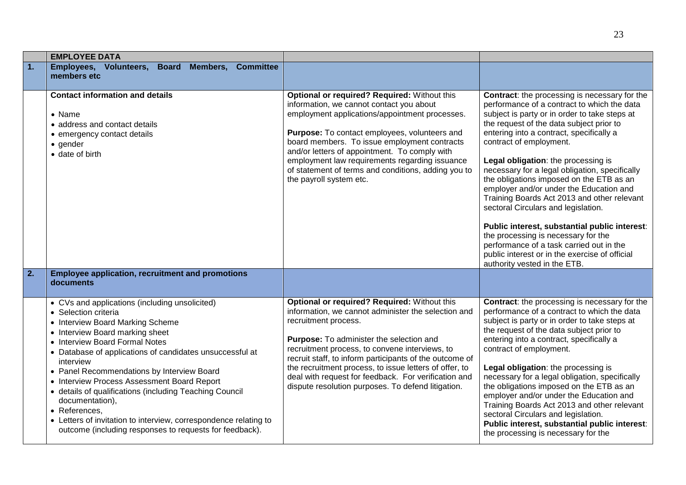|    | <b>EMPLOYEE DATA</b>                                                                                                                                                                                                                                                                                                                                                                                                                                                                                                                                                                |                                                                                                                                                                                                                                                                                                                                                                                                                                                              |                                                                                                                                                                                                                                                                                                                                                                                                                                                                                                                                                                                                                                                                                                                                                                     |
|----|-------------------------------------------------------------------------------------------------------------------------------------------------------------------------------------------------------------------------------------------------------------------------------------------------------------------------------------------------------------------------------------------------------------------------------------------------------------------------------------------------------------------------------------------------------------------------------------|--------------------------------------------------------------------------------------------------------------------------------------------------------------------------------------------------------------------------------------------------------------------------------------------------------------------------------------------------------------------------------------------------------------------------------------------------------------|---------------------------------------------------------------------------------------------------------------------------------------------------------------------------------------------------------------------------------------------------------------------------------------------------------------------------------------------------------------------------------------------------------------------------------------------------------------------------------------------------------------------------------------------------------------------------------------------------------------------------------------------------------------------------------------------------------------------------------------------------------------------|
| 1. | Employees,<br>Volunteers, Board Members,<br><b>Committee</b><br>members etc                                                                                                                                                                                                                                                                                                                                                                                                                                                                                                         |                                                                                                                                                                                                                                                                                                                                                                                                                                                              |                                                                                                                                                                                                                                                                                                                                                                                                                                                                                                                                                                                                                                                                                                                                                                     |
|    | <b>Contact information and details</b><br>$\bullet$ Name<br>• address and contact details<br>• emergency contact details<br>$\bullet$ gender<br>• date of birth                                                                                                                                                                                                                                                                                                                                                                                                                     | Optional or required? Required: Without this<br>information, we cannot contact you about<br>employment applications/appointment processes.<br>Purpose: To contact employees, volunteers and<br>board members. To issue employment contracts<br>and/or letters of appointment. To comply with<br>employment law requirements regarding issuance<br>of statement of terms and conditions, adding you to<br>the payroll system etc.                             | <b>Contract:</b> the processing is necessary for the<br>performance of a contract to which the data<br>subject is party or in order to take steps at<br>the request of the data subject prior to<br>entering into a contract, specifically a<br>contract of employment.<br>Legal obligation: the processing is<br>necessary for a legal obligation, specifically<br>the obligations imposed on the ETB as an<br>employer and/or under the Education and<br>Training Boards Act 2013 and other relevant<br>sectoral Circulars and legislation.<br>Public interest, substantial public interest:<br>the processing is necessary for the<br>performance of a task carried out in the<br>public interest or in the exercise of official<br>authority vested in the ETB. |
| 2. | <b>Employee application, recruitment and promotions</b><br>documents                                                                                                                                                                                                                                                                                                                                                                                                                                                                                                                |                                                                                                                                                                                                                                                                                                                                                                                                                                                              |                                                                                                                                                                                                                                                                                                                                                                                                                                                                                                                                                                                                                                                                                                                                                                     |
|    | • CVs and applications (including unsolicited)<br>• Selection criteria<br>• Interview Board Marking Scheme<br>• Interview Board marking sheet<br>• Interview Board Formal Notes<br>• Database of applications of candidates unsuccessful at<br>interview<br>• Panel Recommendations by Interview Board<br>• Interview Process Assessment Board Report<br>• details of qualifications (including Teaching Council<br>documentation),<br>• References,<br>• Letters of invitation to interview, correspondence relating to<br>outcome (including responses to requests for feedback). | Optional or required? Required: Without this<br>information, we cannot administer the selection and<br>recruitment process.<br>Purpose: To administer the selection and<br>recruitment process, to convene interviews, to<br>recruit staff, to inform participants of the outcome of<br>the recruitment process, to issue letters of offer, to<br>deal with request for feedback. For verification and<br>dispute resolution purposes. To defend litigation. | Contract: the processing is necessary for the<br>performance of a contract to which the data<br>subject is party or in order to take steps at<br>the request of the data subject prior to<br>entering into a contract, specifically a<br>contract of employment.<br>Legal obligation: the processing is<br>necessary for a legal obligation, specifically<br>the obligations imposed on the ETB as an<br>employer and/or under the Education and<br>Training Boards Act 2013 and other relevant<br>sectoral Circulars and legislation.<br>Public interest, substantial public interest:<br>the processing is necessary for the                                                                                                                                      |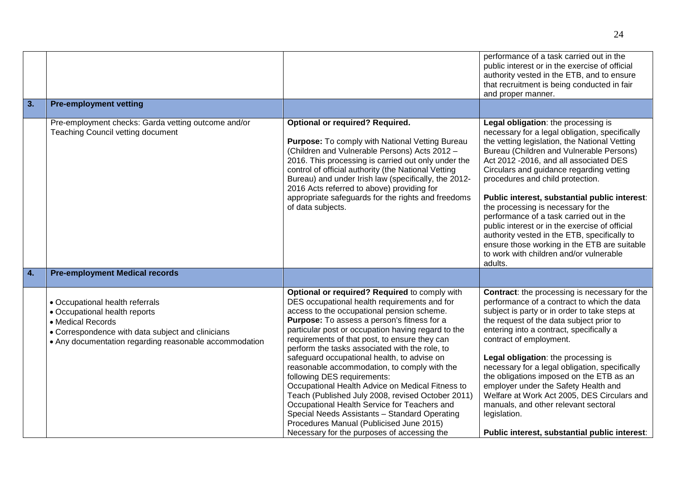|    |                                                                                                                                                                                                      |                                                                                                                                                                                                                                                                                                                                                                                                                                                                                                                                                                                                                                                                                                                                                                                        | performance of a task carried out in the<br>public interest or in the exercise of official<br>authority vested in the ETB, and to ensure<br>that recruitment is being conducted in fair<br>and proper manner.                                                                                                                                                                                                                                                                                                                                                                                                                                            |
|----|------------------------------------------------------------------------------------------------------------------------------------------------------------------------------------------------------|----------------------------------------------------------------------------------------------------------------------------------------------------------------------------------------------------------------------------------------------------------------------------------------------------------------------------------------------------------------------------------------------------------------------------------------------------------------------------------------------------------------------------------------------------------------------------------------------------------------------------------------------------------------------------------------------------------------------------------------------------------------------------------------|----------------------------------------------------------------------------------------------------------------------------------------------------------------------------------------------------------------------------------------------------------------------------------------------------------------------------------------------------------------------------------------------------------------------------------------------------------------------------------------------------------------------------------------------------------------------------------------------------------------------------------------------------------|
| 3. | <b>Pre-employment vetting</b>                                                                                                                                                                        |                                                                                                                                                                                                                                                                                                                                                                                                                                                                                                                                                                                                                                                                                                                                                                                        |                                                                                                                                                                                                                                                                                                                                                                                                                                                                                                                                                                                                                                                          |
|    | Pre-employment checks: Garda vetting outcome and/or<br>Teaching Council vetting document                                                                                                             | Optional or required? Required.<br>Purpose: To comply with National Vetting Bureau<br>(Children and Vulnerable Persons) Acts 2012 -<br>2016. This processing is carried out only under the<br>control of official authority (the National Vetting<br>Bureau) and under Irish law (specifically, the 2012-<br>2016 Acts referred to above) providing for<br>appropriate safeguards for the rights and freedoms<br>of data subjects.                                                                                                                                                                                                                                                                                                                                                     | Legal obligation: the processing is<br>necessary for a legal obligation, specifically<br>the vetting legislation, the National Vetting<br>Bureau (Children and Vulnerable Persons)<br>Act 2012 -2016, and all associated DES<br>Circulars and guidance regarding vetting<br>procedures and child protection.<br>Public interest, substantial public interest:<br>the processing is necessary for the<br>performance of a task carried out in the<br>public interest or in the exercise of official<br>authority vested in the ETB, specifically to<br>ensure those working in the ETB are suitable<br>to work with children and/or vulnerable<br>adults. |
| 4. | <b>Pre-employment Medical records</b>                                                                                                                                                                |                                                                                                                                                                                                                                                                                                                                                                                                                                                                                                                                                                                                                                                                                                                                                                                        |                                                                                                                                                                                                                                                                                                                                                                                                                                                                                                                                                                                                                                                          |
|    | • Occupational health referrals<br>• Occupational health reports<br>• Medical Records<br>• Correspondence with data subject and clinicians<br>• Any documentation regarding reasonable accommodation | Optional or required? Required to comply with<br>DES occupational health requirements and for<br>access to the occupational pension scheme.<br>Purpose: To assess a person's fitness for a<br>particular post or occupation having regard to the<br>requirements of that post, to ensure they can<br>perform the tasks associated with the role, to<br>safeguard occupational health, to advise on<br>reasonable accommodation, to comply with the<br>following DES requirements:<br>Occupational Health Advice on Medical Fitness to<br>Teach (Published July 2008, revised October 2011)<br>Occupational Health Service for Teachers and<br>Special Needs Assistants - Standard Operating<br>Procedures Manual (Publicised June 2015)<br>Necessary for the purposes of accessing the | Contract: the processing is necessary for the<br>performance of a contract to which the data<br>subject is party or in order to take steps at<br>the request of the data subject prior to<br>entering into a contract, specifically a<br>contract of employment.<br>Legal obligation: the processing is<br>necessary for a legal obligation, specifically<br>the obligations imposed on the ETB as an<br>employer under the Safety Health and<br>Welfare at Work Act 2005, DES Circulars and<br>manuals, and other relevant sectoral<br>legislation.<br>Public interest, substantial public interest:                                                    |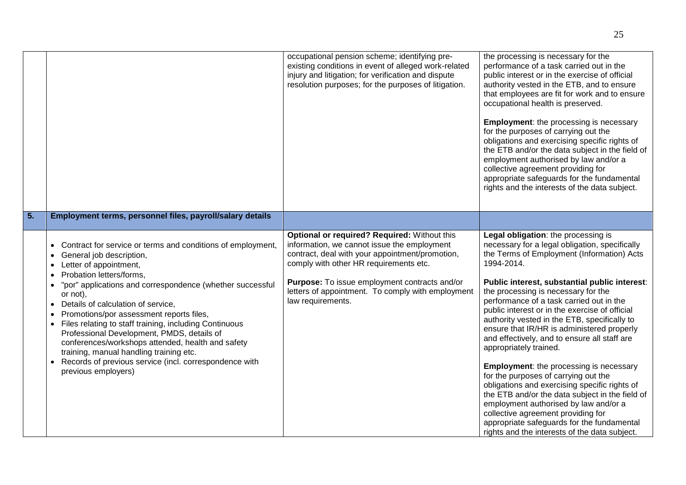|    |                                                                                                                                                                                                                                                                                                                                                                                                                                                                                                                                                                                                                                                                                 | occupational pension scheme; identifying pre-<br>existing conditions in event of alleged work-related<br>injury and litigation; for verification and dispute<br>resolution purposes; for the purposes of litigation.                                                                                                | the processing is necessary for the<br>performance of a task carried out in the<br>public interest or in the exercise of official<br>authority vested in the ETB, and to ensure<br>that employees are fit for work and to ensure<br>occupational health is preserved.<br><b>Employment:</b> the processing is necessary<br>for the purposes of carrying out the<br>obligations and exercising specific rights of<br>the ETB and/or the data subject in the field of<br>employment authorised by law and/or a<br>collective agreement providing for<br>appropriate safeguards for the fundamental<br>rights and the interests of the data subject.                                                                                                                                                                                                                                           |
|----|---------------------------------------------------------------------------------------------------------------------------------------------------------------------------------------------------------------------------------------------------------------------------------------------------------------------------------------------------------------------------------------------------------------------------------------------------------------------------------------------------------------------------------------------------------------------------------------------------------------------------------------------------------------------------------|---------------------------------------------------------------------------------------------------------------------------------------------------------------------------------------------------------------------------------------------------------------------------------------------------------------------|---------------------------------------------------------------------------------------------------------------------------------------------------------------------------------------------------------------------------------------------------------------------------------------------------------------------------------------------------------------------------------------------------------------------------------------------------------------------------------------------------------------------------------------------------------------------------------------------------------------------------------------------------------------------------------------------------------------------------------------------------------------------------------------------------------------------------------------------------------------------------------------------|
| 5. | Employment terms, personnel files, payroll/salary details                                                                                                                                                                                                                                                                                                                                                                                                                                                                                                                                                                                                                       |                                                                                                                                                                                                                                                                                                                     |                                                                                                                                                                                                                                                                                                                                                                                                                                                                                                                                                                                                                                                                                                                                                                                                                                                                                             |
|    | Contract for service or terms and conditions of employment,<br>$\bullet$<br>General job description,<br>$\bullet$<br>Letter of appointment,<br>$\bullet$<br>Probation letters/forms,<br>$\bullet$<br>"por" applications and correspondence (whether successful<br>$\bullet$<br>or not),<br>Details of calculation of service,<br>Promotions/por assessment reports files,<br>Files relating to staff training, including Continuous<br>$\bullet$<br>Professional Development, PMDS, details of<br>conferences/workshops attended, health and safety<br>training, manual handling training etc.<br>Records of previous service (incl. correspondence with<br>previous employers) | Optional or required? Required: Without this<br>information, we cannot issue the employment<br>contract, deal with your appointment/promotion,<br>comply with other HR requirements etc.<br>Purpose: To issue employment contracts and/or<br>letters of appointment. To comply with employment<br>law requirements. | Legal obligation: the processing is<br>necessary for a legal obligation, specifically<br>the Terms of Employment (Information) Acts<br>1994-2014.<br>Public interest, substantial public interest:<br>the processing is necessary for the<br>performance of a task carried out in the<br>public interest or in the exercise of official<br>authority vested in the ETB, specifically to<br>ensure that IR/HR is administered properly<br>and effectively, and to ensure all staff are<br>appropriately trained.<br><b>Employment:</b> the processing is necessary<br>for the purposes of carrying out the<br>obligations and exercising specific rights of<br>the ETB and/or the data subject in the field of<br>employment authorised by law and/or a<br>collective agreement providing for<br>appropriate safeguards for the fundamental<br>rights and the interests of the data subject. |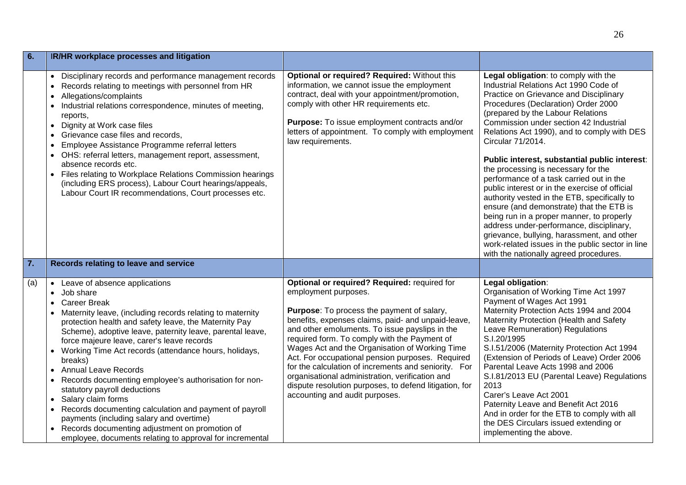| 6.             | IR/HR workplace processes and litigation                                                                                                                                                                                                                                                                                                                                                                                                                                                                                                                                                                                                                                                                                                                                                                                 |                                                                                                                                                                                                                                                                                                                                                                                                                                                                                                                                                                                         |                                                                                                                                                                                                                                                                                                                                                                                                                                                                                                                                                                                                                                                                                                                                                                                                                                          |
|----------------|--------------------------------------------------------------------------------------------------------------------------------------------------------------------------------------------------------------------------------------------------------------------------------------------------------------------------------------------------------------------------------------------------------------------------------------------------------------------------------------------------------------------------------------------------------------------------------------------------------------------------------------------------------------------------------------------------------------------------------------------------------------------------------------------------------------------------|-----------------------------------------------------------------------------------------------------------------------------------------------------------------------------------------------------------------------------------------------------------------------------------------------------------------------------------------------------------------------------------------------------------------------------------------------------------------------------------------------------------------------------------------------------------------------------------------|------------------------------------------------------------------------------------------------------------------------------------------------------------------------------------------------------------------------------------------------------------------------------------------------------------------------------------------------------------------------------------------------------------------------------------------------------------------------------------------------------------------------------------------------------------------------------------------------------------------------------------------------------------------------------------------------------------------------------------------------------------------------------------------------------------------------------------------|
|                | Disciplinary records and performance management records<br>$\bullet$<br>Records relating to meetings with personnel from HR<br>$\bullet$<br>Allegations/complaints<br>$\bullet$<br>Industrial relations correspondence, minutes of meeting,<br>$\bullet$<br>reports,<br>Dignity at Work case files<br>$\bullet$<br>Grievance case files and records,<br>Employee Assistance Programme referral letters<br>$\bullet$<br>OHS: referral letters, management report, assessment,<br>absence records etc.<br>Files relating to Workplace Relations Commission hearings<br>$\bullet$<br>(including ERS process), Labour Court hearings/appeals,<br>Labour Court IR recommendations, Court processes etc.                                                                                                                       | Optional or required? Required: Without this<br>information, we cannot issue the employment<br>contract, deal with your appointment/promotion,<br>comply with other HR requirements etc.<br>Purpose: To issue employment contracts and/or<br>letters of appointment. To comply with employment<br>law requirements.                                                                                                                                                                                                                                                                     | Legal obligation: to comply with the<br>Industrial Relations Act 1990 Code of<br>Practice on Grievance and Disciplinary<br>Procedures (Declaration) Order 2000<br>(prepared by the Labour Relations<br>Commission under section 42 Industrial<br>Relations Act 1990), and to comply with DES<br>Circular 71/2014.<br>Public interest, substantial public interest:<br>the processing is necessary for the<br>performance of a task carried out in the<br>public interest or in the exercise of official<br>authority vested in the ETB, specifically to<br>ensure (and demonstrate) that the ETB is<br>being run in a proper manner, to properly<br>address under-performance, disciplinary,<br>grievance, bullying, harassment, and other<br>work-related issues in the public sector in line<br>with the nationally agreed procedures. |
| 7 <sub>1</sub> | Records relating to leave and service                                                                                                                                                                                                                                                                                                                                                                                                                                                                                                                                                                                                                                                                                                                                                                                    |                                                                                                                                                                                                                                                                                                                                                                                                                                                                                                                                                                                         |                                                                                                                                                                                                                                                                                                                                                                                                                                                                                                                                                                                                                                                                                                                                                                                                                                          |
| (a)            | • Leave of absence applications<br>Job share<br>$\bullet$<br><b>Career Break</b><br>Maternity leave, (including records relating to maternity<br>protection health and safety leave, the Maternity Pay<br>Scheme), adoptive leave, paternity leave, parental leave,<br>force majeure leave, carer's leave records<br>Working Time Act records (attendance hours, holidays,<br>$\bullet$<br>breaks)<br><b>Annual Leave Records</b><br>$\bullet$<br>Records documenting employee's authorisation for non-<br>$\bullet$<br>statutory payroll deductions<br>Salary claim forms<br>$\bullet$<br>Records documenting calculation and payment of payroll<br>$\bullet$<br>payments (including salary and overtime)<br>Records documenting adjustment on promotion of<br>employee, documents relating to approval for incremental | Optional or required? Required: required for<br>employment purposes.<br>Purpose: To process the payment of salary,<br>benefits, expenses claims, paid- and unpaid-leave,<br>and other emoluments. To issue payslips in the<br>required form. To comply with the Payment of<br>Wages Act and the Organisation of Working Time<br>Act. For occupational pension purposes. Required<br>for the calculation of increments and seniority. For<br>organisational administration, verification and<br>dispute resolution purposes, to defend litigation, for<br>accounting and audit purposes. | Legal obligation:<br>Organisation of Working Time Act 1997<br>Payment of Wages Act 1991<br>Maternity Protection Acts 1994 and 2004<br>Maternity Protection (Health and Safety<br>Leave Remuneration) Regulations<br>S.I.20/1995<br>S.I.51/2006 (Maternity Protection Act 1994<br>(Extension of Periods of Leave) Order 2006<br>Parental Leave Acts 1998 and 2006<br>S.I.81/2013 EU (Parental Leave) Regulations<br>2013<br>Carer's Leave Act 2001<br>Paternity Leave and Benefit Act 2016<br>And in order for the ETB to comply with all<br>the DES Circulars issued extending or<br>implementing the above.                                                                                                                                                                                                                             |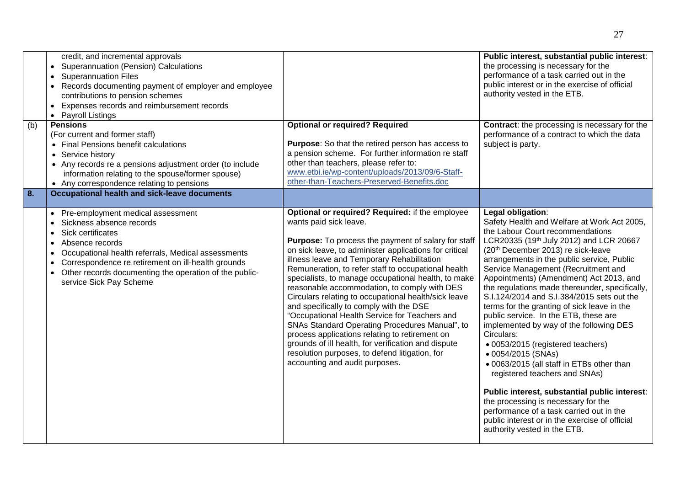|     | credit, and incremental approvals<br>• Superannuation (Pension) Calculations<br><b>Superannuation Files</b><br>Records documenting payment of employer and employee<br>contributions to pension schemes<br>Expenses records and reimbursement records<br>$\bullet$<br><b>Payroll Listings</b><br>$\bullet$                                                              |                                                                                                                                                                                                                                                                                                                                                                                                                                                                                                                                                                                                                                                                                                                                                                                                           | Public interest, substantial public interest:<br>the processing is necessary for the<br>performance of a task carried out in the<br>public interest or in the exercise of official<br>authority vested in the ETB.                                                                                                                                                                                                                                                                                                                                                                                                                                                                                                                                                                                                                                                                                                                   |
|-----|-------------------------------------------------------------------------------------------------------------------------------------------------------------------------------------------------------------------------------------------------------------------------------------------------------------------------------------------------------------------------|-----------------------------------------------------------------------------------------------------------------------------------------------------------------------------------------------------------------------------------------------------------------------------------------------------------------------------------------------------------------------------------------------------------------------------------------------------------------------------------------------------------------------------------------------------------------------------------------------------------------------------------------------------------------------------------------------------------------------------------------------------------------------------------------------------------|--------------------------------------------------------------------------------------------------------------------------------------------------------------------------------------------------------------------------------------------------------------------------------------------------------------------------------------------------------------------------------------------------------------------------------------------------------------------------------------------------------------------------------------------------------------------------------------------------------------------------------------------------------------------------------------------------------------------------------------------------------------------------------------------------------------------------------------------------------------------------------------------------------------------------------------|
| (b) | <b>Pensions</b><br>(For current and former staff)<br>• Final Pensions benefit calculations<br>• Service history<br>• Any records re a pensions adjustment order (to include<br>information relating to the spouse/former spouse)<br>• Any correspondence relating to pensions                                                                                           | <b>Optional or required? Required</b><br>Purpose: So that the retired person has access to<br>a pension scheme. For further information re staff<br>other than teachers, please refer to:<br>www.etbi.ie/wp-content/uploads/2013/09/6-Staff-<br>other-than-Teachers-Preserved-Benefits.doc                                                                                                                                                                                                                                                                                                                                                                                                                                                                                                                | Contract: the processing is necessary for the<br>performance of a contract to which the data<br>subject is party.                                                                                                                                                                                                                                                                                                                                                                                                                                                                                                                                                                                                                                                                                                                                                                                                                    |
| 8.  | <b>Occupational health and sick-leave documents</b>                                                                                                                                                                                                                                                                                                                     |                                                                                                                                                                                                                                                                                                                                                                                                                                                                                                                                                                                                                                                                                                                                                                                                           |                                                                                                                                                                                                                                                                                                                                                                                                                                                                                                                                                                                                                                                                                                                                                                                                                                                                                                                                      |
|     | Pre-employment medical assessment<br>Sickness absence records<br>Sick certificates<br>$\bullet$<br>Absence records<br>$\bullet$<br>Occupational health referrals, Medical assessments<br>$\bullet$<br>Correspondence re retirement on ill-health grounds<br>$\bullet$<br>Other records documenting the operation of the public-<br>$\bullet$<br>service Sick Pay Scheme | Optional or required? Required: if the employee<br>wants paid sick leave.<br>Purpose: To process the payment of salary for staff<br>on sick leave, to administer applications for critical<br>illness leave and Temporary Rehabilitation<br>Remuneration, to refer staff to occupational health<br>specialists, to manage occupational health, to make<br>reasonable accommodation, to comply with DES<br>Circulars relating to occupational health/sick leave<br>and specifically to comply with the DSE<br>"Occupational Health Service for Teachers and<br>SNAs Standard Operating Procedures Manual", to<br>process applications relating to retirement on<br>grounds of ill health, for verification and dispute<br>resolution purposes, to defend litigation, for<br>accounting and audit purposes. | Legal obligation:<br>Safety Health and Welfare at Work Act 2005,<br>the Labour Court recommendations<br>LCR20335 (19th July 2012) and LCR 20667<br>(20th December 2013) re sick-leave<br>arrangements in the public service, Public<br>Service Management (Recruitment and<br>Appointments) (Amendment) Act 2013, and<br>the regulations made thereunder, specifically,<br>S.I.124/2014 and S.I.384/2015 sets out the<br>terms for the granting of sick leave in the<br>public service. In the ETB, these are<br>implemented by way of the following DES<br>Circulars:<br>· 0053/2015 (registered teachers)<br>• 0054/2015 (SNAs)<br>.0063/2015 (all staff in ETBs other than<br>registered teachers and SNAs)<br>Public interest, substantial public interest:<br>the processing is necessary for the<br>performance of a task carried out in the<br>public interest or in the exercise of official<br>authority vested in the ETB. |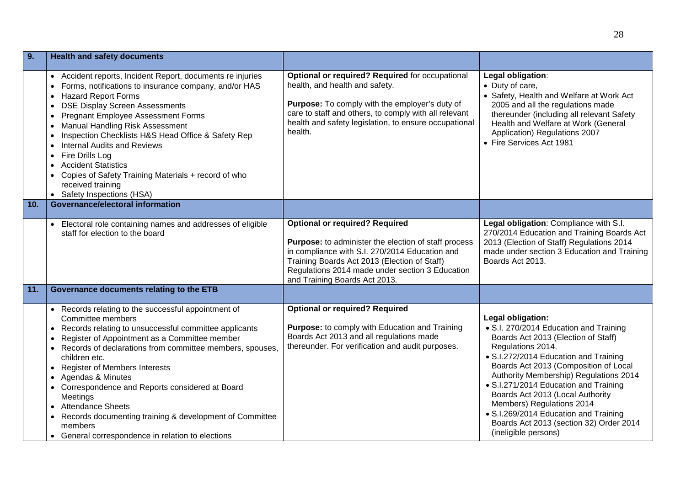| 9.  | <b>Health and safety documents</b>                                                                                                                                                                                                                                                                                                                                                                                                                                                                                                                                                                                   |                                                                                                                                                                                                                                                                                     |                                                                                                                                                                                                                                                                                                                                                                                                                                                                           |
|-----|----------------------------------------------------------------------------------------------------------------------------------------------------------------------------------------------------------------------------------------------------------------------------------------------------------------------------------------------------------------------------------------------------------------------------------------------------------------------------------------------------------------------------------------------------------------------------------------------------------------------|-------------------------------------------------------------------------------------------------------------------------------------------------------------------------------------------------------------------------------------------------------------------------------------|---------------------------------------------------------------------------------------------------------------------------------------------------------------------------------------------------------------------------------------------------------------------------------------------------------------------------------------------------------------------------------------------------------------------------------------------------------------------------|
|     | • Accident reports, Incident Report, documents re injuries<br>Forms, notifications to insurance company, and/or HAS<br><b>Hazard Report Forms</b><br>$\bullet$<br><b>DSE Display Screen Assessments</b><br>$\bullet$<br>Pregnant Employee Assessment Forms<br>$\bullet$<br>Manual Handling Risk Assessment<br>$\bullet$<br>Inspection Checklists H&S Head Office & Safety Rep<br>$\bullet$<br><b>Internal Audits and Reviews</b><br>$\bullet$<br>Fire Drills Log<br>$\bullet$<br><b>Accident Statistics</b><br>$\bullet$<br>Copies of Safety Training Materials + record of who<br>received training                 | Optional or required? Required for occupational<br>health, and health and safety.<br>Purpose: To comply with the employer's duty of<br>care to staff and others, to comply with all relevant<br>health and safety legislation, to ensure occupational<br>health.                    | Legal obligation:<br>• Duty of care,<br>• Safety, Health and Welfare at Work Act<br>2005 and all the regulations made<br>thereunder (including all relevant Safety<br>Health and Welfare at Work (General<br>Application) Regulations 2007<br>• Fire Services Act 1981                                                                                                                                                                                                    |
|     | • Safety Inspections (HSA)                                                                                                                                                                                                                                                                                                                                                                                                                                                                                                                                                                                           |                                                                                                                                                                                                                                                                                     |                                                                                                                                                                                                                                                                                                                                                                                                                                                                           |
| 10. | <b>Governance/electoral information</b>                                                                                                                                                                                                                                                                                                                                                                                                                                                                                                                                                                              |                                                                                                                                                                                                                                                                                     |                                                                                                                                                                                                                                                                                                                                                                                                                                                                           |
|     | • Electoral role containing names and addresses of eligible<br>staff for election to the board                                                                                                                                                                                                                                                                                                                                                                                                                                                                                                                       | <b>Optional or required? Required</b><br>Purpose: to administer the election of staff process<br>in compliance with S.I. 270/2014 Education and<br>Training Boards Act 2013 (Election of Staff)<br>Regulations 2014 made under section 3 Education<br>and Training Boards Act 2013. | Legal obligation: Compliance with S.I.<br>270/2014 Education and Training Boards Act<br>2013 (Election of Staff) Regulations 2014<br>made under section 3 Education and Training<br>Boards Act 2013.                                                                                                                                                                                                                                                                      |
| 11. | Governance documents relating to the ETB                                                                                                                                                                                                                                                                                                                                                                                                                                                                                                                                                                             |                                                                                                                                                                                                                                                                                     |                                                                                                                                                                                                                                                                                                                                                                                                                                                                           |
|     | • Records relating to the successful appointment of<br>Committee members<br>Records relating to unsuccessful committee applicants<br>$\bullet$<br>Register of Appointment as a Committee member<br>$\bullet$<br>Records of declarations from committee members, spouses,<br>children etc.<br><b>Register of Members Interests</b><br>$\bullet$<br>Agendas & Minutes<br>$\bullet$<br>• Correspondence and Reports considered at Board<br>Meetings<br><b>Attendance Sheets</b><br>$\bullet$<br>Records documenting training & development of Committee<br>members<br>• General correspondence in relation to elections | <b>Optional or required? Required</b><br>Purpose: to comply with Education and Training<br>Boards Act 2013 and all regulations made<br>thereunder. For verification and audit purposes.                                                                                             | Legal obligation:<br>• S.I. 270/2014 Education and Training<br>Boards Act 2013 (Election of Staff)<br>Regulations 2014.<br>• S.I.272/2014 Education and Training<br>Boards Act 2013 (Composition of Local<br>Authority Membership) Regulations 2014<br>• S.I.271/2014 Education and Training<br>Boards Act 2013 (Local Authority<br>Members) Regulations 2014<br>• S.I.269/2014 Education and Training<br>Boards Act 2013 (section 32) Order 2014<br>(ineligible persons) |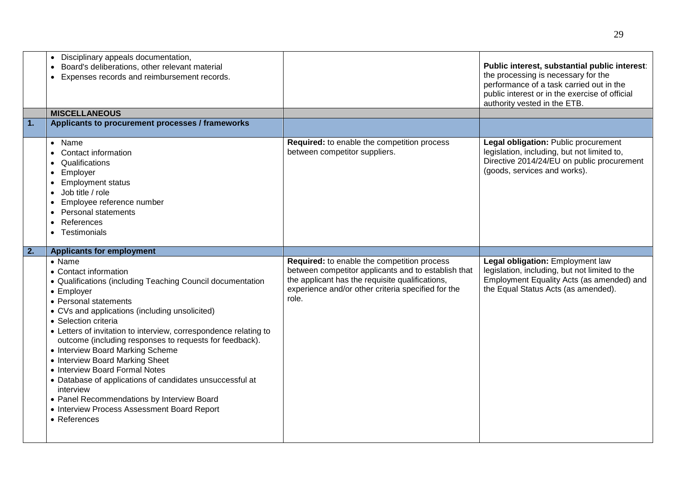|                  | Disciplinary appeals documentation,<br>$\bullet$<br>Board's deliberations, other relevant material<br>$\bullet$<br>Expenses records and reimbursement records.<br><b>MISCELLANEOUS</b>                                                                                                                                                                                                                                                                                                                                                                                                                                                       |                                                                                                                                                                                                                      | Public interest, substantial public interest:<br>the processing is necessary for the<br>performance of a task carried out in the<br>public interest or in the exercise of official<br>authority vested in the ETB. |
|------------------|----------------------------------------------------------------------------------------------------------------------------------------------------------------------------------------------------------------------------------------------------------------------------------------------------------------------------------------------------------------------------------------------------------------------------------------------------------------------------------------------------------------------------------------------------------------------------------------------------------------------------------------------|----------------------------------------------------------------------------------------------------------------------------------------------------------------------------------------------------------------------|--------------------------------------------------------------------------------------------------------------------------------------------------------------------------------------------------------------------|
| $\overline{1}$ . | Applicants to procurement processes / frameworks                                                                                                                                                                                                                                                                                                                                                                                                                                                                                                                                                                                             |                                                                                                                                                                                                                      |                                                                                                                                                                                                                    |
|                  | Name<br>$\bullet$<br>Contact information<br>Qualifications<br>Employer<br>$\bullet$<br><b>Employment status</b><br>Job title / role<br>$\bullet$<br>Employee reference number<br>Personal statements<br>References<br>Testimonials<br>$\bullet$                                                                                                                                                                                                                                                                                                                                                                                              | Required: to enable the competition process<br>between competitor suppliers.                                                                                                                                         | Legal obligation: Public procurement<br>legislation, including, but not limited to,<br>Directive 2014/24/EU on public procurement<br>(goods, services and works).                                                  |
| $\overline{2}$ . | <b>Applicants for employment</b>                                                                                                                                                                                                                                                                                                                                                                                                                                                                                                                                                                                                             |                                                                                                                                                                                                                      |                                                                                                                                                                                                                    |
|                  | • Name<br>• Contact information<br>• Qualifications (including Teaching Council documentation<br>• Employer<br>• Personal statements<br>• CVs and applications (including unsolicited)<br>• Selection criteria<br>• Letters of invitation to interview, correspondence relating to<br>outcome (including responses to requests for feedback).<br>• Interview Board Marking Scheme<br>• Interview Board Marking Sheet<br>• Interview Board Formal Notes<br>• Database of applications of candidates unsuccessful at<br>interview<br>• Panel Recommendations by Interview Board<br>• Interview Process Assessment Board Report<br>• References | Required: to enable the competition process<br>between competitor applicants and to establish that<br>the applicant has the requisite qualifications,<br>experience and/or other criteria specified for the<br>role. | Legal obligation: Employment law<br>legislation, including, but not limited to the<br>Employment Equality Acts (as amended) and<br>the Equal Status Acts (as amended).                                             |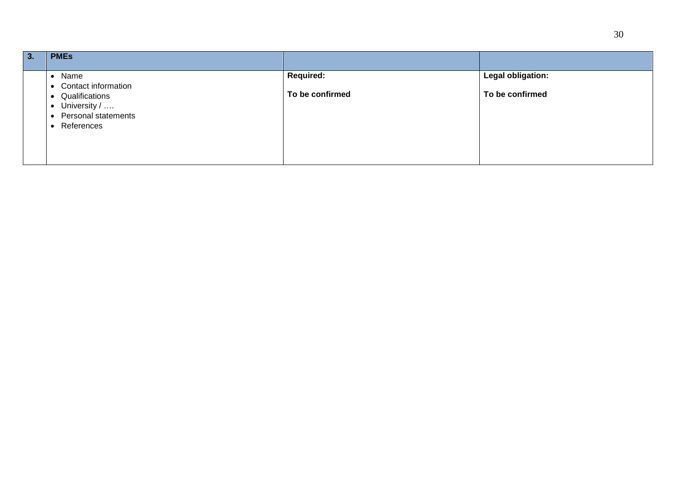| <b>PMEs</b>                                                                      |                  |                   |
|----------------------------------------------------------------------------------|------------------|-------------------|
| Name                                                                             | <b>Required:</b> | Legal obligation: |
| • Contact information<br>• Qualifications<br>University /<br>Personal statements | To be confirmed  | To be confirmed   |
| References                                                                       |                  |                   |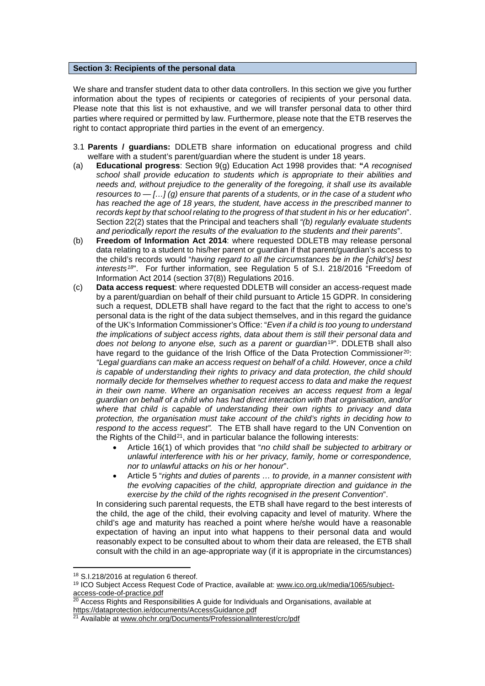#### **Section 3: Recipients of the personal data**

We share and transfer student data to other data controllers. In this section we give you further information about the types of recipients or categories of recipients of your personal data. Please note that this list is not exhaustive, and we will transfer personal data to other third parties where required or permitted by law. Furthermore, please note that the ETB reserves the right to contact appropriate third parties in the event of an emergency.

- 3.1 **Parents / guardians:** DDLETB share information on educational progress and child welfare with a student's parent/guardian where the student is under 18 years.
- (a) **Educational progress**: Section 9(g) Education Act 1998 provides that: **"***A recognised school shall provide education to students which is appropriate to their abilities and needs and, without prejudice to the generality of the foregoing, it shall use its available resources to — […] (g) ensure that parents of a students, or in the case of a student who has reached the age of 18 years, the student, have access in the prescribed manner to records kept by that school relating to the progress of that student in his or her education*". Section 22(2) states that the Principal and teachers shall *"(b) regularly evaluate students and periodically report the results of the evaluation to the students and their parents*".
- (b) **Freedom of Information Act 2014**: where requested DDLETB may release personal data relating to a student to his/her parent or guardian if that parent/guardian's access to the child's records would "*having regard to all the circumstances be in the [child's] best interests[18](#page-30-0)*". For further information, see Regulation 5 of S.I. 218/2016 "Freedom of Information Act 2014 (section 37(8)) Regulations 2016.
- (c) **Data access request**: where requested DDLETB will consider an access-request made by a parent/guardian on behalf of their child pursuant to Article 15 GDPR. In considering such a request, DDLETB shall have regard to the fact that the right to access to one's personal data is the right of the data subject themselves, and in this regard the guidance of the UK's Information Commissioner's Office: "*Even if a child is too young to understand the implications of subject access rights, data about them is still their personal data and does not belong to anyone else, such as a parent or guardian*[19"](#page-30-1). DDLETB shall also have regard to the guidance of the Irish Office of the Data Protection Commissioner<sup>20</sup>: *"Legal guardians can make an access request on behalf of a child. However, once a child is capable of understanding their rights to privacy and data protection, the child should normally decide for themselves whether to request access to data and make the request in their own name. Where an organisation receives an access request from a legal guardian on behalf of a child who has had direct interaction with that organisation, and/or where that child is capable of understanding their own rights to privacy and data protection, the organisation must take account of the child's rights in deciding how to respond to the access request".*The ETB shall have regard to the UN Convention on the Rights of the Child<sup>[21](#page-30-3)</sup>, and in particular balance the following interests:
	- Article 16(1) of which provides that "*no child shall be subjected to arbitrary or unlawful interference with his or her privacy, family, home or correspondence, nor to unlawful attacks on his or her honour*".
	- Article 5 "*rights and duties of parents … to provide, in a manner consistent with the evolving capacities of the child, appropriate direction and guidance in the exercise by the child of the rights recognised in the present Convention*".

In considering such parental requests, the ETB shall have regard to the best interests of the child, the age of the child, their evolving capacity and level of maturity. Where the child's age and maturity has reached a point where he/she would have a reasonable expectation of having an input into what happens to their personal data and would reasonably expect to be consulted about to whom their data are released, the ETB shall consult with the child in an age-appropriate way (if it is appropriate in the circumstances)

 $\overline{a}$ 

<span id="page-30-1"></span><span id="page-30-0"></span><sup>&</sup>lt;sup>18</sup> S.I.218/2016 at regulation 6 thereof.<br><sup>19</sup> ICO Subject Access Request Code of Practice, available at[: www.ico.org.uk/media/1065/subject](http://www.ico.org.uk/media/1065/subject-access-code-of-practice.pdf)[access-code-of-practice.pdf](http://www.ico.org.uk/media/1065/subject-access-code-of-practice.pdf)

<span id="page-30-2"></span> $20$  Access Rights and Responsibilities A guide for Individuals and Organisations, available at <https://dataprotection.ie/documents/AccessGuidance.pdf>

<span id="page-30-3"></span><sup>&</sup>lt;sup>21</sup> Available at [www.ohchr.org/Documents/ProfessionalInterest/crc/pdf](http://www.ohchr.org/Documents/ProfessionalInterest/crc/pdf)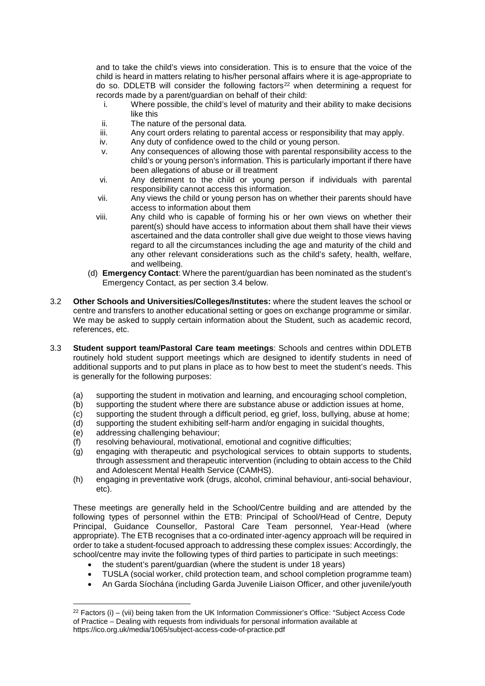and to take the child's views into consideration. This is to ensure that the voice of the child is heard in matters relating to his/her personal affairs where it is age-appropriate to do so. DDLETB will consider the following factors<sup>[22](#page-31-0)</sup> when determining a request for records made by a parent/guardian on behalf of their child:

- i. Where possible, the child's level of maturity and their ability to make decisions like this
- ii. The nature of the personal data.
- iii. Any court orders relating to parental access or responsibility that may apply.
- iv. Any duty of confidence owed to the child or young person.
- v. Any consequences of allowing those with parental responsibility access to the child's or young person's information. This is particularly important if there have been allegations of abuse or ill treatment
- vi. Any detriment to the child or young person if individuals with parental responsibility cannot access this information.
- vii. Any views the child or young person has on whether their parents should have access to information about them
- viii. Any child who is capable of forming his or her own views on whether their parent(s) should have access to information about them shall have their views ascertained and the data controller shall give due weight to those views having regard to all the circumstances including the age and maturity of the child and any other relevant considerations such as the child's safety, health, welfare, and wellbeing.
- (d) **Emergency Contact**: Where the parent/guardian has been nominated as the student's Emergency Contact, as per section 3.4 below.
- 3.2 **Other Schools and Universities/Colleges/Institutes:** where the student leaves the school or centre and transfers to another educational setting or goes on exchange programme or similar. We may be asked to supply certain information about the Student, such as academic record, references, etc.
- 3.3 **Student support team/Pastoral Care team meetings**: Schools and centres within DDLETB routinely hold student support meetings which are designed to identify students in need of additional supports and to put plans in place as to how best to meet the student's needs. This is generally for the following purposes:
	- (a) supporting the student in motivation and learning, and encouraging school completion,
	- (b) supporting the student where there are substance abuse or addiction issues at home,<br>(c) supporting the student through a difficult period, eg grief, loss, bullying, abuse at home
	- supporting the student through a difficult period, eg grief, loss, bullying, abuse at home;
	- (d) supporting the student exhibiting self-harm and/or engaging in suicidal thoughts,
	- (e) addressing challenging behaviour;<br>(f) resolving behavioural, motivational

 $\overline{a}$ 

- resolving behavioural, motivational, emotional and cognitive difficulties;
- (g) engaging with therapeutic and psychological services to obtain supports to students, through assessment and therapeutic intervention (including to obtain access to the Child and Adolescent Mental Health Service (CAMHS).
- (h) engaging in preventative work (drugs, alcohol, criminal behaviour, anti-social behaviour, etc).

These meetings are generally held in the School/Centre building and are attended by the following types of personnel within the ETB: Principal of School/Head of Centre, Deputy Principal, Guidance Counsellor, Pastoral Care Team personnel, Year-Head (where appropriate). The ETB recognises that a co-ordinated inter-agency approach will be required in order to take a student-focused approach to addressing these complex issues: Accordingly, the school/centre may invite the following types of third parties to participate in such meetings:

- the student's parent/guardian (where the student is under 18 years)
- TUSLA (social worker, child protection team, and school completion programme team)
- An Garda Síochána (including Garda Juvenile Liaison Officer, and other juvenile/youth

<span id="page-31-0"></span> $22$  Factors (i) – (vii) being taken from the UK Information Commissioner's Office: "Subject Access Code of Practice – Dealing with requests from individuals for personal information available at https://ico.org.uk/media/1065/subject-access-code-of-practice.pdf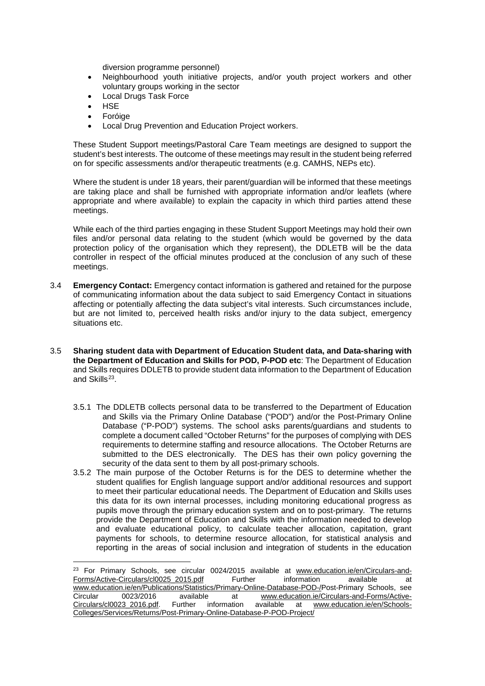diversion programme personnel)

- Neighbourhood youth initiative projects, and/or youth project workers and other voluntary groups working in the sector
- **Local Drugs Task Force**
- **HSE**

 $\overline{a}$ 

- **Foróige**
- Local Drug Prevention and Education Project workers.

These Student Support meetings/Pastoral Care Team meetings are designed to support the student's best interests. The outcome of these meetings may result in the student being referred on for specific assessments and/or therapeutic treatments (e.g. CAMHS, NEPs etc).

Where the student is under 18 years, their parent/guardian will be informed that these meetings are taking place and shall be furnished with appropriate information and/or leaflets (where appropriate and where available) to explain the capacity in which third parties attend these meetings.

While each of the third parties engaging in these Student Support Meetings may hold their own files and/or personal data relating to the student (which would be governed by the data protection policy of the organisation which they represent), the DDLETB will be the data controller in respect of the official minutes produced at the conclusion of any such of these meetings.

- 3.4 **Emergency Contact:** Emergency contact information is gathered and retained for the purpose of communicating information about the data subject to said Emergency Contact in situations affecting or potentially affecting the data subject's vital interests. Such circumstances include, but are not limited to, perceived health risks and/or injury to the data subject, emergency situations etc.
- 3.5 **Sharing student data with Department of Education Student data, and Data-sharing with the Department of Education and Skills for POD, P-POD etc**: The Department of Education and Skills requires DDLETB to provide student data information to the Department of Education and Skills<sup>[23](#page-32-0)</sup>.
	- 3.5.1 The DDLETB collects personal data to be transferred to the Department of Education and Skills via the Primary Online Database ("POD") and/or the Post-Primary Online Database ("P-POD") systems. The school asks parents/guardians and students to complete a document called "October Returns" for the purposes of complying with DES requirements to determine staffing and resource allocations. The October Returns are submitted to the DES electronically. The DES has their own policy governing the security of the data sent to them by all post-primary schools.
	- 3.5.2 The main purpose of the October Returns is for the DES to determine whether the student qualifies for English language support and/or additional resources and support to meet their particular educational needs. The Department of Education and Skills uses this data for its own internal processes, including monitoring educational progress as pupils move through the primary education system and on to post-primary. The returns provide the Department of Education and Skills with the information needed to develop and evaluate educational policy, to calculate teacher allocation, capitation, grant payments for schools, to determine resource allocation, for statistical analysis and reporting in the areas of social inclusion and integration of students in the education

<span id="page-32-0"></span><sup>&</sup>lt;sup>23</sup> For Primary Schools, see circular 0024/2015 available at www.education.ie/en/Circulars-and-<br>Forms/Active-Circulars/cl0025 2015.odf<br>at Further information available at [Forms/Active-Circulars/cl0025\\_2015.pdf](http://www.education.ie/en/Circulars-and-Forms/Active-Circulars/cl0025_2015.pdf) Further information available at [www.education.ie/en/Publications/Statistics/Primary-Online-Database-POD-/P](http://www.education.ie/en/Publications/Statistics/Primary-Online-Database-POD-/)ost-Primary Schools, see<br>Circular 0023/2016 available at www.education.ie/Circulars-and-Forms/Active-Circular 0023/2016 available at www.education.ie/Circulars-and-Forms/Active-<br>Circulars/cl0023 2016.pdf. Further information available at www.education.ie/en/Schoolsavailable at [www.education.ie/en/Schools-](http://www.education.ie/en/Schools-Colleges/Services/Returns/Post-Primary-Online-Database-P-POD-Project/)[Colleges/Services/Returns/Post-Primary-Online-Database-P-POD-Project/](http://www.education.ie/en/Schools-Colleges/Services/Returns/Post-Primary-Online-Database-P-POD-Project/)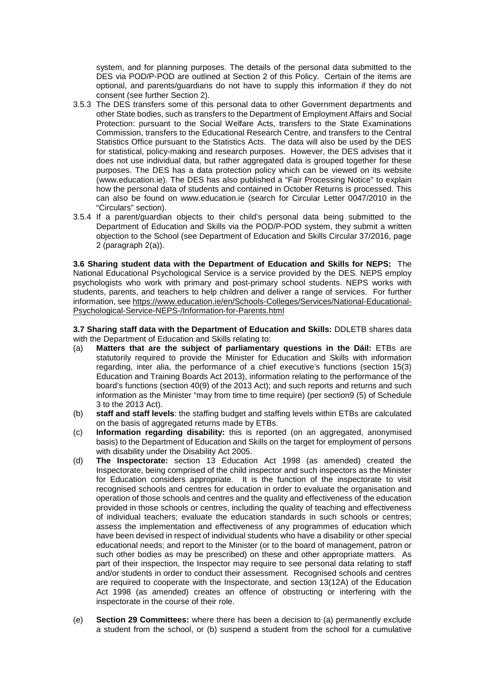system, and for planning purposes. The details of the personal data submitted to the DES via POD/P-POD are outlined at Section 2 of this Policy. Certain of the items are optional, and parents/guardians do not have to supply this information if they do not consent (see further Section 2).

- 3.5.3 The DES transfers some of this personal data to other Government departments and other State bodies, such as transfers to the Department of Employment Affairs and Social Protection: pursuant to the Social Welfare Acts, transfers to the State Examinations Commission, transfers to the Educational Research Centre, and transfers to the Central Statistics Office pursuant to the Statistics Acts. The data will also be used by the DES for statistical, policy-making and research purposes. However, the DES advises that it does not use individual data, but rather aggregated data is grouped together for these purposes. The DES has a data protection policy which can be viewed on its website [\(www.education.ie\)](https://www.education.ie/en/). The DES has also published a "Fair Processing Notice" to explain how the personal data of students and contained in October Returns is processed. This can also be found on [www.education.ie](https://www.education.ie/en/) (search for Circular Letter 0047/2010 in the "Circulars" section).
- 3.5.4 If a parent/guardian objects to their child's personal data being submitted to the Department of Education and Skills via the POD/P-POD system, they submit a written objection to the School (see Department of Education and Skills Circular 37/2016, page 2 (paragraph 2(a)).

**3.6 Sharing student data with the Department of Education and Skills for NEPS:** The National Educational Psychological Service is a service provided by the DES. NEPS employ psychologists who work with primary and post-primary school students. NEPS works with students, parents, and teachers to help children and deliver a range of services. For further information, see [https://www.education.ie/en/Schools-Colleges/Services/National-Educational-](https://www.education.ie/en/Schools-Colleges/Services/National-Educational-Psychological-Service-NEPS-/Information-for-Parents.html)[Psychological-Service-NEPS-/Information-for-Parents.html](https://www.education.ie/en/Schools-Colleges/Services/National-Educational-Psychological-Service-NEPS-/Information-for-Parents.html)

**3.7 Sharing staff data with the Department of Education and Skills:** DDLETB shares data with the Department of Education and Skills relating to:

- (a) **Matters that are the subject of parliamentary questions in the Dáil:** ETBs are statutorily required to provide the Minister for Education and Skills with information regarding, inter alia, the performance of a chief executive's functions (section 15(3) Education and Training Boards Act 2013), information relating to the performance of the board's functions (section 40(9) of the 2013 Act); and such reports and returns and such information as the Minister "may from time to time require) (per section9 (5) of Schedule 3 to the 2013 Act).
- (b) **staff and staff levels**: the staffing budget and staffing levels within ETBs are calculated on the basis of aggregated returns made by ETBs.
- (c) **Information regarding disability:** this is reported (on an aggregated, anonymised basis) to the Department of Education and Skills on the target for employment of persons with disability under the Disability Act 2005.
- (d) **The Inspectorate:** section 13 Education Act 1998 (as amended) created the Inspectorate, being comprised of the child inspector and such inspectors as the Minister for Education considers appropriate. It is the function of the inspectorate to visit recognised schools and centres for education in order to evaluate the organisation and operation of those schools and centres and the quality and effectiveness of the education provided in those schools or centres, including the quality of teaching and effectiveness of individual teachers; evaluate the education standards in such schools or centres; assess the implementation and effectiveness of any programmes of education which have been devised in respect of individual students who have a disability or other special educational needs; and report to the Minister (or to the board of management, patron or such other bodies as may be prescribed) on these and other appropriate matters. As part of their inspection, the Inspector may require to see personal data relating to staff and/or students in order to conduct their assessment. Recognised schools and centres are required to cooperate with the Inspectorate, and section 13(12A) of the Education Act 1998 (as amended) creates an offence of obstructing or interfering with the inspectorate in the course of their role.
- (e) **Section 29 Committees:** where there has been a decision to (a) permanently exclude a student from the school, or (b) suspend a student from the school for a cumulative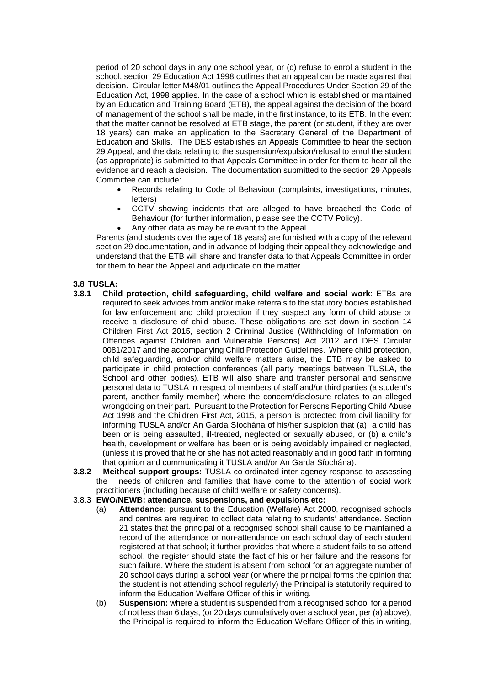period of 20 school days in any one school year, or (c) refuse to enrol a student in the school, section 29 Education Act 1998 outlines that an appeal can be made against that decision. Circular letter M48/01 outlines the Appeal Procedures Under Section 29 of the Education Act, 1998 applies. In the case of a school which is established or maintained by an Education and Training Board (ETB), the appeal against the decision of the board of management of the school shall be made, in the first instance, to its ETB. In the event that the matter cannot be resolved at ETB stage, the parent (or student, if they are over 18 years) can make an application to the Secretary General of the Department of Education and Skills. The DES establishes an Appeals Committee to hear the section 29 Appeal, and the data relating to the suspension/expulsion/refusal to enrol the student (as appropriate) is submitted to that Appeals Committee in order for them to hear all the evidence and reach a decision. The documentation submitted to the section 29 Appeals Committee can include:

- Records relating to Code of Behaviour (complaints, investigations, minutes, letters)
- CCTV showing incidents that are alleged to have breached the Code of Behaviour (for further information, please see the CCTV Policy).
- Any other data as may be relevant to the Appeal.

Parents (and students over the age of 18 years) are furnished with a copy of the relevant section 29 documentation, and in advance of lodging their appeal they acknowledge and understand that the ETB will share and transfer data to that Appeals Committee in order for them to hear the Appeal and adjudicate on the matter.

# **3.8 TUSLA:**

- **3.8.1 Child protection, child safeguarding, child welfare and social work**: ETBs are required to seek advices from and/or make referrals to the statutory bodies established for law enforcement and child protection if they suspect any form of child abuse or receive a disclosure of child abuse. These obligations are set down in section 14 Children First Act 2015, section 2 Criminal Justice (Withholding of Information on Offences against Children and Vulnerable Persons) Act 2012 and DES Circular 0081/2017 and the accompanying Child Protection Guidelines. Where child protection, child safeguarding, and/or child welfare matters arise, the ETB may be asked to participate in child protection conferences (all party meetings between TUSLA, the School and other bodies). ETB will also share and transfer personal and sensitive personal data to TUSLA in respect of members of staff and/or third parties (a student's parent, another family member) where the concern/disclosure relates to an alleged wrongdoing on their part. Pursuant to the Protection for Persons Reporting Child Abuse Act 1998 and the Children First Act, 2015, a person is protected from civil liability for informing TUSLA and/or An Garda Síochána of his/her suspicion that (a) a child has been or is being assaulted, ill-treated, neglected or sexually abused, or (b) a child's health, development or welfare has been or is being avoidably impaired or neglected, (unless it is proved that he or she has not acted reasonably and in good faith in forming that opinion and communicating it TUSLA and/or An Garda Síochána).
- **3.8.2 Meitheal support groups:** TUSLA co-ordinated inter-agency response to assessing the needs of children and families that have come to the attention of social work practitioners (including because of child welfare or safety concerns).
- 3.8.3 **EWO/NEWB: attendance, suspensions, and expulsions etc:** 
	- (a) **Attendance:** pursuant to the Education (Welfare) Act 2000, recognised schools and centres are required to collect data relating to students' attendance. Section 21 states that the principal of a recognised school shall cause to be maintained a record of the attendance or non-attendance on each school day of each student registered at that school; it further provides that where a student fails to so attend school, the register should state the fact of his or her failure and the reasons for such failure. Where the student is absent from school for an aggregate number of 20 school days during a school year (or where the principal forms the opinion that the student is not attending school regularly) the Principal is statutorily required to inform the Education Welfare Officer of this in writing.
	- (b) **Suspension:** where a student is suspended from a recognised school for a period of not less than 6 days, (or 20 days cumulatively over a school year, per (a) above), the Principal is required to inform the Education Welfare Officer of this in writing,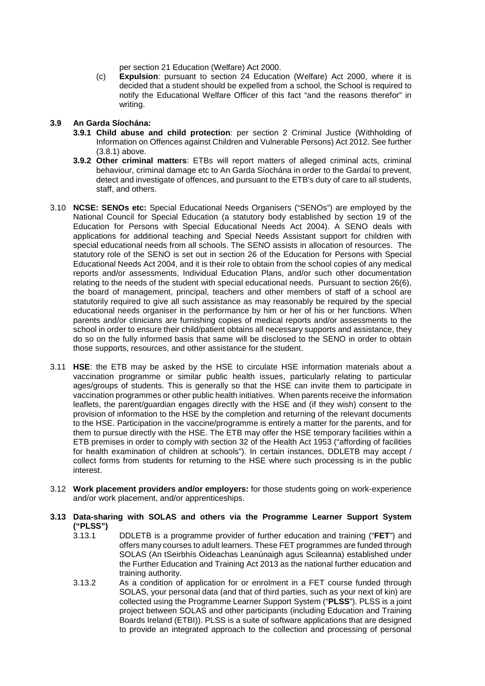per section 21 Education (Welfare) Act 2000.

(c) **Expulsion**: pursuant to section 24 Education (Welfare) Act 2000, where it is decided that a student should be expelled from a school, the School is required to notify the Educational Welfare Officer of this fact "and the reasons therefor" in writing.

#### **3.9 An Garda Síochána:**

- **3.9.1 Child abuse and child protection**: per section 2 Criminal Justice (Withholding of Information on Offences against Children and Vulnerable Persons) Act 2012. See further (3.8.1) above.
- **3.9.2 Other criminal matters**: ETBs will report matters of alleged criminal acts, criminal behaviour, criminal damage etc to An Garda Síochána in order to the Gardaí to prevent, detect and investigate of offences, and pursuant to the ETB's duty of care to all students, staff, and others.
- 3.10 **NCSE: SENOs etc:** Special Educational Needs Organisers ("SENOs") are employed by the National Council for Special Education (a statutory body established by section 19 of the Education for Persons with Special Educational Needs Act 2004). A SENO deals with applications for additional teaching and Special Needs Assistant support for children with special educational needs from all schools. The SENO assists in allocation of resources. The statutory role of the SENO is set out in section 26 of the Education for Persons with Special Educational Needs Act 2004, and it is their role to obtain from the school copies of any medical reports and/or assessments, Individual Education Plans, and/or such other documentation relating to the needs of the student with special educational needs. Pursuant to section 26(6), the board of management, principal, teachers and other members of staff of a school are statutorily required to give all such assistance as may reasonably be required by the special educational needs organiser in the performance by him or her of his or her functions. When parents and/or clinicians are furnishing copies of medical reports and/or assessments to the school in order to ensure their child/patient obtains all necessary supports and assistance, they do so on the fully informed basis that same will be disclosed to the SENO in order to obtain those supports, resources, and other assistance for the student.
- 3.11 **HSE**: the ETB may be asked by the HSE to circulate HSE information materials about a vaccination programme or similar public health issues, particularly relating to particular ages/groups of students. This is generally so that the HSE can invite them to participate in vaccination programmes or other public health initiatives. When parents receive the information leaflets, the parent/guardian engages directly with the HSE and (if they wish) consent to the provision of information to the HSE by the completion and returning of the relevant documents to the HSE. Participation in the vaccine/programme is entirely a matter for the parents, and for them to pursue directly with the HSE. The ETB may offer the HSE temporary facilities within a ETB premises in order to comply with section 32 of the Health Act 1953 ("affording of facilities for health examination of children at schools"). In certain instances, DDLETB may accept / collect forms from students for returning to the HSE where such processing is in the public interest.
- 3.12 **Work placement providers and/or employers:** for those students going on work-experience and/or work placement, and/or apprenticeships.
- **3.13 Data-sharing with SOLAS and others via the Programme Learner Support System ("PLSS")** 
	- 3.13.1 DDLETB is a programme provider of further education and training ("**FET**") and offers many courses to adult learners. These FET programmes are funded through SOLAS (An tSeirbhís Oideachas Leanúnaigh agus Scileanna) established under the Further Education and Training Act 2013 as the national further education and training authority.
	- 3.13.2 As a condition of application for or enrolment in a FET course funded through SOLAS, your personal data (and that of third parties, such as your next of kin) are collected using the Programme Learner Support System ("**PLSS**"). PLSS is a joint project between SOLAS and other participants (including Education and Training Boards Ireland (ETBI)). PLSS is a suite of software applications that are designed to provide an integrated approach to the collection and processing of personal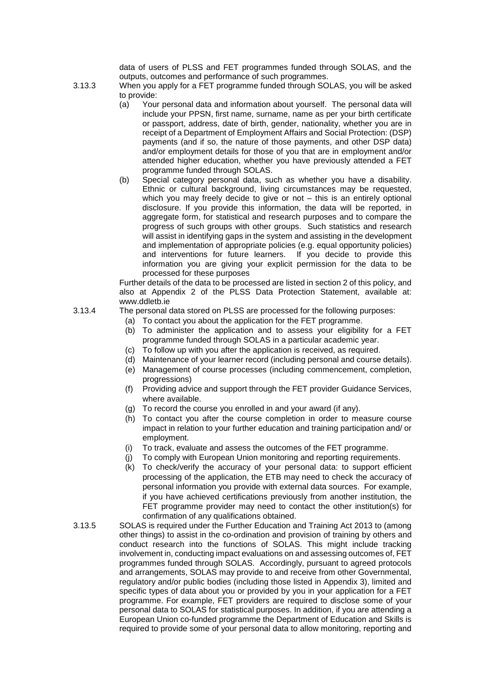data of users of PLSS and FET programmes funded through SOLAS, and the outputs, outcomes and performance of such programmes.

- 3.13.3 When you apply for a FET programme funded through SOLAS, you will be asked to provide:
	- (a) Your personal data and information about yourself. The personal data will include your PPSN, first name, surname, name as per your birth certificate or passport, address, date of birth, gender, nationality, whether you are in receipt of a Department of Employment Affairs and Social Protection: (DSP) payments (and if so, the nature of those payments, and other DSP data) and/or employment details for those of you that are in employment and/or attended higher education, whether you have previously attended a FET programme funded through SOLAS.
	- (b) Special category personal data, such as whether you have a disability. Ethnic or cultural background, living circumstances may be requested, which you may freely decide to give or not – this is an entirely optional disclosure. If you provide this information, the data will be reported, in aggregate form, for statistical and research purposes and to compare the progress of such groups with other groups. Such statistics and research will assist in identifying gaps in the system and assisting in the development and implementation of appropriate policies (e.g. equal opportunity policies) and interventions for future learners. If you decide to provide this information you are giving your explicit permission for the data to be processed for these purposes

Further details of the data to be processed are listed in section 2 of this policy, and also at Appendix 2 of the PLSS Data Protection Statement, available at: www.ddletb.ie

#### 3.13.4 The personal data stored on PLSS are processed for the following purposes:

- (a) To contact you about the application for the FET programme.
- (b) To administer the application and to assess your eligibility for a FET programme funded through SOLAS in a particular academic year.
- (c) To follow up with you after the application is received, as required.
- (d) Maintenance of your learner record (including personal and course details).
- (e) Management of course processes (including commencement, completion, progressions)
- (f) Providing advice and support through the FET provider Guidance Services, where available.
- (g) To record the course you enrolled in and your award (if any).
- (h) To contact you after the course completion in order to measure course impact in relation to your further education and training participation and/ or employment.
- (i) To track, evaluate and assess the outcomes of the FET programme.
- (j) To comply with European Union monitoring and reporting requirements.
- (k) To check/verify the accuracy of your personal data: to support efficient processing of the application, the ETB may need to check the accuracy of personal information you provide with external data sources. For example, if you have achieved certifications previously from another institution, the FET programme provider may need to contact the other institution(s) for confirmation of any qualifications obtained.
- 3.13.5 SOLAS is required under the Further Education and Training Act 2013 to (among other things) to assist in the co-ordination and provision of training by others and conduct research into the functions of SOLAS. This might include tracking involvement in, conducting impact evaluations on and assessing outcomes of, FET programmes funded through SOLAS. Accordingly, pursuant to agreed protocols and arrangements, SOLAS may provide to and receive from other Governmental, regulatory and/or public bodies (including those listed in Appendix 3), limited and specific types of data about you or provided by you in your application for a FET programme. For example, FET providers are required to disclose some of your personal data to SOLAS for statistical purposes. In addition, if you are attending a European Union co-funded programme the Department of Education and Skills is required to provide some of your personal data to allow monitoring, reporting and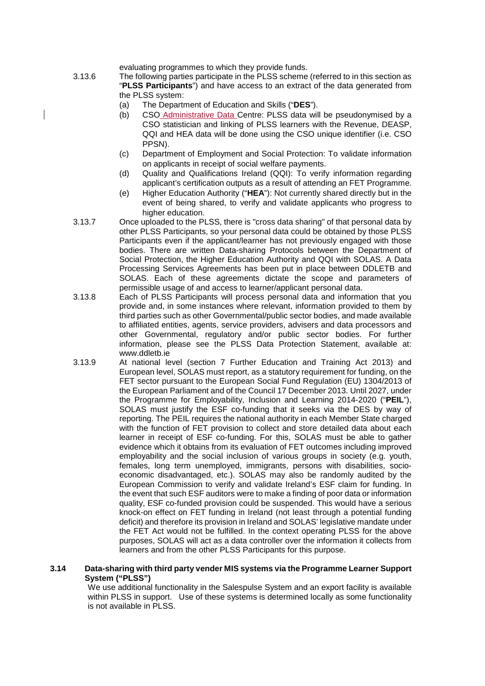evaluating programmes to which they provide funds.

- 3.13.6 The following parties participate in the PLSS scheme (referred to in this section as "**PLSS Participants**") and have access to an extract of the data generated from the PLSS system:
	- (a) The Department of Education and Skills ("**DES**").
	- (b) CSO Administrative Data Centre: PLSS data will be pseudonymised by a CSO statistician and linking of PLSS learners with the Revenue, DEASP, QQI and HEA data will be done using the CSO unique identifier (i.e. CSO PPSN).
	- (c) Department of Employment and Social Protection: To validate information on applicants in receipt of social welfare payments.
	- (d) Quality and Qualifications Ireland (QQI): To verify information regarding applicant's certification outputs as a result of attending an FET Programme.
	- (e) Higher Education Authority ("**HEA**"): Not currently shared directly but in the event of being shared, to verify and validate applicants who progress to higher education.
- 3.13.7 Once uploaded to the PLSS, there is "cross data sharing" of that personal data by other PLSS Participants, so your personal data could be obtained by those PLSS Participants even if the applicant/learner has not previously engaged with those bodies. There are written Data-sharing Protocols between the Department of Social Protection, the Higher Education Authority and QQI with SOLAS. A Data Processing Services Agreements has been put in place between DDLETB and SOLAS. Each of these agreements dictate the scope and parameters of permissible usage of and access to learner/applicant personal data.
- 3.13.8 Each of PLSS Participants will process personal data and information that you provide and, in some instances where relevant, information provided to them by third parties such as other Governmental/public sector bodies, and made available to affiliated entities, agents, service providers, advisers and data processors and other Governmental, regulatory and/or public sector bodies. For further information, please see the PLSS Data Protection Statement, available at: www.ddletb.ie
- 3.13.9 At national level (section 7 Further Education and Training Act 2013) and European level, SOLAS must report, as a statutory requirement for funding, on the FET sector pursuant to the European Social Fund Regulation (EU) 1304/2013 of the European Parliament and of the Council 17 December 2013. Until 2027, under the Programme for Employability, Inclusion and Learning 2014-2020 ("**PEIL**"), SOLAS must justify the ESF co-funding that it seeks via the DES by way of reporting. The PEIL requires the national authority in each Member State charged with the function of FET provision to collect and store detailed data about each learner in receipt of ESF co-funding. For this, SOLAS must be able to gather evidence which it obtains from its evaluation of FET outcomes including improved employability and the social inclusion of various groups in society (e.g. youth, females, long term unemployed, immigrants, persons with disabilities, socioeconomic disadvantaged, etc.). SOLAS may also be randomly audited by the European Commission to verify and validate Ireland's ESF claim for funding. In the event that such ESF auditors were to make a finding of poor data or information quality, ESF co-funded provision could be suspended. This would have a serious knock-on effect on FET funding in Ireland (not least through a potential funding deficit) and therefore its provision in Ireland and SOLAS' legislative mandate under the FET Act would not be fulfilled. In the context operating PLSS for the above purposes, SOLAS will act as a data controller over the information it collects from learners and from the other PLSS Participants for this purpose.

#### **3.14 Data-sharing with third party vender MIS systems via the Programme Learner Support System ("PLSS")**

We use additional functionality in the Salespulse System and an export facility is available within PLSS in support. Use of these systems is determined locally as some functionality is not available in PLSS.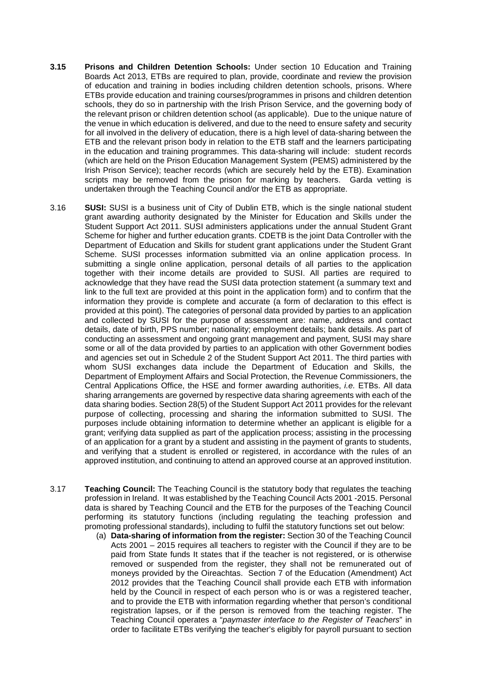- **3.15 Prisons and Children Detention Schools:** Under section 10 Education and Training Boards Act 2013, ETBs are required to plan, provide, coordinate and review the provision of education and training in bodies including children detention schools, prisons. Where ETBs provide education and training courses/programmes in prisons and children detention schools, they do so in partnership with the Irish Prison Service, and the governing body of the relevant prison or children detention school (as applicable). Due to the unique nature of the venue in which education is delivered, and due to the need to ensure safety and security for all involved in the delivery of education, there is a high level of data-sharing between the ETB and the relevant prison body in relation to the ETB staff and the learners participating in the education and training programmes. This data-sharing will include: student records (which are held on the Prison Education Management System (PEMS) administered by the Irish Prison Service); teacher records (which are securely held by the ETB). Examination scripts may be removed from the prison for marking by teachers. Garda vetting is undertaken through the Teaching Council and/or the ETB as appropriate.
- 3.16 **SUSI:** SUSI is a business unit of City of Dublin ETB, which is the single national student grant awarding authority designated by the Minister for Education and Skills under the Student Support Act 2011. SUSI administers applications under the annual Student Grant Scheme for higher and further education grants. CDETB is the joint Data Controller with the Department of Education and Skills for student grant applications under the Student Grant Scheme. SUSI processes information submitted via an online application process. In submitting a single online application, personal details of all parties to the application together with their income details are provided to SUSI. All parties are required to acknowledge that they have read the SUSI data protection statement (a summary text and link to the full text are provided at this point in the application form) and to confirm that the information they provide is complete and accurate (a form of declaration to this effect is provided at this point). The categories of personal data provided by parties to an application and collected by SUSI for the purpose of assessment are: name, address and contact details, date of birth, PPS number; nationality; employment details; bank details. As part of conducting an assessment and ongoing grant management and payment, SUSI may share some or all of the data provided by parties to an application with other Government bodies and agencies set out in Schedule 2 of the Student Support Act 2011. The third parties with whom SUSI exchanges data include the Department of Education and Skills, the Department of Employment Affairs and Social Protection, the Revenue Commissioners, the Central Applications Office, the HSE and former awarding authorities, *i.e.* ETBs. All data sharing arrangements are governed by respective data sharing agreements with each of the data sharing bodies. Section 28(5) of the Student Support Act 2011 provides for the relevant purpose of collecting, processing and sharing the information submitted to SUSI. The purposes include obtaining information to determine whether an applicant is eligible for a grant; verifying data supplied as part of the application process; assisting in the processing of an application for a grant by a student and assisting in the payment of grants to students, and verifying that a student is enrolled or registered, in accordance with the rules of an approved institution, and continuing to attend an approved course at an approved institution.
- 3.17 **Teaching Council:** The Teaching Council is the statutory body that regulates the teaching profession in Ireland. It was established by the Teaching Council Acts 2001 -2015. Personal data is shared by Teaching Council and the ETB for the purposes of the Teaching Council performing its statutory functions (including regulating the teaching profession and promoting professional standards), including to fulfil the statutory functions set out below:
	- (a) **Data-sharing of information from the register:** Section 30 of the Teaching Council Acts 2001 – 2015 requires all teachers to register with the Council if they are to be paid from State funds It states that if the teacher is not registered, or is otherwise removed or suspended from the register, they shall not be remunerated out of moneys provided by the Oireachtas. Section 7 of the Education (Amendment) Act 2012 provides that the Teaching Council shall provide each ETB with information held by the Council in respect of each person who is or was a registered teacher, and to provide the ETB with information regarding whether that person's conditional registration lapses, or if the person is removed from the teaching register. The Teaching Council operates a "*paymaster interface to the Register of Teachers*" in order to facilitate ETBs verifying the teacher's eligibly for payroll pursuant to section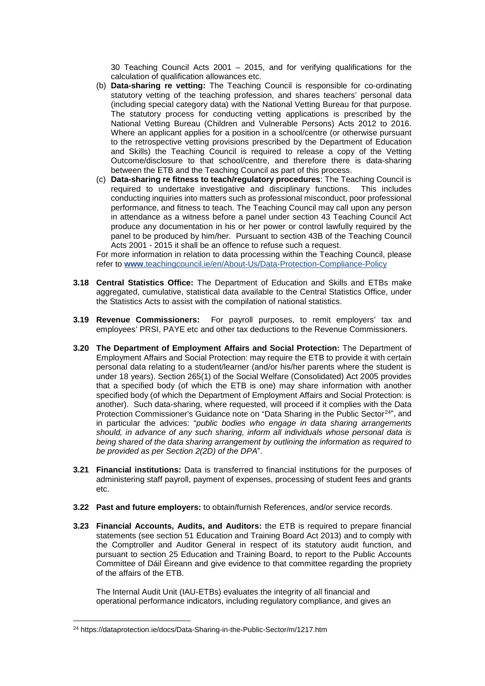30 Teaching Council Acts 2001 – 2015, and for verifying qualifications for the calculation of qualification allowances etc.

- (b) **Data-sharing re vetting:** The Teaching Council is responsible for co-ordinating statutory vetting of the teaching profession, and shares teachers' personal data (including special category data) with the National Vetting Bureau for that purpose. The statutory process for conducting vetting applications is prescribed by the National Vetting Bureau (Children and Vulnerable Persons) Acts 2012 to 2016. Where an applicant applies for a position in a school/centre (or otherwise pursuant to the retrospective vetting provisions prescribed by the Department of Education and Skills) the Teaching Council is required to release a copy of the Vetting Outcome/disclosure to that school/centre, and therefore there is data-sharing between the ETB and the Teaching Council as part of this process.
- (c) **Data-sharing re fitness to teach/regulatory procedures**: The Teaching Council is required to undertake investigative and disciplinary functions. This includes conducting inquiries into matters such as professional misconduct, poor professional performance, and fitness to teach. The Teaching Council may call upon any person in attendance as a witness before a panel under section 43 Teaching Council Act produce any documentation in his or her power or control lawfully required by the panel to be produced by him/her. Pursuant to section 43B of the Teaching Council Acts 2001 - 2015 it shall be an offence to refuse such a request.

For more information in relation to data processing within the Teaching Council, please refer to **www**[.teachingcouncil.ie/en/About-Us/Data-Protection-Compliance-Policy](http://www.teachingcouncil.ie/en/About-Us/Data-Protection-Compliance-Policy)

- **3.18 Central Statistics Office:** The Department of Education and Skills and ETBs make aggregated, cumulative, statistical data available to the Central Statistics Office, under the Statistics Acts to assist with the compilation of national statistics.
- **3.19 Revenue Commissioners:** For payroll purposes, to remit employers' tax and employees' PRSI, PAYE etc and other tax deductions to the Revenue Commissioners.
- **3.20 The Department of Employment Affairs and Social Protection:** The Department of Employment Affairs and Social Protection: may require the ETB to provide it with certain personal data relating to a student/learner (and/or his/her parents where the student is under 18 years). Section 265(1) of the Social Welfare (Consolidated) Act 2005 provides that a specified body (of which the ETB is one) may share information with another specified body (of which the Department of Employment Affairs and Social Protection: is another). Such data-sharing, where requested, will proceed if it complies with the Data Protection Commissioner's Guidance note on "Data Sharing in the Public Sector<sup>[24"](#page-39-0)</sup>, and in particular the advices: "*public bodies who engage in data sharing arrangements should, in advance of any such sharing, inform all individuals whose personal data is being shared of the data sharing arrangement by outlining the information as required to be provided as per Section 2(2D) of the DPA*".
- **3.21 Financial institutions:** Data is transferred to financial institutions for the purposes of administering staff payroll, payment of expenses, processing of student fees and grants etc.
- **3.22 Past and future employers:** to obtain/furnish References, and/or service records.
- **3.23 Financial Accounts, Audits, and Auditors:** the ETB is required to prepare financial statements (see section 51 Education and Training Board Act 2013) and to comply with the Comptroller and Auditor General in respect of its statutory audit function, and pursuant to section 25 Education and Training Board, to report to the Public Accounts Committee of Dáil Éireann and give evidence to that committee regarding the propriety of the affairs of the ETB.

The Internal Audit Unit (IAU-ETBs) evaluates the integrity of all financial and operational performance indicators, including regulatory compliance, and gives an

<span id="page-39-0"></span> $\overline{a}$ <sup>24</sup> https://dataprotection.ie/docs/Data-Sharing-in-the-Public-Sector/m/1217.htm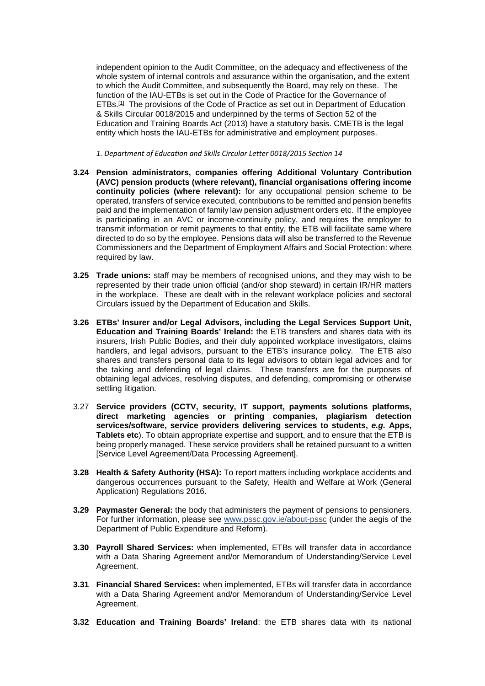independent opinion to the Audit Committee, on the adequacy and effectiveness of the whole system of internal controls and assurance within the organisation, and the extent to which the Audit Committee, and subsequently the Board, may rely on these. The function of the IAU-ETBs is set out in the Code of Practice for the Governance of ETBs.[1] The provisions of the Code of Practice as set out in Department of Education & Skills Circular 0018/2015 and underpinned by the terms of Section 52 of the Education and Training Boards Act (2013) have a statutory basis. CMETB is the legal entity which hosts the IAU-ETBs for administrative and employment purposes.

*1. Department of Education and Skills Circular Letter 0018/2015 Section 14*

- **3.24 Pension administrators, companies offering Additional Voluntary Contribution (AVC) pension products (where relevant), financial organisations offering income continuity policies (where relevant):** for any occupational pension scheme to be operated, transfers of service executed, contributions to be remitted and pension benefits paid and the implementation of family law pension adjustment orders etc. If the employee is participating in an AVC or income-continuity policy, and requires the employer to transmit information or remit payments to that entity, the ETB will facilitate same where directed to do so by the employee. Pensions data will also be transferred to the Revenue Commissioners and the Department of Employment Affairs and Social Protection: where required by law.
- **3.25 Trade unions:** staff may be members of recognised unions, and they may wish to be represented by their trade union official (and/or shop steward) in certain IR/HR matters in the workplace. These are dealt with in the relevant workplace policies and sectoral Circulars issued by the Department of Education and Skills.
- **3.26 ETBs' Insurer and/or Legal Advisors, including the Legal Services Support Unit, Education and Training Boards' Ireland:** the ETB transfers and shares data with its insurers, Irish Public Bodies, and their duly appointed workplace investigators, claims handlers, and legal advisors, pursuant to the ETB's insurance policy. The ETB also shares and transfers personal data to its legal advisors to obtain legal advices and for the taking and defending of legal claims. These transfers are for the purposes of obtaining legal advices, resolving disputes, and defending, compromising or otherwise settling litigation.
- 3.27 **Service providers (CCTV, security, IT support, payments solutions platforms, direct marketing agencies or printing companies, plagiarism detection services/software, service providers delivering services to students,** *e.g.* **Apps, Tablets etc**). To obtain appropriate expertise and support, and to ensure that the ETB is being properly managed. These service providers shall be retained pursuant to a written [Service Level Agreement/Data Processing Agreement].
- **3.28 Health & Safety Authority (HSA):** To report matters including workplace accidents and dangerous occurrences pursuant to the Safety, Health and Welfare at Work (General Application) Regulations 2016.
- **3.29 Paymaster General:** the body that administers the payment of pensions to pensioners. For further information, please see [www.pssc.gov.ie/about-pssc](http://www.pssc.gov.ie/about-pssc) (under the aegis of the Department of Public Expenditure and Reform).
- **3.30 Payroll Shared Services:** when implemented, ETBs will transfer data in accordance with a Data Sharing Agreement and/or Memorandum of Understanding/Service Level Agreement.
- **3.31 Financial Shared Services:** when implemented, ETBs will transfer data in accordance with a Data Sharing Agreement and/or Memorandum of Understanding/Service Level Agreement.
- **3.32 Education and Training Boards' Ireland**: the ETB shares data with its national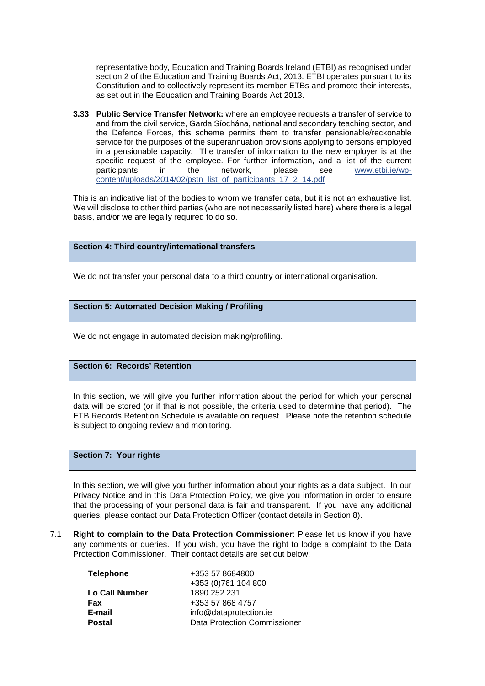representative body, Education and Training Boards Ireland (ETBI) as recognised under section 2 of the Education and Training Boards Act, 2013. ETBI operates pursuant to its Constitution and to collectively represent its member ETBs and promote their interests, as set out in the Education and Training Boards Act 2013.

**3.33 Public Service Transfer Network:** where an employee requests a transfer of service to and from the civil service, Garda Síochána, national and secondary teaching sector, and the Defence Forces, this scheme permits them to transfer pensionable/reckonable service for the purposes of the superannuation provisions applying to persons employed in a pensionable capacity. The transfer of information to the new employer is at the specific request of the employee. For further information, and a list of the current participants in the network, please see www.etbi.ie/wpparticipants in the network, please see [www.etbi.ie/wp](http://www.etbi.ie/wp-content/uploads/2014/02/pstn_list_of_participants_17_2_14.pdf)[content/uploads/2014/02/pstn\\_list\\_of\\_participants\\_17\\_2\\_14.pdf](http://www.etbi.ie/wp-content/uploads/2014/02/pstn_list_of_participants_17_2_14.pdf)

This is an indicative list of the bodies to whom we transfer data, but it is not an exhaustive list. We will disclose to other third parties (who are not necessarily listed here) where there is a legal basis, and/or we are legally required to do so.

#### **Section 4: Third country/international transfers**

We do not transfer your personal data to a third country or international organisation.

#### **Section 5: Automated Decision Making / Profiling**

We do not engage in automated decision making/profiling.

#### **Section 6: Records' Retention**

In this section, we will give you further information about the period for which your personal data will be stored (or if that is not possible, the criteria used to determine that period). The ETB Records Retention Schedule is available on request. Please note the retention schedule is subject to ongoing review and monitoring.

#### **Section 7: Your rights**

In this section, we will give you further information about your rights as a data subject. In our Privacy Notice and in this Data Protection Policy, we give you information in order to ensure that the processing of your personal data is fair and transparent. If you have any additional queries, please contact our Data Protection Officer (contact details in Section 8).

7.1 **Right to complain to the Data Protection Commissioner**: Please let us know if you have any comments or queries. If you wish, you have the right to lodge a complaint to the Data Protection Commissioner. Their contact details are set out below:

| <b>Telephone</b><br>+353 57 8684800           |  |
|-----------------------------------------------|--|
| +353 (0) 761 104 800                          |  |
| 1890 252 231<br>Lo Call Number                |  |
| +353 57 868 4757<br><b>Fax</b>                |  |
| info@dataprotection.ie<br>E-mail              |  |
| Data Protection Commissioner<br><b>Postal</b> |  |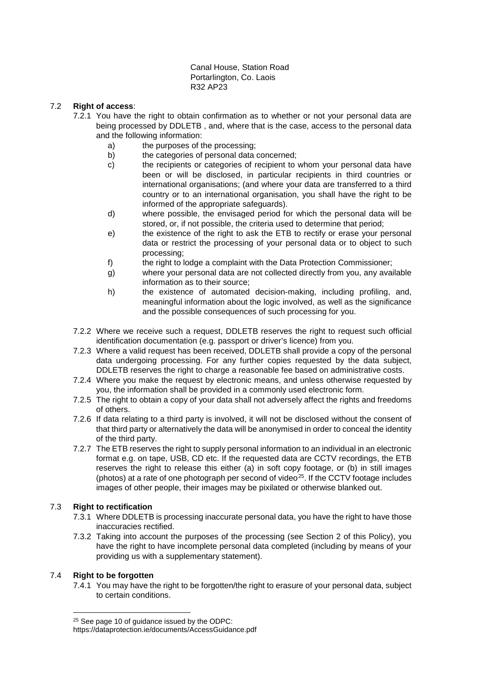Canal House, Station Road Portarlington, Co. Laois R32 AP23

### 7.2 **Right of access**:

- 7.2.1 You have the right to obtain confirmation as to whether or not your personal data are being processed by DDLETB , and, where that is the case, access to the personal data and the following information:
	- a) the purposes of the processing;
	- b) the categories of personal data concerned;
	- c) the recipients or categories of recipient to whom your personal data have been or will be disclosed, in particular recipients in third countries or international organisations; (and where your data are transferred to a third country or to an international organisation, you shall have the right to be informed of the appropriate safeguards).
	- d) where possible, the envisaged period for which the personal data will be stored, or, if not possible, the criteria used to determine that period;
	- e) the existence of the right to ask the ETB to rectify or erase your personal data or restrict the processing of your personal data or to object to such processing;
	- f) the right to lodge a complaint with the Data Protection Commissioner;
	- g) where your personal data are not collected directly from you, any available information as to their source;
	- h) the existence of automated decision-making, including profiling, and, meaningful information about the logic involved, as well as the significance and the possible consequences of such processing for you.
- 7.2.2 Where we receive such a request, DDLETB reserves the right to request such official identification documentation (e.g. passport or driver's licence) from you.
- 7.2.3 Where a valid request has been received, DDLETB shall provide a copy of the personal data undergoing processing. For any further copies requested by the data subject, DDLETB reserves the right to charge a reasonable fee based on administrative costs.
- 7.2.4 Where you make the request by electronic means, and unless otherwise requested by you, the information shall be provided in a commonly used electronic form.
- 7.2.5 The right to obtain a copy of your data shall not adversely affect the rights and freedoms of others.
- 7.2.6 If data relating to a third party is involved, it will not be disclosed without the consent of that third party or alternatively the data will be anonymised in order to conceal the identity of the third party.
- 7.2.7 The ETB reserves the right to supply personal information to an individual in an electronic format e.g. on tape, USB, CD etc. If the requested data are CCTV recordings, the ETB reserves the right to release this either (a) in soft copy footage, or (b) in still images (photos) at a rate of one photograph per second of video $25$ . If the CCTV footage includes images of other people, their images may be pixilated or otherwise blanked out.

#### 7.3 **Right to rectification**

- 7.3.1 Where DDLETB is processing inaccurate personal data, you have the right to have those inaccuracies rectified.
- 7.3.2 Taking into account the purposes of the processing (see Section 2 of this Policy), you have the right to have incomplete personal data completed (including by means of your providing us with a supplementary statement).

# <span id="page-42-0"></span>7.4 **Right to be forgotten**

 $\overline{a}$ 

7.4.1 You may have the right to be forgotten/the right to erasure of your personal data, subject to certain conditions.

<sup>&</sup>lt;sup>25</sup> See page 10 of guidance issued by the ODPC: https://dataprotection.ie/documents/AccessGuidance.pdf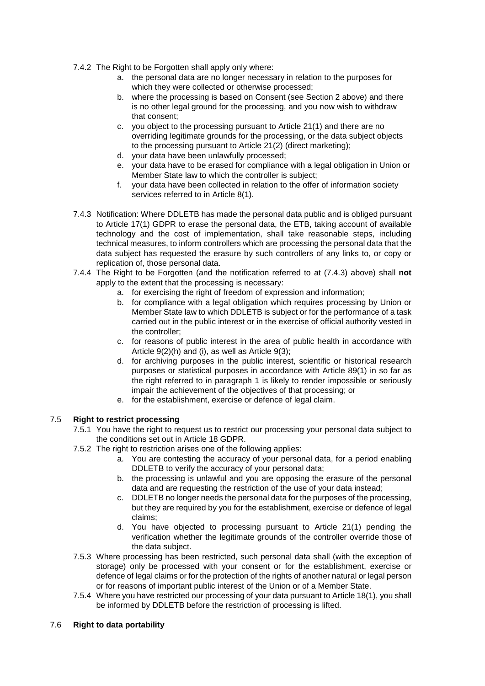- 7.4.2 The Right to be Forgotten shall apply only where:
	- a. the personal data are no longer necessary in relation to the purposes for which they were collected or otherwise processed:
	- b. where the processing is based on Consent (see Section 2 above) and there is no other legal ground for the processing, and you now wish to withdraw that consent;
	- c. you object to the processing pursuant to Article 21(1) and there are no overriding legitimate grounds for the processing, or the data subject objects to the processing pursuant to Article 21(2) (direct marketing);
	- d. your data have been unlawfully processed;
	- e. your data have to be erased for compliance with a legal obligation in Union or Member State law to which the controller is subject;
	- f. your data have been collected in relation to the offer of information society services referred to in Article 8(1).
- 7.4.3 Notification: Where DDLETB has made the personal data public and is obliged pursuant to Article 17(1) GDPR to erase the personal data, the ETB, taking account of available technology and the cost of implementation, shall take reasonable steps, including technical measures, to inform controllers which are processing the personal data that the data subject has requested the erasure by such controllers of any links to, or copy or replication of, those personal data.
- 7.4.4 The Right to be Forgotten (and the notification referred to at (7.4.3) above) shall **not** apply to the extent that the processing is necessary:
	- a. for exercising the right of freedom of expression and information;
	- b. for compliance with a legal obligation which requires processing by Union or Member State law to which DDLETB is subject or for the performance of a task carried out in the public interest or in the exercise of official authority vested in the controller;
	- c. for reasons of public interest in the area of public health in accordance with Article 9(2)(h) and (i), as well as Article 9(3);
	- d. for archiving purposes in the public interest, scientific or historical research purposes or statistical purposes in accordance with Article 89(1) in so far as the right referred to in paragraph 1 is likely to render impossible or seriously impair the achievement of the objectives of that processing; or
	- e. for the establishment, exercise or defence of legal claim.

# 7.5 **Right to restrict processing**

- 7.5.1 You have the right to request us to restrict our processing your personal data subject to the conditions set out in Article 18 GDPR.
- 7.5.2 The right to restriction arises one of the following applies:
	- a. You are contesting the accuracy of your personal data, for a period enabling DDLETB to verify the accuracy of your personal data;
	- b. the processing is unlawful and you are opposing the erasure of the personal data and are requesting the restriction of the use of your data instead;
	- c. DDLETB no longer needs the personal data for the purposes of the processing, but they are required by you for the establishment, exercise or defence of legal claims;
	- d. You have objected to processing pursuant to Article 21(1) pending the verification whether the legitimate grounds of the controller override those of the data subject.
- 7.5.3 Where processing has been restricted, such personal data shall (with the exception of storage) only be processed with your consent or for the establishment, exercise or defence of legal claims or for the protection of the rights of another natural or legal person or for reasons of important public interest of the Union or of a Member State.
- 7.5.4 Where you have restricted our processing of your data pursuant to Article 18(1), you shall be informed by DDLETB before the restriction of processing is lifted.

#### 7.6 **Right to data portability**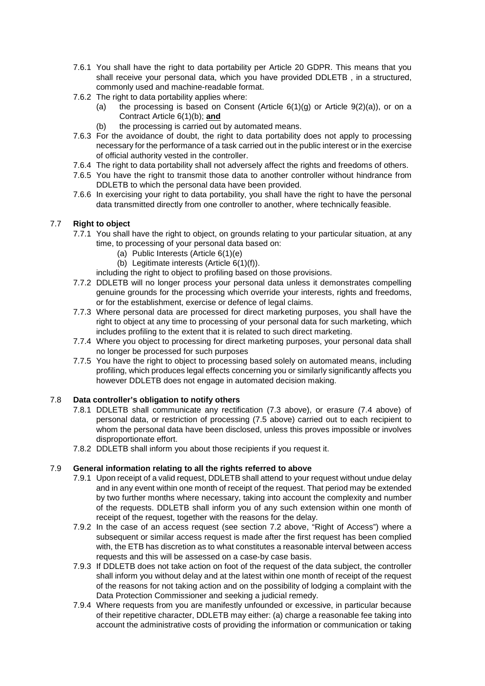- 7.6.1 You shall have the right to data portability per Article 20 GDPR. This means that you shall receive your personal data, which you have provided DDLETB , in a structured, commonly used and machine-readable format.
- 7.6.2 The right to data portability applies where:
	- (a) the processing is based on Consent (Article  $6(1)(q)$  or Article  $9(2)(a)$ ), or on a Contract Article 6(1)(b); **and**
	- $(b)$  the processing is carried out by automated means.
- 7.6.3 For the avoidance of doubt, the right to data portability does not apply to processing necessary for the performance of a task carried out in the public interest or in the exercise of official authority vested in the controller.
- 7.6.4 The right to data portability shall not adversely affect the rights and freedoms of others.
- 7.6.5 You have the right to transmit those data to another controller without hindrance from DDLETB to which the personal data have been provided.
- 7.6.6 In exercising your right to data portability, you shall have the right to have the personal data transmitted directly from one controller to another, where technically feasible.

# 7.7 **Right to object**

- 7.7.1 You shall have the right to object, on grounds relating to your particular situation, at any time, to processing of your personal data based on:
	- (a) Public Interests (Article 6(1)(e)
	- (b) Legitimate interests (Article 6(1)(f)).
	- including the right to object to profiling based on those provisions.
- 7.7.2 DDLETB will no longer process your personal data unless it demonstrates compelling genuine grounds for the processing which override your interests, rights and freedoms, or for the establishment, exercise or defence of legal claims.
- 7.7.3 Where personal data are processed for direct marketing purposes, you shall have the right to object at any time to processing of your personal data for such marketing, which includes profiling to the extent that it is related to such direct marketing.
- 7.7.4 Where you object to processing for direct marketing purposes, your personal data shall no longer be processed for such purposes
- 7.7.5 You have the right to object to processing based solely on automated means, including profiling, which produces legal effects concerning you or similarly significantly affects you however DDLETB does not engage in automated decision making.

#### 7.8 **Data controller's obligation to notify others**

- 7.8.1 DDLETB shall communicate any rectification (7.3 above), or erasure (7.4 above) of personal data, or restriction of processing (7.5 above) carried out to each recipient to whom the personal data have been disclosed, unless this proves impossible or involves disproportionate effort.
- 7.8.2 DDLETB shall inform you about those recipients if you request it.

#### 7.9 **General information relating to all the rights referred to above**

- 7.9.1 Upon receipt of a valid request, DDLETB shall attend to your request without undue delay and in any event within one month of receipt of the request. That period may be extended by two further months where necessary, taking into account the complexity and number of the requests. DDLETB shall inform you of any such extension within one month of receipt of the request, together with the reasons for the delay.
- 7.9.2 In the case of an access request (see section 7.2 above, "Right of Access") where a subsequent or similar access request is made after the first request has been complied with, the ETB has discretion as to what constitutes a reasonable interval between access requests and this will be assessed on a case-by case basis.
- 7.9.3 If DDLETB does not take action on foot of the request of the data subject, the controller shall inform you without delay and at the latest within one month of receipt of the request of the reasons for not taking action and on the possibility of lodging a complaint with the Data Protection Commissioner and seeking a judicial remedy.
- 7.9.4 Where requests from you are manifestly unfounded or excessive, in particular because of their repetitive character, DDLETB may either: (a) charge a reasonable fee taking into account the administrative costs of providing the information or communication or taking